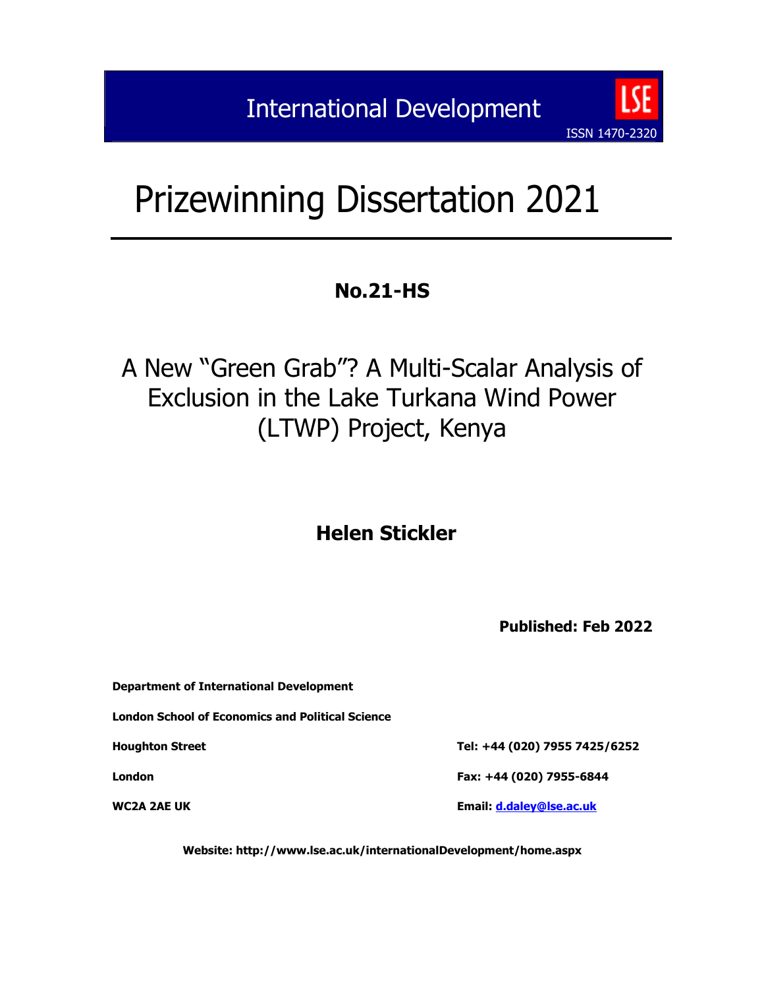# Prizewinning Dissertation 2021

# **No.21-HS**

# A New "Green Grab"? A Multi-Scalar Analysis of Exclusion in the Lake Turkana Wind Power (LTWP) Project, Kenya

# **Helen Stickler**

**Published: Feb 2022**

ISSN 1470-2320

| Department of International Development          |                               |
|--------------------------------------------------|-------------------------------|
| London School of Economics and Political Science |                               |
| <b>Houghton Street</b>                           | Tel: +44 (020) 7955 7425/6252 |
| London                                           | Fax: +44 (020) 7955-6844      |
| WC2A 2AE UK                                      | Email: d.daley@lse.ac.uk      |

**Website: http://www.lse.ac.uk/internationalDevelopment/home.aspx**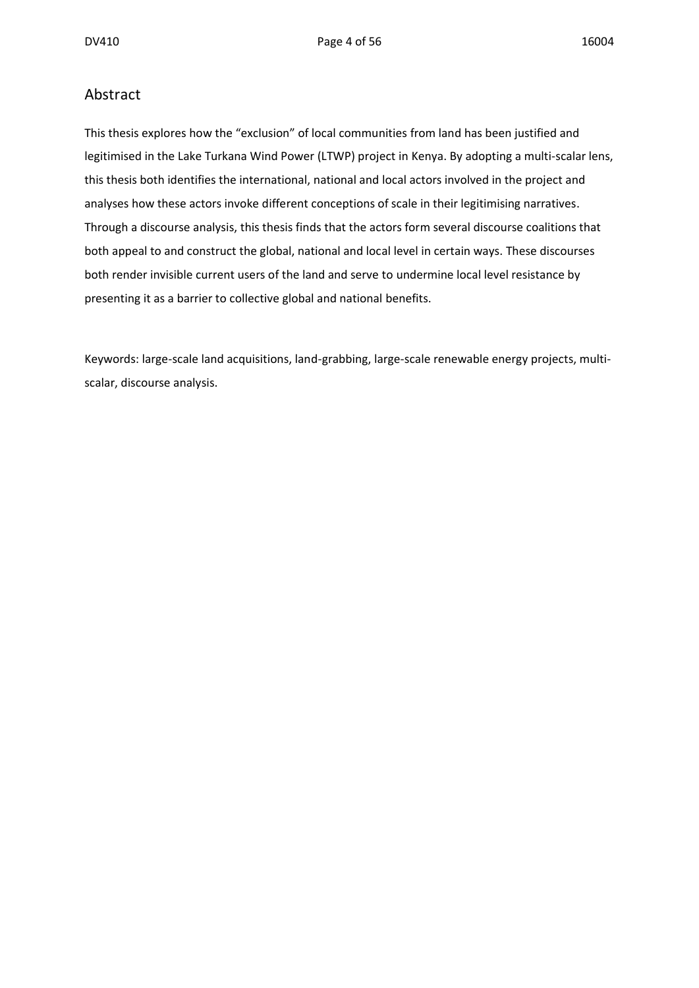#### Abstract

This thesis explores how the "exclusion" of local communities from land has been justified and legitimised in the Lake Turkana Wind Power (LTWP) project in Kenya. By adopting a multi-scalar lens, this thesis both identifies the international, national and local actors involved in the project and analyses how these actors invoke different conceptions of scale in their legitimising narratives. Through a discourse analysis, this thesis finds that the actors form several discourse coalitions that both appeal to and construct the global, national and local level in certain ways. These discourses both render invisible current users of the land and serve to undermine local level resistance by presenting it as a barrier to collective global and national benefits.

Keywords: large-scale land acquisitions, land-grabbing, large-scale renewable energy projects, multiscalar, discourse analysis.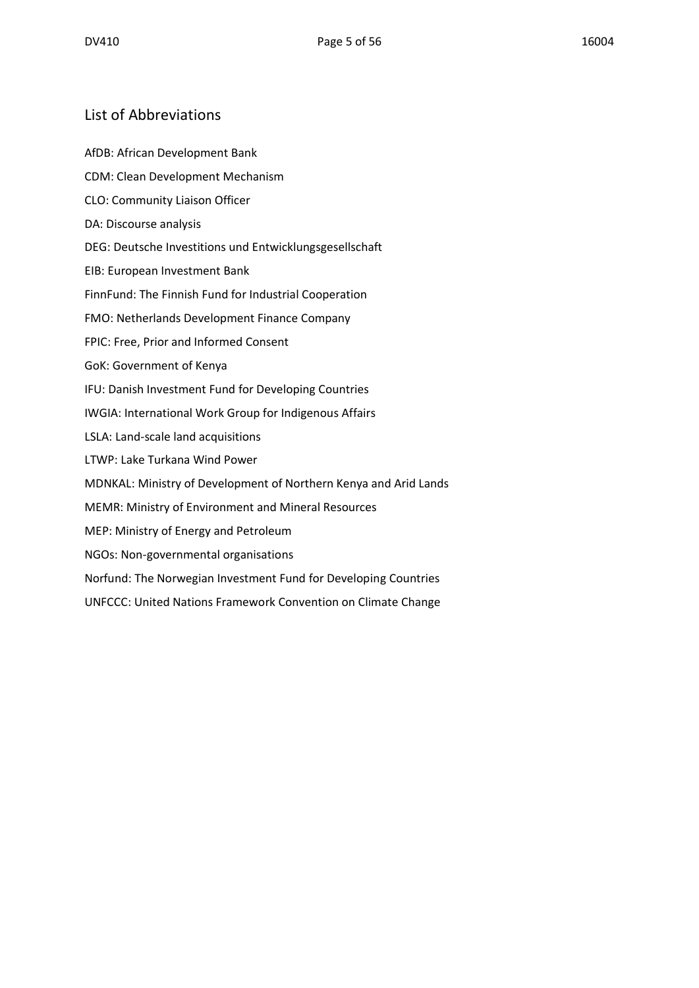#### List of Abbreviations

AfDB: African Development Bank

- CDM: Clean Development Mechanism
- CLO: Community Liaison Officer
- DA: Discourse analysis
- DEG: Deutsche Investitions und Entwicklungsgesellschaft
- EIB: European Investment Bank
- FinnFund: The Finnish Fund for Industrial Cooperation
- FMO: Netherlands Development Finance Company
- FPIC: Free, Prior and Informed Consent
- GoK: Government of Kenya
- IFU: Danish Investment Fund for Developing Countries
- IWGIA: International Work Group for Indigenous Affairs
- LSLA: Land-scale land acquisitions
- LTWP: Lake Turkana Wind Power
- MDNKAL: Ministry of Development of Northern Kenya and Arid Lands
- MEMR: Ministry of Environment and Mineral Resources
- MEP: Ministry of Energy and Petroleum
- NGOs: Non-governmental organisations
- Norfund: The Norwegian Investment Fund for Developing Countries
- UNFCCC: United Nations Framework Convention on Climate Change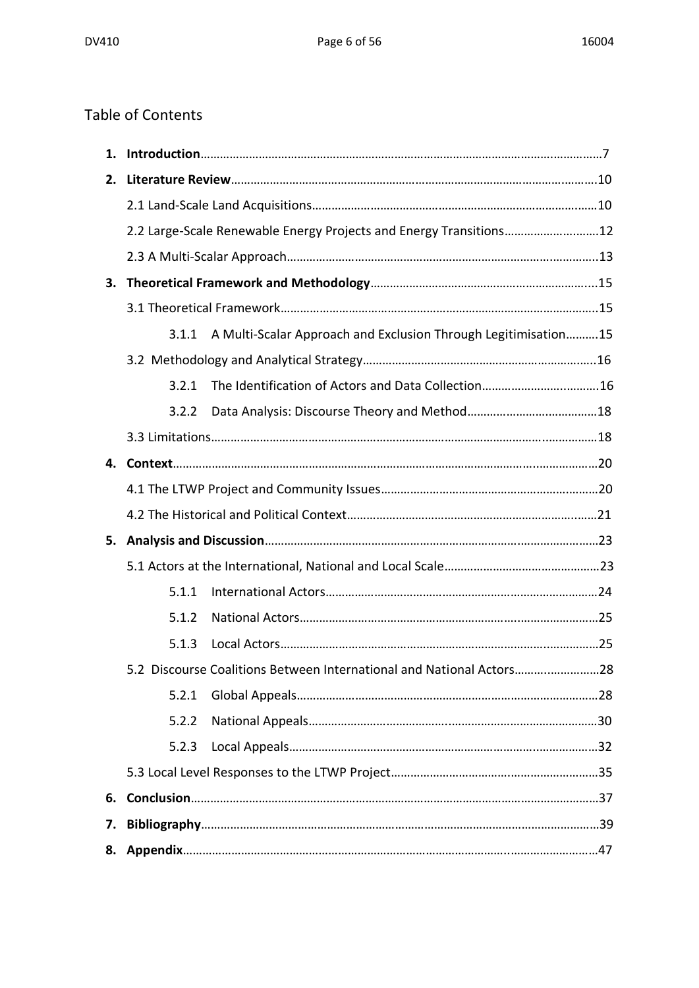# Table of Contents

| 2. |       |                                                                      |  |
|----|-------|----------------------------------------------------------------------|--|
|    |       |                                                                      |  |
|    |       | 2.2 Large-Scale Renewable Energy Projects and Energy Transitions12   |  |
|    |       |                                                                      |  |
|    |       |                                                                      |  |
|    |       |                                                                      |  |
|    | 3.1.1 | A Multi-Scalar Approach and Exclusion Through Legitimisation15       |  |
|    |       |                                                                      |  |
|    | 3.2.1 |                                                                      |  |
|    | 3.2.2 |                                                                      |  |
|    |       |                                                                      |  |
|    |       |                                                                      |  |
|    |       |                                                                      |  |
|    |       |                                                                      |  |
|    |       |                                                                      |  |
|    |       |                                                                      |  |
|    | 5.1.1 |                                                                      |  |
|    | 5.1.2 |                                                                      |  |
|    | 5.1.3 |                                                                      |  |
|    |       | 5.2 Discourse Coalitions Between International and National Actors28 |  |
|    | 5.2.1 |                                                                      |  |
|    | 5.2.2 |                                                                      |  |
|    | 5.2.3 |                                                                      |  |
|    |       |                                                                      |  |
| 6. |       |                                                                      |  |
| 7. |       |                                                                      |  |
| 8. |       |                                                                      |  |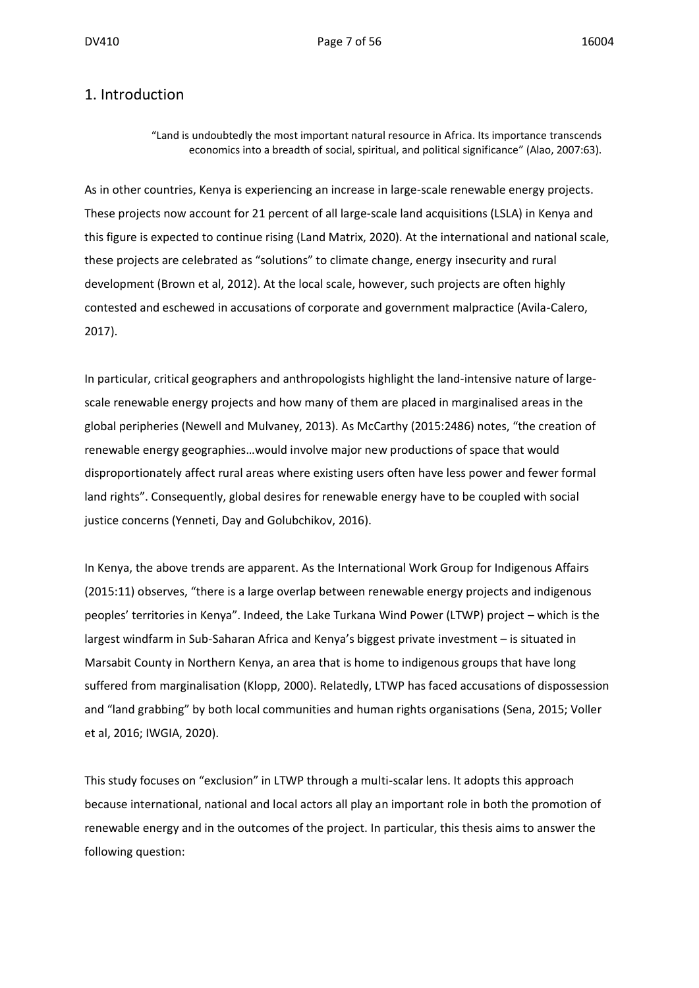#### 1. Introduction

"Land is undoubtedly the most important natural resource in Africa. Its importance transcends economics into a breadth of social, spiritual, and political significance" (Alao, 2007:63).

As in other countries, Kenya is experiencing an increase in large-scale renewable energy projects. These projects now account for 21 percent of all large-scale land acquisitions (LSLA) in Kenya and this figure is expected to continue rising (Land Matrix, 2020). At the international and national scale, these projects are celebrated as "solutions" to climate change, energy insecurity and rural development (Brown et al, 2012). At the local scale, however, such projects are often highly contested and eschewed in accusations of corporate and government malpractice (Avila-Calero, 2017).

In particular, critical geographers and anthropologists highlight the land-intensive nature of largescale renewable energy projects and how many of them are placed in marginalised areas in the global peripheries (Newell and Mulvaney, 2013). As McCarthy (2015:2486) notes, "the creation of renewable energy geographies…would involve major new productions of space that would disproportionately affect rural areas where existing users often have less power and fewer formal land rights". Consequently, global desires for renewable energy have to be coupled with social justice concerns (Yenneti, Day and Golubchikov, 2016).

In Kenya, the above trends are apparent. As the International Work Group for Indigenous Affairs (2015:11) observes, "there is a large overlap between renewable energy projects and indigenous peoples' territories in Kenya". Indeed, the Lake Turkana Wind Power (LTWP) project – which is the largest windfarm in Sub-Saharan Africa and Kenya's biggest private investment – is situated in Marsabit County in Northern Kenya, an area that is home to indigenous groups that have long suffered from marginalisation (Klopp, 2000). Relatedly, LTWP has faced accusations of dispossession and "land grabbing" by both local communities and human rights organisations (Sena, 2015; Voller et al, 2016; IWGIA, 2020).

This study focuses on "exclusion" in LTWP through a multi-scalar lens. It adopts this approach because international, national and local actors all play an important role in both the promotion of renewable energy and in the outcomes of the project. In particular, this thesis aims to answer the following question: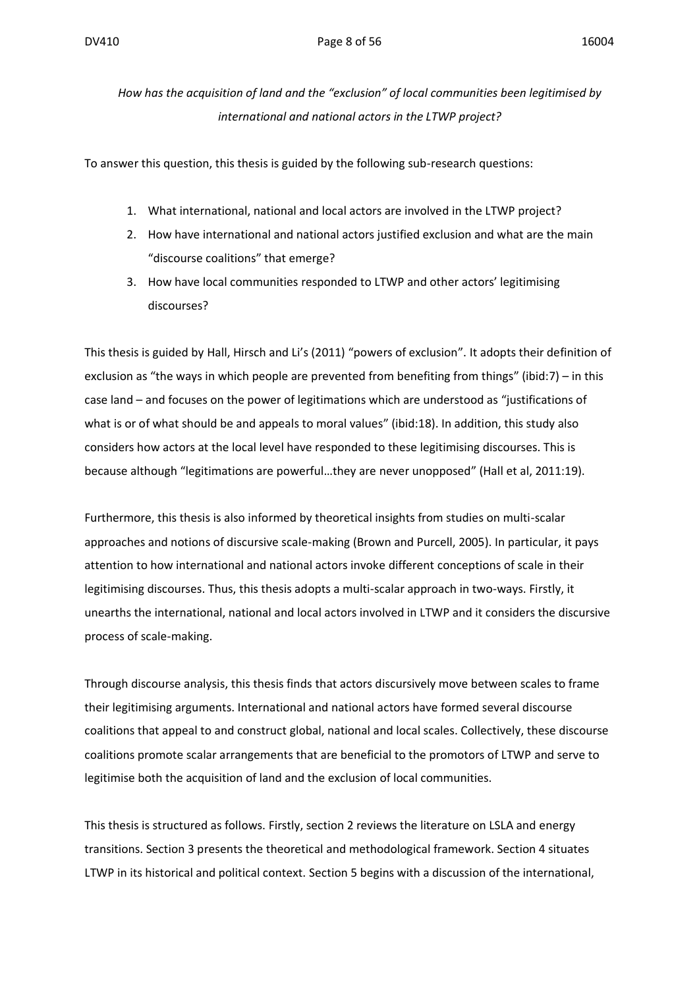*How has the acquisition of land and the "exclusion" of local communities been legitimised by international and national actors in the LTWP project?*

To answer this question, this thesis is guided by the following sub-research questions:

- 1. What international, national and local actors are involved in the LTWP project?
- 2. How have international and national actors justified exclusion and what are the main "discourse coalitions" that emerge?
- 3. How have local communities responded to LTWP and other actors' legitimising discourses?

This thesis is guided by Hall, Hirsch and Li's (2011) "powers of exclusion". It adopts their definition of exclusion as "the ways in which people are prevented from benefiting from things" (ibid:7) – in this case land – and focuses on the power of legitimations which are understood as "justifications of what is or of what should be and appeals to moral values" (ibid:18). In addition, this study also considers how actors at the local level have responded to these legitimising discourses. This is because although "legitimations are powerful…they are never unopposed" (Hall et al, 2011:19).

Furthermore, this thesis is also informed by theoretical insights from studies on multi-scalar approaches and notions of discursive scale-making (Brown and Purcell, 2005). In particular, it pays attention to how international and national actors invoke different conceptions of scale in their legitimising discourses. Thus, this thesis adopts a multi-scalar approach in two-ways. Firstly, it unearths the international, national and local actors involved in LTWP and it considers the discursive process of scale-making.

Through discourse analysis, this thesis finds that actors discursively move between scales to frame their legitimising arguments. International and national actors have formed several discourse coalitions that appeal to and construct global, national and local scales. Collectively, these discourse coalitions promote scalar arrangements that are beneficial to the promotors of LTWP and serve to legitimise both the acquisition of land and the exclusion of local communities.

This thesis is structured as follows. Firstly, section 2 reviews the literature on LSLA and energy transitions. Section 3 presents the theoretical and methodological framework. Section 4 situates LTWP in its historical and political context. Section 5 begins with a discussion of the international,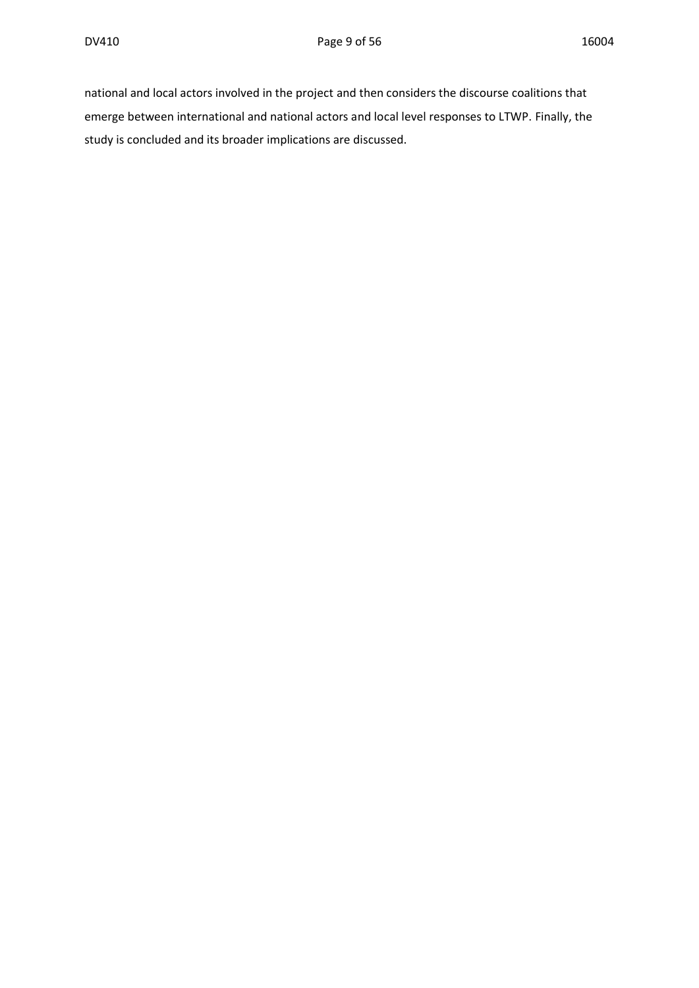national and local actors involved in the project and then considers the discourse coalitions that emerge between international and national actors and local level responses to LTWP. Finally, the study is concluded and its broader implications are discussed.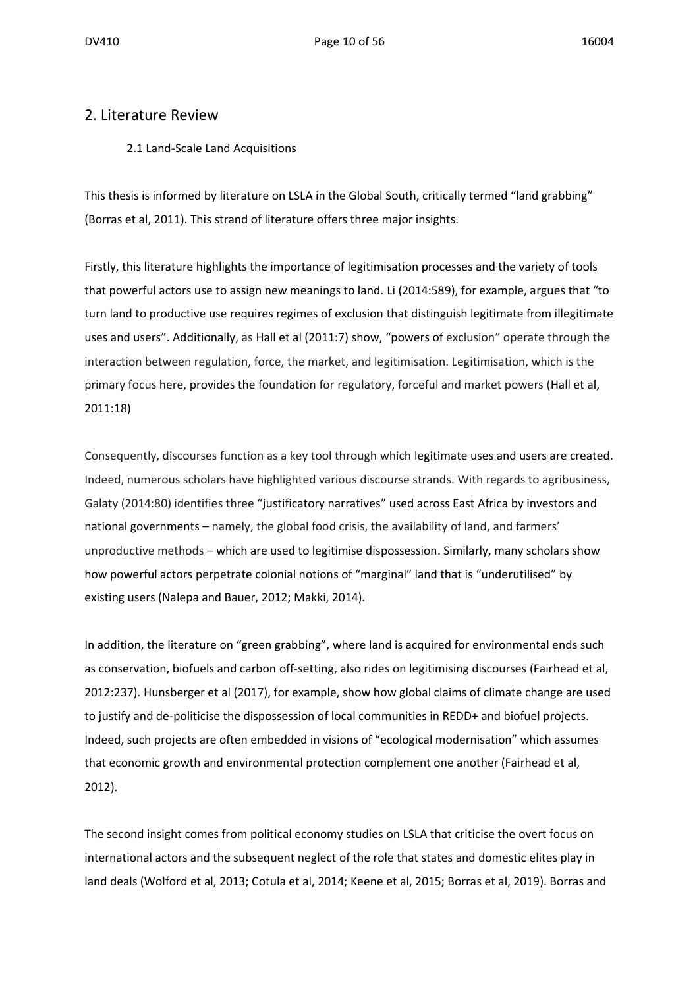#### 2. Literature Review

#### 2.1 Land-Scale Land Acquisitions

This thesis is informed by literature on LSLA in the Global South, critically termed "land grabbing" (Borras et al, 2011). This strand of literature offers three major insights.

Firstly, this literature highlights the importance of legitimisation processes and the variety of tools that powerful actors use to assign new meanings to land. Li (2014:589), for example, argues that "to turn land to productive use requires regimes of exclusion that distinguish legitimate from illegitimate uses and users". Additionally, as Hall et al (2011:7) show, "powers of exclusion" operate through the interaction between regulation, force, the market, and legitimisation. Legitimisation, which is the primary focus here, provides the foundation for regulatory, forceful and market powers (Hall et al, 2011:18)

Consequently, discourses function as a key tool through which legitimate uses and users are created. Indeed, numerous scholars have highlighted various discourse strands. With regards to agribusiness, Galaty (2014:80) identifies three "justificatory narratives" used across East Africa by investors and national governments – namely, the global food crisis, the availability of land, and farmers' unproductive methods – which are used to legitimise dispossession. Similarly, many scholars show how powerful actors perpetrate colonial notions of "marginal" land that is "underutilised" by existing users (Nalepa and Bauer, 2012; Makki, 2014).

In addition, the literature on "green grabbing", where land is acquired for environmental ends such as conservation, biofuels and carbon off-setting, also rides on legitimising discourses (Fairhead et al, 2012:237). Hunsberger et al (2017), for example, show how global claims of climate change are used to justify and de-politicise the dispossession of local communities in REDD+ and biofuel projects. Indeed, such projects are often embedded in visions of "ecological modernisation" which assumes that economic growth and environmental protection complement one another (Fairhead et al, 2012).

The second insight comes from political economy studies on LSLA that criticise the overt focus on international actors and the subsequent neglect of the role that states and domestic elites play in land deals (Wolford et al, 2013; Cotula et al, 2014; Keene et al, 2015; Borras et al, 2019). Borras and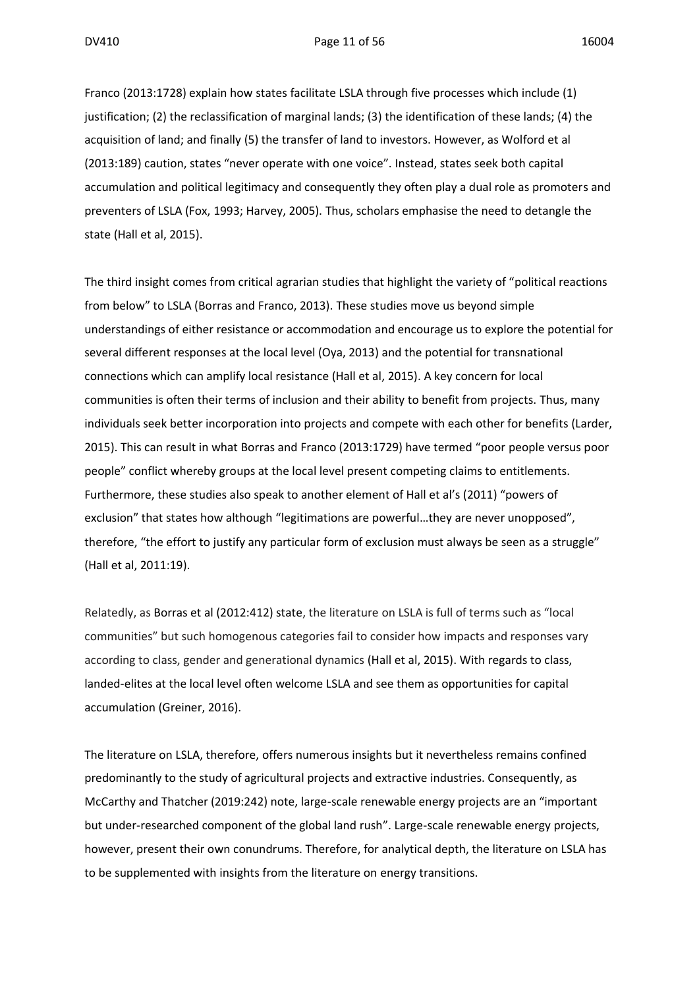Franco (2013:1728) explain how states facilitate LSLA through five processes which include (1) justification; (2) the reclassification of marginal lands; (3) the identification of these lands; (4) the acquisition of land; and finally (5) the transfer of land to investors. However, as Wolford et al (2013:189) caution, states "never operate with one voice". Instead, states seek both capital accumulation and political legitimacy and consequently they often play a dual role as promoters and preventers of LSLA (Fox, 1993; Harvey, 2005). Thus, scholars emphasise the need to detangle the state (Hall et al, 2015).

The third insight comes from critical agrarian studies that highlight the variety of "political reactions from below" to LSLA (Borras and Franco, 2013). These studies move us beyond simple understandings of either resistance or accommodation and encourage us to explore the potential for several different responses at the local level (Oya, 2013) and the potential for transnational connections which can amplify local resistance (Hall et al, 2015). A key concern for local communities is often their terms of inclusion and their ability to benefit from projects. Thus, many individuals seek better incorporation into projects and compete with each other for benefits (Larder, 2015). This can result in what Borras and Franco (2013:1729) have termed "poor people versus poor people" conflict whereby groups at the local level present competing claims to entitlements. Furthermore, these studies also speak to another element of Hall et al's (2011) "powers of exclusion" that states how although "legitimations are powerful...they are never unopposed", therefore, "the effort to justify any particular form of exclusion must always be seen as a struggle" (Hall et al, 2011:19).

Relatedly, as Borras et al (2012:412) state, the literature on LSLA is full of terms such as "local communities" but such homogenous categories fail to consider how impacts and responses vary according to class, gender and generational dynamics (Hall et al, 2015). With regards to class, landed-elites at the local level often welcome LSLA and see them as opportunities for capital accumulation (Greiner, 2016).

The literature on LSLA, therefore, offers numerous insights but it nevertheless remains confined predominantly to the study of agricultural projects and extractive industries. Consequently, as McCarthy and Thatcher (2019:242) note, large-scale renewable energy projects are an "important but under-researched component of the global land rush". Large-scale renewable energy projects, however, present their own conundrums. Therefore, for analytical depth, the literature on LSLA has to be supplemented with insights from the literature on energy transitions.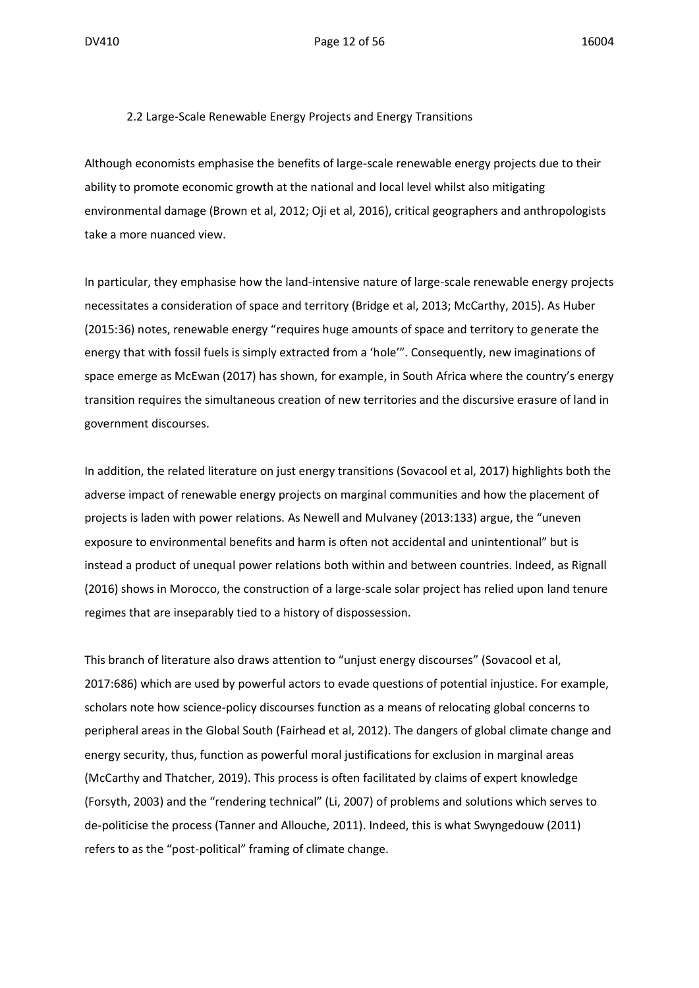2.2 Large-Scale Renewable Energy Projects and Energy Transitions

Although economists emphasise the benefits of large-scale renewable energy projects due to their ability to promote economic growth at the national and local level whilst also mitigating environmental damage (Brown et al, 2012; Oji et al, 2016), critical geographers and anthropologists take a more nuanced view.

In particular, they emphasise how the land-intensive nature of large-scale renewable energy projects necessitates a consideration of space and territory (Bridge et al, 2013; McCarthy, 2015). As Huber (2015:36) notes, renewable energy "requires huge amounts of space and territory to generate the energy that with fossil fuels is simply extracted from a 'hole'". Consequently, new imaginations of space emerge as McEwan (2017) has shown, for example, in South Africa where the country's energy transition requires the simultaneous creation of new territories and the discursive erasure of land in government discourses.

In addition, the related literature on just energy transitions (Sovacool et al, 2017) highlights both the adverse impact of renewable energy projects on marginal communities and how the placement of projects is laden with power relations. As Newell and Mulvaney (2013:133) argue, the "uneven exposure to environmental benefits and harm is often not accidental and unintentional" but is instead a product of unequal power relations both within and between countries. Indeed, as Rignall (2016) shows in Morocco, the construction of a large-scale solar project has relied upon land tenure regimes that are inseparably tied to a history of dispossession.

This branch of literature also draws attention to "unjust energy discourses" (Sovacool et al, 2017:686) which are used by powerful actors to evade questions of potential injustice. For example, scholars note how science-policy discourses function as a means of relocating global concerns to peripheral areas in the Global South (Fairhead et al, 2012). The dangers of global climate change and energy security, thus, function as powerful moral justifications for exclusion in marginal areas (McCarthy and Thatcher, 2019). This process is often facilitated by claims of expert knowledge (Forsyth, 2003) and the "rendering technical" (Li, 2007) of problems and solutions which serves to de-politicise the process (Tanner and Allouche, 2011). Indeed, this is what Swyngedouw (2011) refers to as the "post-political" framing of climate change.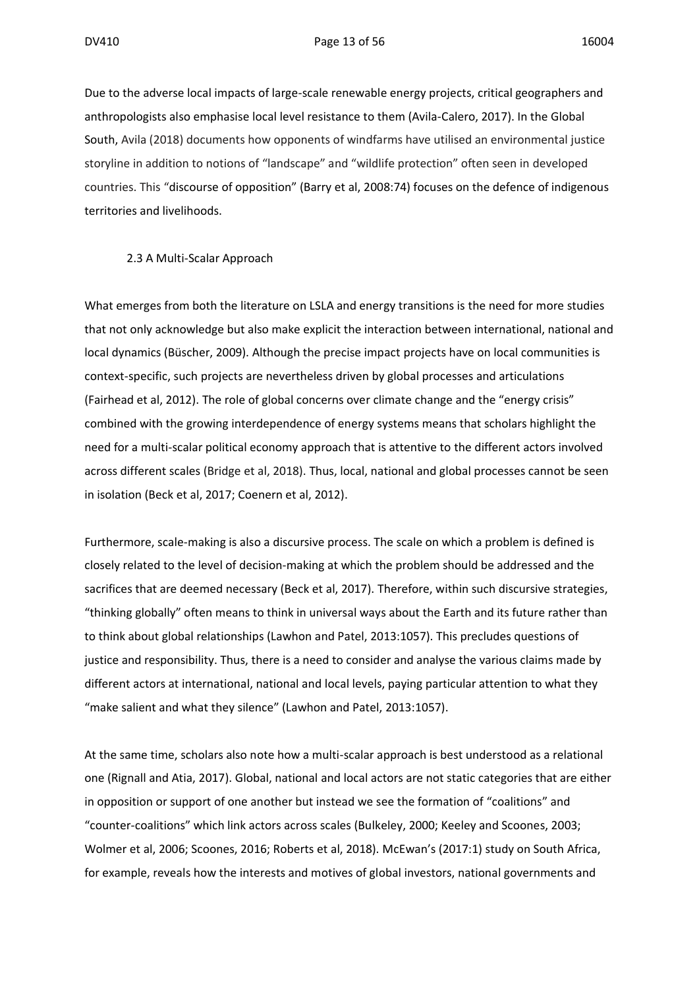Due to the adverse local impacts of large-scale renewable energy projects, critical geographers and anthropologists also emphasise local level resistance to them (Avila-Calero, 2017). In the Global South, Avila (2018) documents how opponents of windfarms have utilised an environmental justice storyline in addition to notions of "landscape" and "wildlife protection" often seen in developed countries. This "discourse of opposition" (Barry et al, 2008:74) focuses on the defence of indigenous territories and livelihoods.

#### 2.3 A Multi-Scalar Approach

What emerges from both the literature on LSLA and energy transitions is the need for more studies that not only acknowledge but also make explicit the interaction between international, national and local dynamics (Büscher, 2009). Although the precise impact projects have on local communities is context-specific, such projects are nevertheless driven by global processes and articulations (Fairhead et al, 2012). The role of global concerns over climate change and the "energy crisis" combined with the growing interdependence of energy systems means that scholars highlight the need for a multi-scalar political economy approach that is attentive to the different actors involved across different scales (Bridge et al, 2018). Thus, local, national and global processes cannot be seen in isolation (Beck et al, 2017; Coenern et al, 2012).

Furthermore, scale-making is also a discursive process. The scale on which a problem is defined is closely related to the level of decision-making at which the problem should be addressed and the sacrifices that are deemed necessary (Beck et al, 2017). Therefore, within such discursive strategies, "thinking globally" often means to think in universal ways about the Earth and its future rather than to think about global relationships (Lawhon and Patel, 2013:1057). This precludes questions of justice and responsibility. Thus, there is a need to consider and analyse the various claims made by different actors at international, national and local levels, paying particular attention to what they "make salient and what they silence" (Lawhon and Patel, 2013:1057).

At the same time, scholars also note how a multi-scalar approach is best understood as a relational one (Rignall and Atia, 2017). Global, national and local actors are not static categories that are either in opposition or support of one another but instead we see the formation of "coalitions" and "counter-coalitions" which link actors across scales (Bulkeley, 2000; Keeley and Scoones, 2003; Wolmer et al, 2006; Scoones, 2016; Roberts et al, 2018). McEwan's (2017:1) study on South Africa, for example, reveals how the interests and motives of global investors, national governments and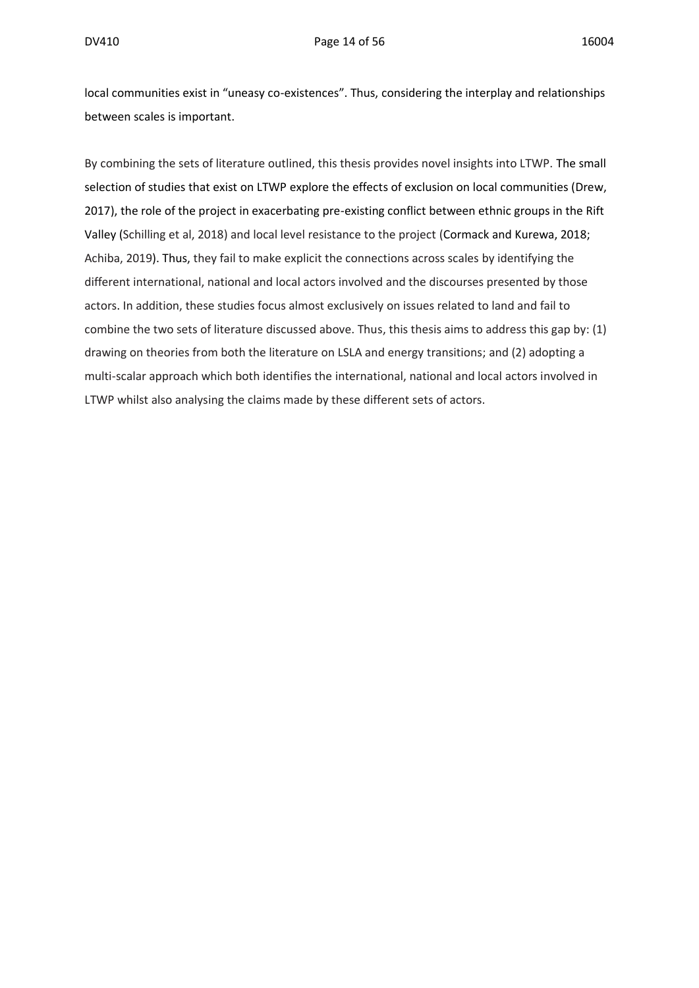local communities exist in "uneasy co-existences". Thus, considering the interplay and relationships between scales is important.

By combining the sets of literature outlined, this thesis provides novel insights into LTWP. The small selection of studies that exist on LTWP explore the effects of exclusion on local communities (Drew, 2017), the role of the project in exacerbating pre-existing conflict between ethnic groups in the Rift Valley (Schilling et al, 2018) and local level resistance to the project (Cormack and Kurewa, 2018; Achiba, 2019). Thus, they fail to make explicit the connections across scales by identifying the different international, national and local actors involved and the discourses presented by those actors. In addition, these studies focus almost exclusively on issues related to land and fail to combine the two sets of literature discussed above. Thus, this thesis aims to address this gap by: (1) drawing on theories from both the literature on LSLA and energy transitions; and (2) adopting a multi-scalar approach which both identifies the international, national and local actors involved in LTWP whilst also analysing the claims made by these different sets of actors.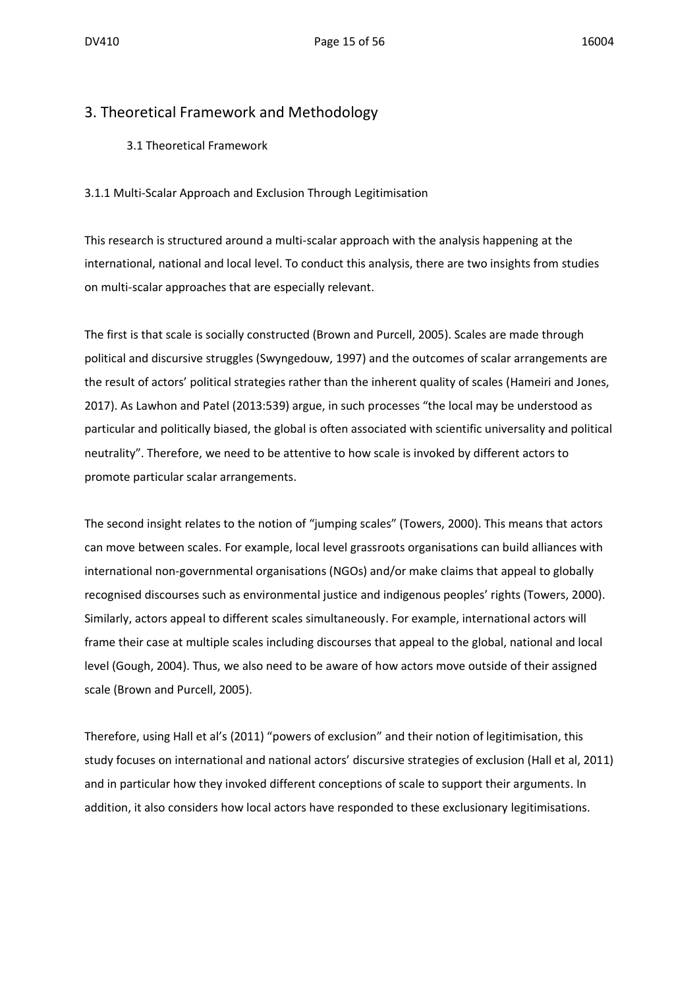#### 3. Theoretical Framework and Methodology

3.1 Theoretical Framework

3.1.1 Multi-Scalar Approach and Exclusion Through Legitimisation

This research is structured around a multi-scalar approach with the analysis happening at the international, national and local level. To conduct this analysis, there are two insights from studies on multi-scalar approaches that are especially relevant.

The first is that scale is socially constructed (Brown and Purcell, 2005). Scales are made through political and discursive struggles (Swyngedouw, 1997) and the outcomes of scalar arrangements are the result of actors' political strategies rather than the inherent quality of scales (Hameiri and Jones, 2017). As Lawhon and Patel (2013:539) argue, in such processes "the local may be understood as particular and politically biased, the global is often associated with scientific universality and political neutrality". Therefore, we need to be attentive to how scale is invoked by different actors to promote particular scalar arrangements.

The second insight relates to the notion of "jumping scales" (Towers, 2000). This means that actors can move between scales. For example, local level grassroots organisations can build alliances with international non-governmental organisations (NGOs) and/or make claims that appeal to globally recognised discourses such as environmental justice and indigenous peoples' rights (Towers, 2000). Similarly, actors appeal to different scales simultaneously. For example, international actors will frame their case at multiple scales including discourses that appeal to the global, national and local level (Gough, 2004). Thus, we also need to be aware of how actors move outside of their assigned scale (Brown and Purcell, 2005).

Therefore, using Hall et al's (2011) "powers of exclusion" and their notion of legitimisation, this study focuses on international and national actors' discursive strategies of exclusion (Hall et al, 2011) and in particular how they invoked different conceptions of scale to support their arguments. In addition, it also considers how local actors have responded to these exclusionary legitimisations.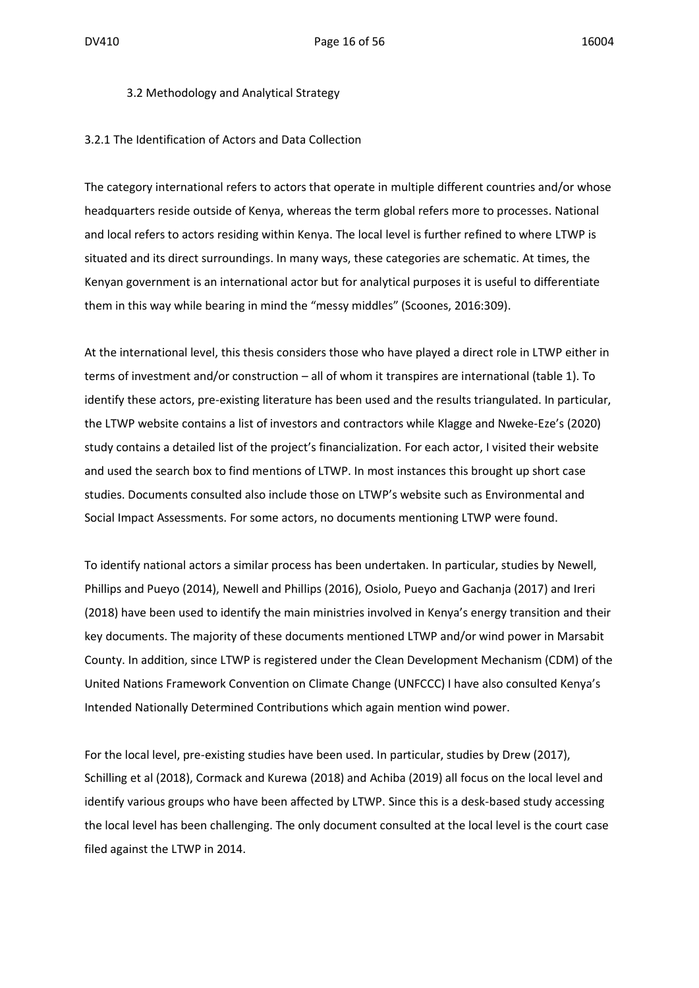#### 3.2 Methodology and Analytical Strategy

#### 3.2.1 The Identification of Actors and Data Collection

The category international refers to actors that operate in multiple different countries and/or whose headquarters reside outside of Kenya, whereas the term global refers more to processes. National and local refers to actors residing within Kenya. The local level is further refined to where LTWP is situated and its direct surroundings. In many ways, these categories are schematic. At times, the Kenyan government is an international actor but for analytical purposes it is useful to differentiate them in this way while bearing in mind the "messy middles" (Scoones, 2016:309).

At the international level, this thesis considers those who have played a direct role in LTWP either in terms of investment and/or construction – all of whom it transpires are international (table 1). To identify these actors, pre-existing literature has been used and the results triangulated. In particular, the LTWP website contains a list of investors and contractors while Klagge and Nweke-Eze's (2020) study contains a detailed list of the project's financialization. For each actor, I visited their website and used the search box to find mentions of LTWP. In most instances this brought up short case studies. Documents consulted also include those on LTWP's website such as Environmental and Social Impact Assessments. For some actors, no documents mentioning LTWP were found.

To identify national actors a similar process has been undertaken. In particular, studies by Newell, Phillips and Pueyo (2014), Newell and Phillips (2016), Osiolo, Pueyo and Gachanja (2017) and Ireri (2018) have been used to identify the main ministries involved in Kenya's energy transition and their key documents. The majority of these documents mentioned LTWP and/or wind power in Marsabit County. In addition, since LTWP is registered under the Clean Development Mechanism (CDM) of the United Nations Framework Convention on Climate Change (UNFCCC) I have also consulted Kenya's Intended Nationally Determined Contributions which again mention wind power.

For the local level, pre-existing studies have been used. In particular, studies by Drew (2017), Schilling et al (2018), Cormack and Kurewa (2018) and Achiba (2019) all focus on the local level and identify various groups who have been affected by LTWP. Since this is a desk-based study accessing the local level has been challenging. The only document consulted at the local level is the court case filed against the LTWP in 2014.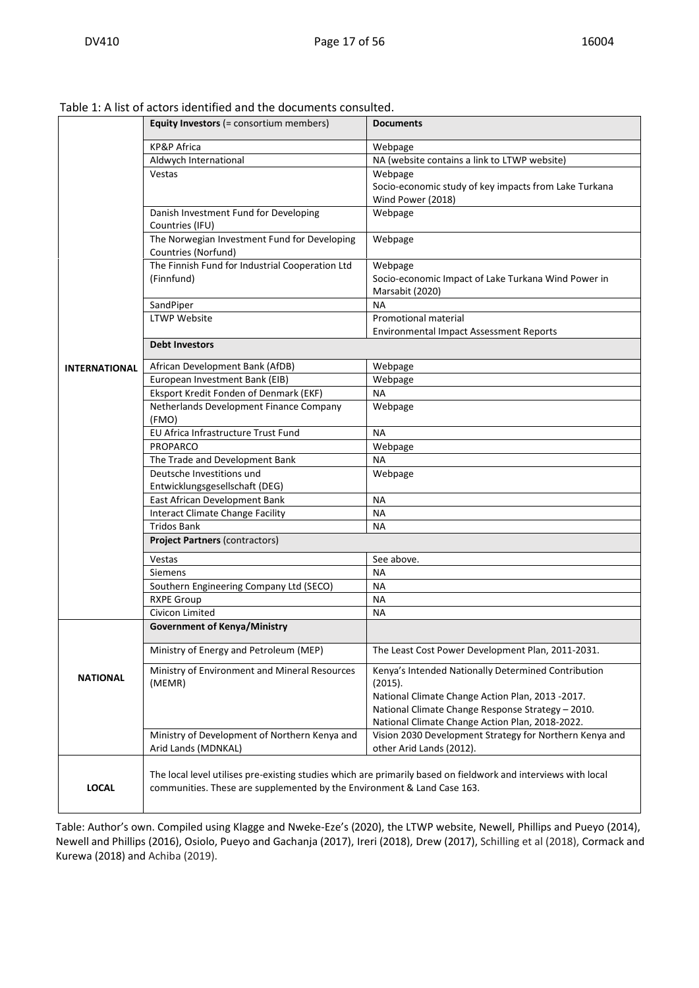|                      | Equity Investors (= consortium members)                                 | <b>Documents</b>                                                                                               |
|----------------------|-------------------------------------------------------------------------|----------------------------------------------------------------------------------------------------------------|
|                      | <b>KP&amp;P Africa</b>                                                  | Webpage                                                                                                        |
|                      | Aldwych International                                                   | NA (website contains a link to LTWP website)                                                                   |
|                      | Vestas                                                                  | Webpage                                                                                                        |
|                      |                                                                         | Socio-economic study of key impacts from Lake Turkana                                                          |
|                      |                                                                         | Wind Power (2018)                                                                                              |
|                      | Danish Investment Fund for Developing<br>Countries (IFU)                | Webpage                                                                                                        |
|                      | The Norwegian Investment Fund for Developing<br>Countries (Norfund)     | Webpage                                                                                                        |
|                      | The Finnish Fund for Industrial Cooperation Ltd                         | Webpage                                                                                                        |
|                      | (Finnfund)                                                              | Socio-economic Impact of Lake Turkana Wind Power in                                                            |
|                      | SandPiper                                                               | Marsabit (2020)<br><b>NA</b>                                                                                   |
|                      | <b>LTWP Website</b>                                                     | Promotional material                                                                                           |
|                      |                                                                         | <b>Environmental Impact Assessment Reports</b>                                                                 |
|                      | <b>Debt Investors</b>                                                   |                                                                                                                |
|                      |                                                                         |                                                                                                                |
| <b>INTERNATIONAL</b> | African Development Bank (AfDB)                                         | Webpage                                                                                                        |
|                      | European Investment Bank (EIB)                                          | Webpage                                                                                                        |
|                      | Eksport Kredit Fonden of Denmark (EKF)                                  | <b>NA</b>                                                                                                      |
|                      | Netherlands Development Finance Company<br>(FMO)                        | Webpage                                                                                                        |
|                      | EU Africa Infrastructure Trust Fund                                     | <b>NA</b>                                                                                                      |
|                      | PROPARCO                                                                | Webpage                                                                                                        |
|                      | The Trade and Development Bank                                          | <b>NA</b>                                                                                                      |
|                      | Deutsche Investitions und                                               | Webpage                                                                                                        |
|                      | Entwicklungsgesellschaft (DEG)                                          |                                                                                                                |
|                      | East African Development Bank                                           | <b>NA</b>                                                                                                      |
|                      | <b>Interact Climate Change Facility</b>                                 | <b>NA</b>                                                                                                      |
|                      | <b>Tridos Bank</b>                                                      | <b>NA</b>                                                                                                      |
|                      | <b>Project Partners (contractors)</b>                                   |                                                                                                                |
|                      | Vestas                                                                  | See above.                                                                                                     |
|                      | <b>Siemens</b>                                                          | <b>NA</b>                                                                                                      |
|                      | Southern Engineering Company Ltd (SECO)                                 | NА                                                                                                             |
|                      | <b>RXPE Group</b>                                                       | NА                                                                                                             |
|                      | Civicon Limited                                                         | <b>NA</b>                                                                                                      |
|                      | <b>Government of Kenya/Ministry</b>                                     |                                                                                                                |
|                      | Ministry of Energy and Petroleum (MEP)                                  | The Least Cost Power Development Plan, 2011-2031.                                                              |
| <b>NATIONAL</b>      | Ministry of Environment and Mineral Resources<br>(MEMR)                 | Kenya's Intended Nationally Determined Contribution<br>(2015).                                                 |
|                      |                                                                         | National Climate Change Action Plan, 2013 -2017.                                                               |
|                      |                                                                         | National Climate Change Response Strategy - 2010.                                                              |
|                      |                                                                         | National Climate Change Action Plan, 2018-2022.                                                                |
|                      | Ministry of Development of Northern Kenya and                           | Vision 2030 Development Strategy for Northern Kenya and                                                        |
|                      | Arid Lands (MDNKAL)                                                     | other Arid Lands (2012).                                                                                       |
| <b>LOCAL</b>         | communities. These are supplemented by the Environment & Land Case 163. | The local level utilises pre-existing studies which are primarily based on fieldwork and interviews with local |
|                      |                                                                         |                                                                                                                |

Table 1: A list of actors identified and the documents consulted.

Table: Author's own. Compiled using Klagge and Nweke-Eze's (2020), the LTWP website, Newell, Phillips and Pueyo (2014), Newell and Phillips (2016), Osiolo, Pueyo and Gachanja (2017), Ireri (2018), Drew (2017), Schilling et al (2018), Cormack and Kurewa (2018) and Achiba (2019).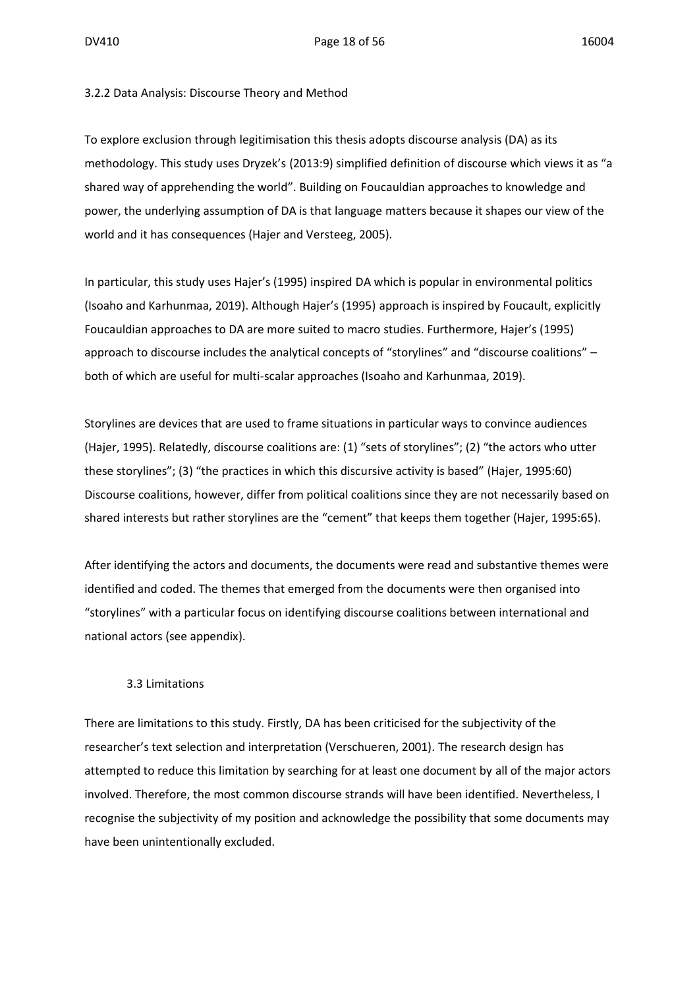#### 3.2.2 Data Analysis: Discourse Theory and Method

To explore exclusion through legitimisation this thesis adopts discourse analysis (DA) as its methodology. This study uses Dryzek's (2013:9) simplified definition of discourse which views it as "a shared way of apprehending the world". Building on Foucauldian approaches to knowledge and power, the underlying assumption of DA is that language matters because it shapes our view of the world and it has consequences (Hajer and Versteeg, 2005).

In particular, this study uses Hajer's (1995) inspired DA which is popular in environmental politics (Isoaho and Karhunmaa, 2019). Although Hajer's (1995) approach is inspired by Foucault, explicitly Foucauldian approaches to DA are more suited to macro studies. Furthermore, Hajer's (1995) approach to discourse includes the analytical concepts of "storylines" and "discourse coalitions" – both of which are useful for multi-scalar approaches (Isoaho and Karhunmaa, 2019).

Storylines are devices that are used to frame situations in particular ways to convince audiences (Hajer, 1995). Relatedly, discourse coalitions are: (1) "sets of storylines"; (2) "the actors who utter these storylines"; (3) "the practices in which this discursive activity is based" (Hajer, 1995:60) Discourse coalitions, however, differ from political coalitions since they are not necessarily based on shared interests but rather storylines are the "cement" that keeps them together (Hajer, 1995:65).

After identifying the actors and documents, the documents were read and substantive themes were identified and coded. The themes that emerged from the documents were then organised into "storylines" with a particular focus on identifying discourse coalitions between international and national actors (see appendix).

#### 3.3 Limitations

There are limitations to this study. Firstly, DA has been criticised for the subjectivity of the researcher's text selection and interpretation (Verschueren, 2001). The research design has attempted to reduce this limitation by searching for at least one document by all of the major actors involved. Therefore, the most common discourse strands will have been identified. Nevertheless, I recognise the subjectivity of my position and acknowledge the possibility that some documents may have been unintentionally excluded.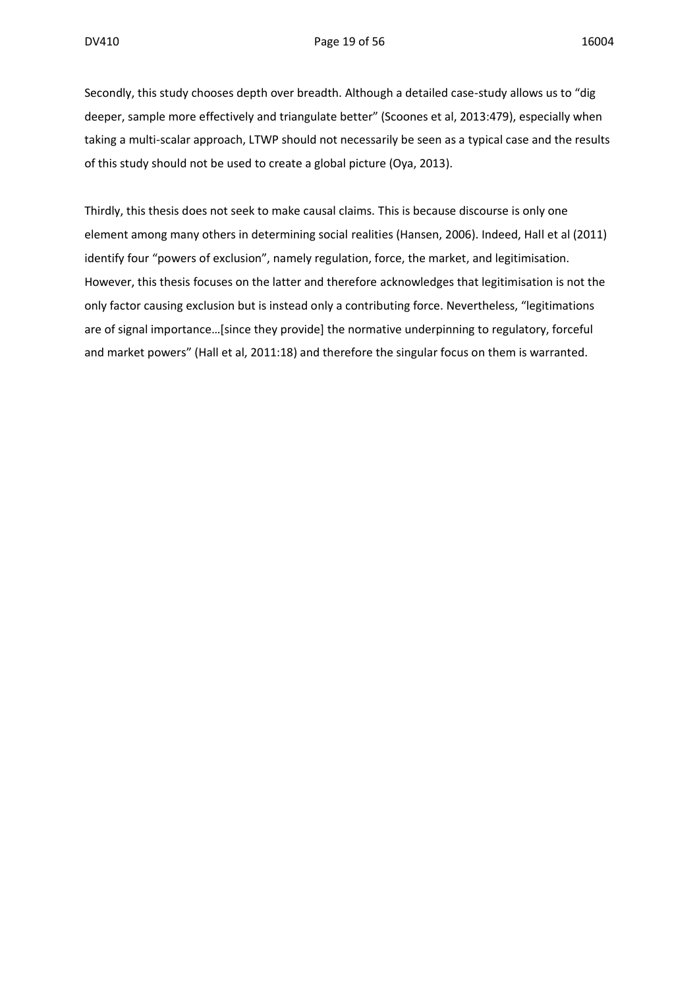Secondly, this study chooses depth over breadth. Although a detailed case-study allows us to "dig deeper, sample more effectively and triangulate better" (Scoones et al, 2013:479), especially when taking a multi-scalar approach, LTWP should not necessarily be seen as a typical case and the results of this study should not be used to create a global picture (Oya, 2013).

Thirdly, this thesis does not seek to make causal claims. This is because discourse is only one element among many others in determining social realities (Hansen, 2006). Indeed, Hall et al (2011) identify four "powers of exclusion", namely regulation, force, the market, and legitimisation. However, this thesis focuses on the latter and therefore acknowledges that legitimisation is not the only factor causing exclusion but is instead only a contributing force. Nevertheless, "legitimations are of signal importance…[since they provide] the normative underpinning to regulatory, forceful and market powers" (Hall et al, 2011:18) and therefore the singular focus on them is warranted.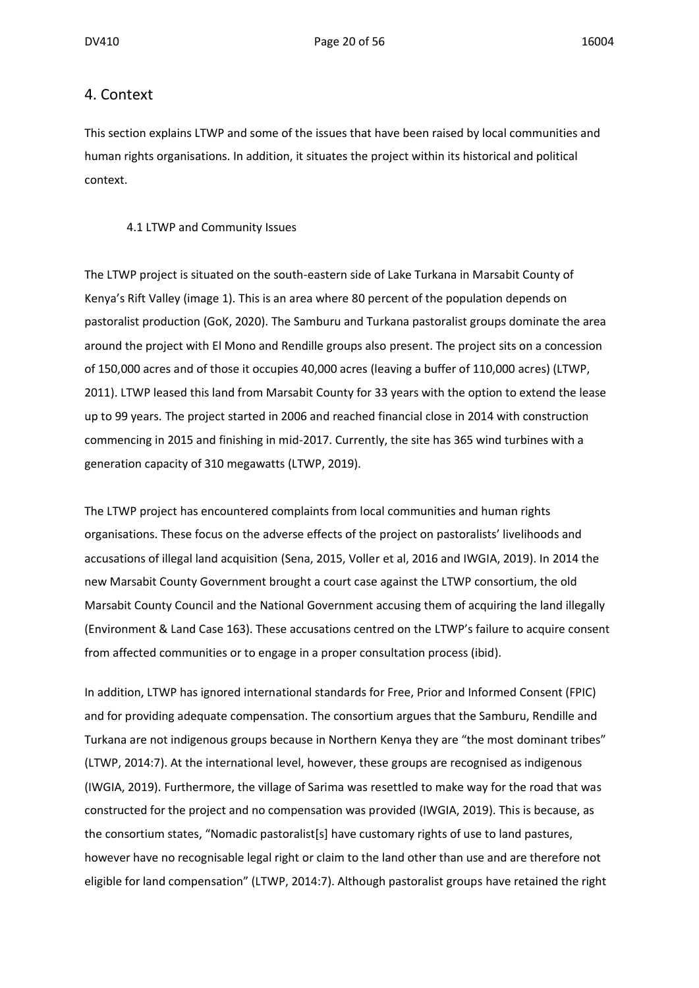#### 4. Context

This section explains LTWP and some of the issues that have been raised by local communities and human rights organisations. In addition, it situates the project within its historical and political context.

#### 4.1 LTWP and Community Issues

The LTWP project is situated on the south-eastern side of Lake Turkana in Marsabit County of Kenya's Rift Valley (image 1). This is an area where 80 percent of the population depends on pastoralist production (GoK, 2020). The Samburu and Turkana pastoralist groups dominate the area around the project with El Mono and Rendille groups also present. The project sits on a concession of 150,000 acres and of those it occupies 40,000 acres (leaving a buffer of 110,000 acres) (LTWP, 2011). LTWP leased this land from Marsabit County for 33 years with the option to extend the lease up to 99 years. The project started in 2006 and reached financial close in 2014 with construction commencing in 2015 and finishing in mid-2017. Currently, the site has 365 wind turbines with a generation capacity of 310 megawatts (LTWP, 2019).

The LTWP project has encountered complaints from local communities and human rights organisations. These focus on the adverse effects of the project on pastoralists' livelihoods and accusations of illegal land acquisition (Sena, 2015, Voller et al, 2016 and IWGIA, 2019). In 2014 the new Marsabit County Government brought a court case against the LTWP consortium, the old Marsabit County Council and the National Government accusing them of acquiring the land illegally (Environment & Land Case 163). These accusations centred on the LTWP's failure to acquire consent from affected communities or to engage in a proper consultation process (ibid).

In addition, LTWP has ignored international standards for Free, Prior and Informed Consent (FPIC) and for providing adequate compensation. The consortium argues that the Samburu, Rendille and Turkana are not indigenous groups because in Northern Kenya they are "the most dominant tribes" (LTWP, 2014:7). At the international level, however, these groups are recognised as indigenous (IWGIA, 2019). Furthermore, the village of Sarima was resettled to make way for the road that was constructed for the project and no compensation was provided (IWGIA, 2019). This is because, as the consortium states, "Nomadic pastoralist[s] have customary rights of use to land pastures, however have no recognisable legal right or claim to the land other than use and are therefore not eligible for land compensation" (LTWP, 2014:7). Although pastoralist groups have retained the right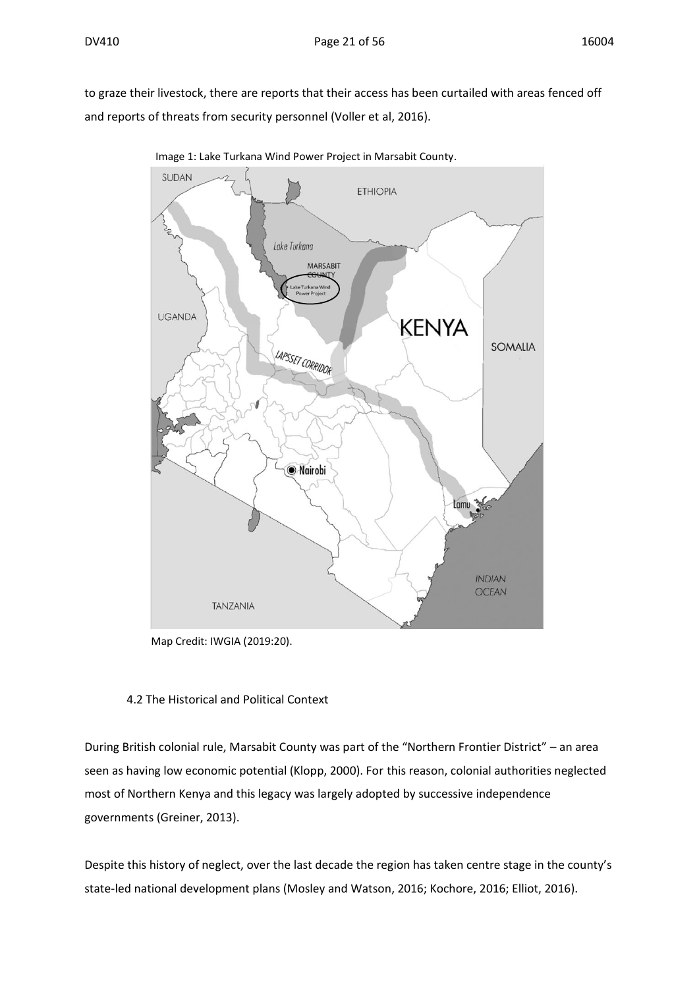to graze their livestock, there are reports that their access has been curtailed with areas fenced off and reports of threats from security personnel (Voller et al, 2016).



Image 1: Lake Turkana Wind Power Project in Marsabit County.

Map Credit: IWGIA (2019:20).

#### 4.2 The Historical and Political Context

During British colonial rule, Marsabit County was part of the "Northern Frontier District" – an area seen as having low economic potential (Klopp, 2000). For this reason, colonial authorities neglected most of Northern Kenya and this legacy was largely adopted by successive independence governments (Greiner, 2013).

Despite this history of neglect, over the last decade the region has taken centre stage in the county's state-led national development plans (Mosley and Watson, 2016; Kochore, 2016; Elliot, 2016).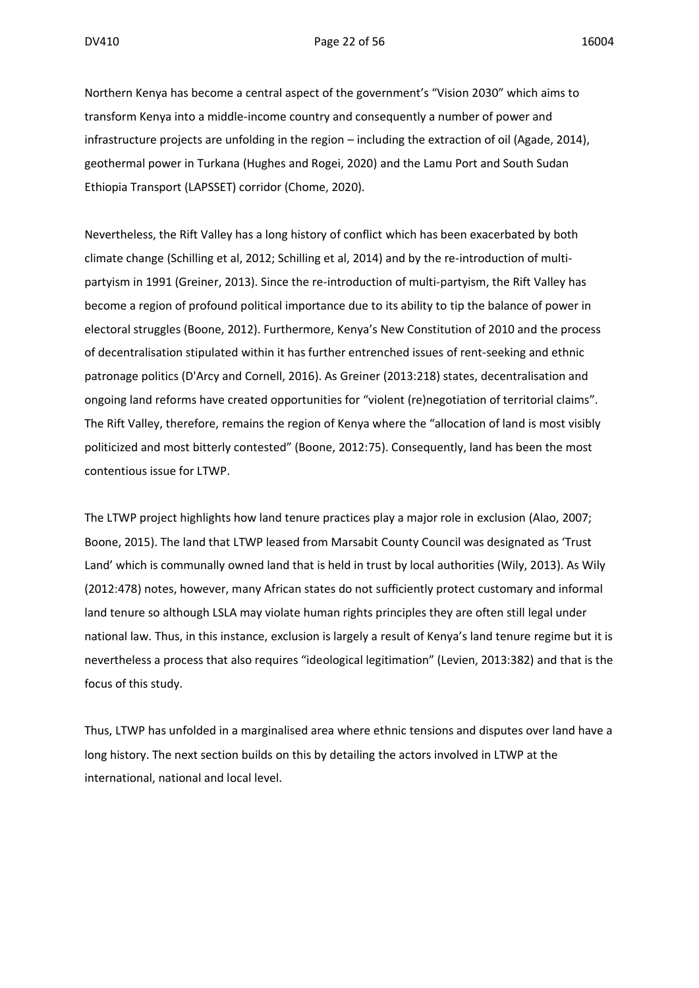Northern Kenya has become a central aspect of the government's "Vision 2030" which aims to transform Kenya into a middle-income country and consequently a number of power and infrastructure projects are unfolding in the region – including the extraction of oil (Agade, 2014), geothermal power in Turkana (Hughes and Rogei, 2020) and the Lamu Port and South Sudan Ethiopia Transport (LAPSSET) corridor (Chome, 2020).

Nevertheless, the Rift Valley has a long history of conflict which has been exacerbated by both climate change (Schilling et al, 2012; Schilling et al, 2014) and by the re-introduction of multipartyism in 1991 (Greiner, 2013). Since the re-introduction of multi-partyism, the Rift Valley has become a region of profound political importance due to its ability to tip the balance of power in electoral struggles (Boone, 2012). Furthermore, Kenya's New Constitution of 2010 and the process of decentralisation stipulated within it has further entrenched issues of rent-seeking and ethnic patronage politics (D'Arcy and Cornell, 2016). As Greiner (2013:218) states, decentralisation and ongoing land reforms have created opportunities for "violent (re)negotiation of territorial claims". The Rift Valley, therefore, remains the region of Kenya where the "allocation of land is most visibly politicized and most bitterly contested" (Boone, 2012:75). Consequently, land has been the most contentious issue for LTWP.

The LTWP project highlights how land tenure practices play a major role in exclusion (Alao, 2007; Boone, 2015). The land that LTWP leased from Marsabit County Council was designated as 'Trust Land' which is communally owned land that is held in trust by local authorities (Wily, 2013). As Wily (2012:478) notes, however, many African states do not sufficiently protect customary and informal land tenure so although LSLA may violate human rights principles they are often still legal under national law. Thus, in this instance, exclusion is largely a result of Kenya's land tenure regime but it is nevertheless a process that also requires "ideological legitimation" (Levien, 2013:382) and that is the focus of this study.

Thus, LTWP has unfolded in a marginalised area where ethnic tensions and disputes over land have a long history. The next section builds on this by detailing the actors involved in LTWP at the international, national and local level.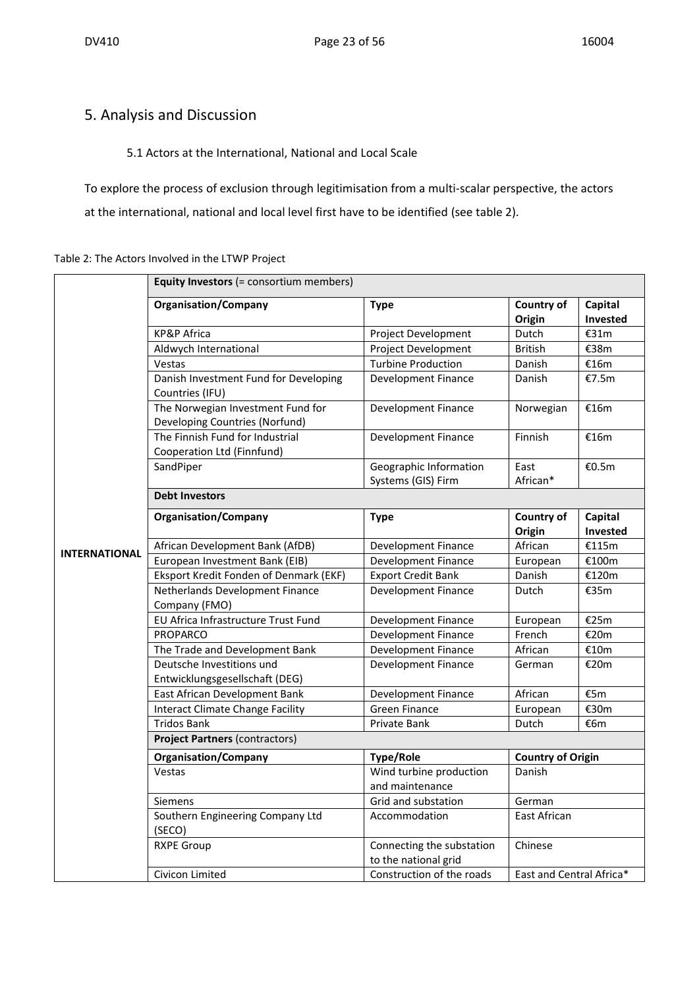## 5. Analysis and Discussion

#### 5.1 Actors at the International, National and Local Scale

To explore the process of exclusion through legitimisation from a multi-scalar perspective, the actors at the international, national and local level first have to be identified (see table 2).

#### Table 2: The Actors Involved in the LTWP Project

|                      | <b>Equity Investors (= consortium members)</b>                      |                                                   |                          |                     |  |
|----------------------|---------------------------------------------------------------------|---------------------------------------------------|--------------------------|---------------------|--|
|                      | <b>Organisation/Company</b>                                         | <b>Type</b>                                       | Country of<br>Origin     | Capital<br>Invested |  |
|                      | <b>KP&amp;P Africa</b>                                              | Project Development                               | Dutch                    | €31m                |  |
|                      | Aldwych International                                               | Project Development                               | <b>British</b>           | €38m                |  |
|                      | Vestas                                                              | <b>Turbine Production</b>                         | Danish                   | €16m                |  |
|                      | Danish Investment Fund for Developing<br>Countries (IFU)            | <b>Development Finance</b>                        | Danish                   | €7.5m               |  |
|                      | The Norwegian Investment Fund for<br>Developing Countries (Norfund) | Development Finance                               | Norwegian                | €16m                |  |
|                      | The Finnish Fund for Industrial<br>Cooperation Ltd (Finnfund)       | <b>Development Finance</b>                        | Finnish                  | €16m                |  |
|                      | SandPiper                                                           | Geographic Information<br>Systems (GIS) Firm      | East<br>African*         | €0.5m               |  |
|                      | <b>Debt Investors</b>                                               |                                                   |                          |                     |  |
|                      | <b>Organisation/Company</b>                                         | <b>Type</b>                                       | Country of<br>Origin     | Capital<br>Invested |  |
|                      | African Development Bank (AfDB)                                     | <b>Development Finance</b>                        | African                  | €115m               |  |
| <b>INTERNATIONAL</b> | European Investment Bank (EIB)                                      | <b>Development Finance</b>                        | European                 | €100m               |  |
|                      | Eksport Kredit Fonden of Denmark (EKF)                              | <b>Export Credit Bank</b>                         | Danish                   | €120m               |  |
|                      | Netherlands Development Finance<br>Company (FMO)                    | Development Finance                               | Dutch                    | €35m                |  |
|                      | EU Africa Infrastructure Trust Fund                                 | <b>Development Finance</b>                        | European                 | €25m                |  |
|                      | PROPARCO                                                            | <b>Development Finance</b>                        | French                   | €20m                |  |
|                      | The Trade and Development Bank                                      | <b>Development Finance</b>                        | African                  | €10m                |  |
|                      | Deutsche Investitions und<br>Entwicklungsgesellschaft (DEG)         | <b>Development Finance</b>                        | German                   | €20m                |  |
|                      | East African Development Bank                                       | Development Finance                               | African                  | €5m                 |  |
|                      | <b>Interact Climate Change Facility</b>                             | <b>Green Finance</b>                              | European                 | €30m                |  |
|                      | <b>Tridos Bank</b>                                                  | Private Bank                                      | Dutch                    | €6m                 |  |
|                      | <b>Project Partners (contractors)</b>                               |                                                   |                          |                     |  |
|                      | <b>Organisation/Company</b>                                         | <b>Type/Role</b>                                  | <b>Country of Origin</b> |                     |  |
|                      | Vestas                                                              | Wind turbine production<br>and maintenance        | Danish                   |                     |  |
|                      | Siemens                                                             | Grid and substation                               | German                   |                     |  |
|                      | Southern Engineering Company Ltd<br>(SECO)                          | Accommodation                                     | East African             |                     |  |
|                      | <b>RXPE Group</b>                                                   | Connecting the substation<br>to the national grid | Chinese                  |                     |  |
|                      | Civicon Limited                                                     | Construction of the roads                         | East and Central Africa* |                     |  |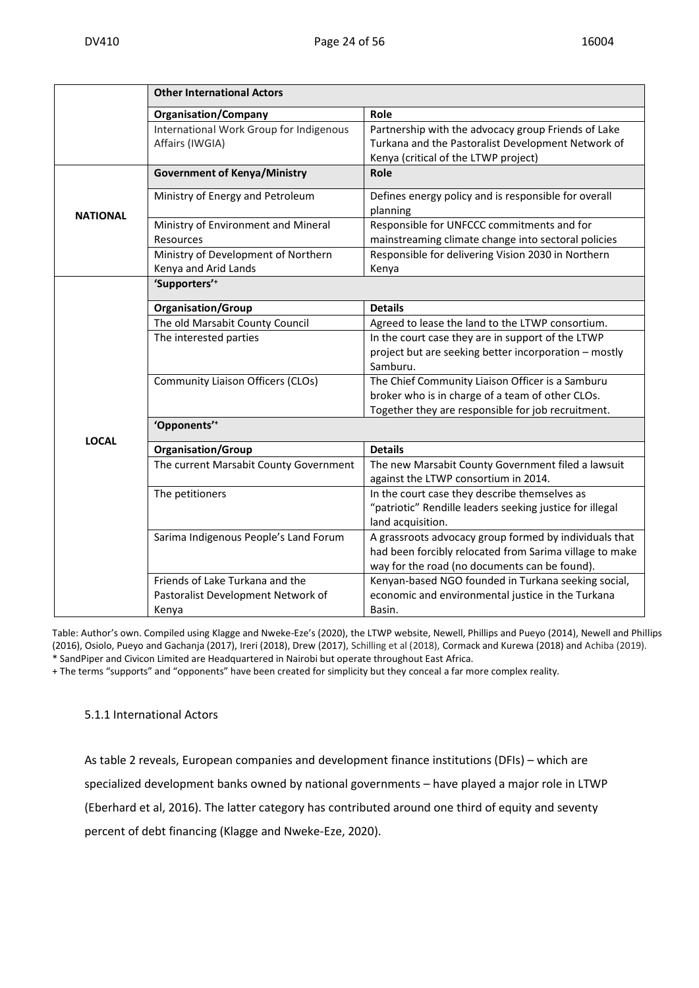|                 | <b>Other International Actors</b>       |                                                          |
|-----------------|-----------------------------------------|----------------------------------------------------------|
|                 | <b>Organisation/Company</b>             | Role                                                     |
|                 | International Work Group for Indigenous | Partnership with the advocacy group Friends of Lake      |
|                 | Affairs (IWGIA)                         | Turkana and the Pastoralist Development Network of       |
|                 |                                         | Kenya (critical of the LTWP project)                     |
|                 | <b>Government of Kenya/Ministry</b>     | Role                                                     |
|                 | Ministry of Energy and Petroleum        | Defines energy policy and is responsible for overall     |
| <b>NATIONAL</b> |                                         | planning                                                 |
|                 | Ministry of Environment and Mineral     | Responsible for UNFCCC commitments and for               |
|                 | Resources                               | mainstreaming climate change into sectoral policies      |
|                 | Ministry of Development of Northern     | Responsible for delivering Vision 2030 in Northern       |
|                 | Kenya and Arid Lands                    | Kenya                                                    |
|                 | 'Supporters' <sup>+</sup>               |                                                          |
|                 | <b>Organisation/Group</b>               | <b>Details</b>                                           |
|                 | The old Marsabit County Council         | Agreed to lease the land to the LTWP consortium.         |
|                 | The interested parties                  | In the court case they are in support of the LTWP        |
|                 |                                         | project but are seeking better incorporation - mostly    |
|                 |                                         | Samburu.                                                 |
|                 | Community Liaison Officers (CLOs)       | The Chief Community Liaison Officer is a Samburu         |
|                 |                                         | broker who is in charge of a team of other CLOs.         |
|                 |                                         | Together they are responsible for job recruitment.       |
|                 | 'Opponents' <sup>+</sup>                |                                                          |
| <b>LOCAL</b>    | <b>Organisation/Group</b>               | <b>Details</b>                                           |
|                 | The current Marsabit County Government  | The new Marsabit County Government filed a lawsuit       |
|                 |                                         | against the LTWP consortium in 2014.                     |
|                 | The petitioners                         | In the court case they describe themselves as            |
|                 |                                         | "patriotic" Rendille leaders seeking justice for illegal |
|                 |                                         | land acquisition.                                        |
|                 | Sarima Indigenous People's Land Forum   | A grassroots advocacy group formed by individuals that   |
|                 |                                         | had been forcibly relocated from Sarima village to make  |
|                 |                                         | way for the road (no documents can be found).            |
|                 | Friends of Lake Turkana and the         | Kenyan-based NGO founded in Turkana seeking social,      |
|                 | Pastoralist Development Network of      | economic and environmental justice in the Turkana        |
|                 | Kenya                                   | Basin.                                                   |

Table: Author's own. Compiled using Klagge and Nweke-Eze's (2020), the LTWP website, Newell, Phillips and Pueyo (2014), Newell and Phillips (2016), Osiolo, Pueyo and Gachanja (2017), Ireri (2018), Drew (2017), Schilling et al (2018), Cormack and Kurewa (2018) and Achiba (2019). \* SandPiper and Civicon Limited are Headquartered in Nairobi but operate throughout East Africa.

+ The terms "supports" and "opponents" have been created for simplicity but they conceal a far more complex reality.

#### 5.1.1 International Actors

As table 2 reveals, European companies and development finance institutions (DFIs) – which are specialized development banks owned by national governments – have played a major role in LTWP (Eberhard et al, 2016). The latter category has contributed around one third of equity and seventy percent of debt financing (Klagge and Nweke-Eze, 2020).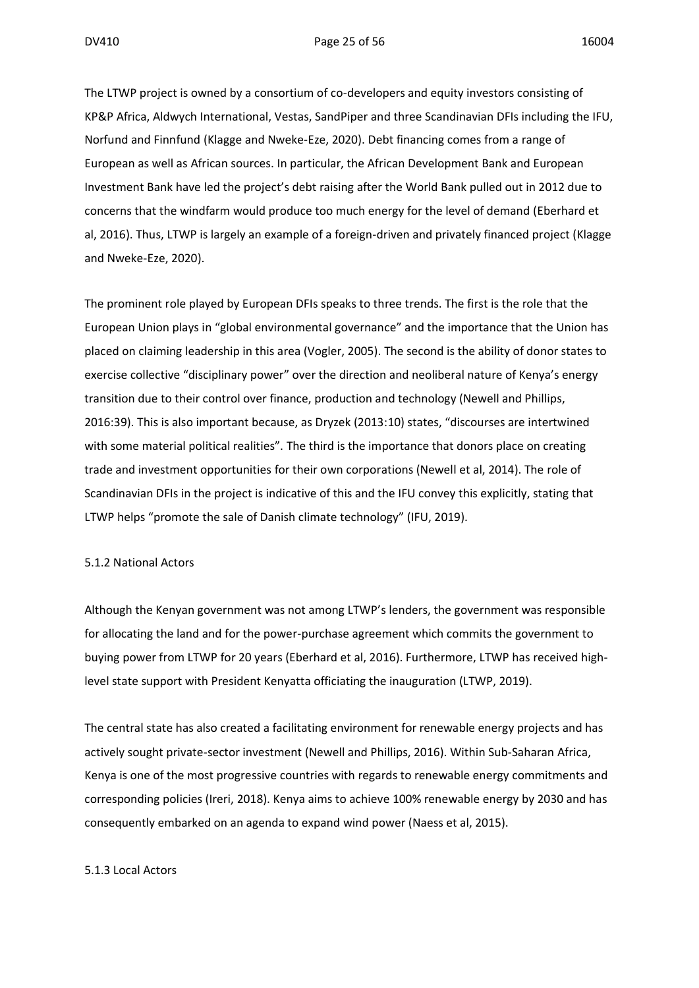#### DV410 **Page 25 of 56** 16004

The LTWP project is owned by a consortium of co-developers and equity investors consisting of KP&P Africa, Aldwych International, Vestas, SandPiper and three Scandinavian DFIs including the IFU, Norfund and Finnfund (Klagge and Nweke-Eze, 2020). Debt financing comes from a range of European as well as African sources. In particular, the African Development Bank and European Investment Bank have led the project's debt raising after the World Bank pulled out in 2012 due to concerns that the windfarm would produce too much energy for the level of demand (Eberhard et al, 2016). Thus, LTWP is largely an example of a foreign-driven and privately financed project (Klagge and Nweke-Eze, 2020).

The prominent role played by European DFIs speaks to three trends. The first is the role that the European Union plays in "global environmental governance" and the importance that the Union has placed on claiming leadership in this area (Vogler, 2005). The second is the ability of donor states to exercise collective "disciplinary power" over the direction and neoliberal nature of Kenya's energy transition due to their control over finance, production and technology (Newell and Phillips, 2016:39). This is also important because, as Dryzek (2013:10) states, "discourses are intertwined with some material political realities". The third is the importance that donors place on creating trade and investment opportunities for their own corporations (Newell et al, 2014). The role of Scandinavian DFIs in the project is indicative of this and the IFU convey this explicitly, stating that LTWP helps "promote the sale of Danish climate technology" (IFU, 2019).

#### 5.1.2 National Actors

Although the Kenyan government was not among LTWP's lenders, the government was responsible for allocating the land and for the power-purchase agreement which commits the government to buying power from LTWP for 20 years (Eberhard et al, 2016). Furthermore, LTWP has received highlevel state support with President Kenyatta officiating the inauguration (LTWP, 2019).

The central state has also created a facilitating environment for renewable energy projects and has actively sought private-sector investment (Newell and Phillips, 2016). Within Sub-Saharan Africa, Kenya is one of the most progressive countries with regards to renewable energy commitments and corresponding policies (Ireri, 2018). Kenya aims to achieve 100% renewable energy by 2030 and has consequently embarked on an agenda to expand wind power (Naess et al, 2015).

#### 5.1.3 Local Actors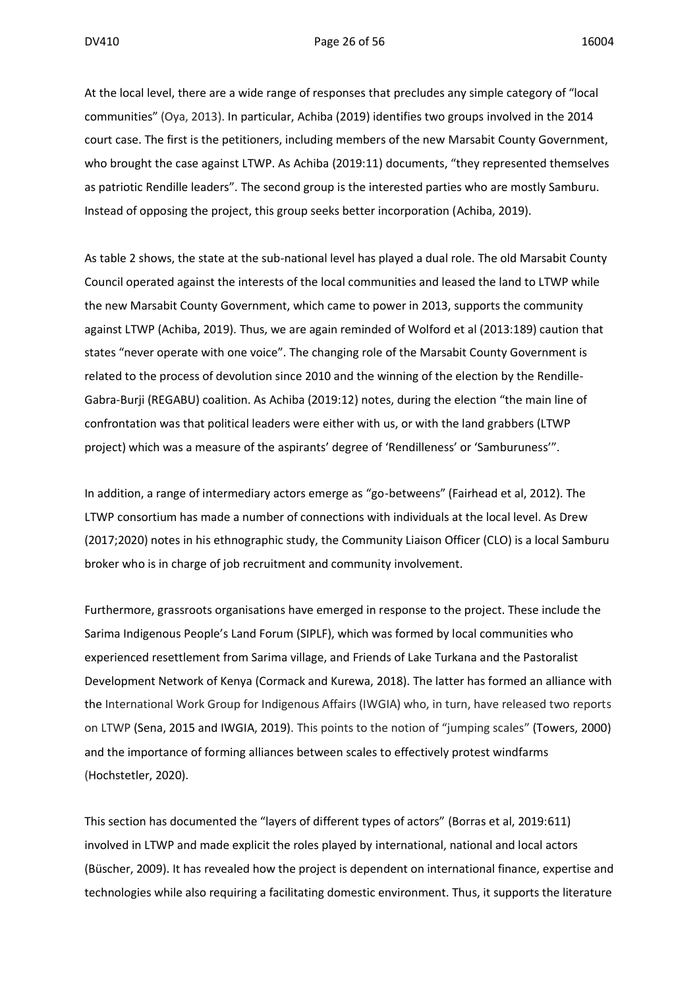At the local level, there are a wide range of responses that precludes any simple category of "local communities" (Oya, 2013). In particular, Achiba (2019) identifies two groups involved in the 2014 court case. The first is the petitioners, including members of the new Marsabit County Government, who brought the case against LTWP. As Achiba (2019:11) documents, "they represented themselves as patriotic Rendille leaders". The second group is the interested parties who are mostly Samburu. Instead of opposing the project, this group seeks better incorporation (Achiba, 2019).

As table 2 shows, the state at the sub-national level has played a dual role. The old Marsabit County Council operated against the interests of the local communities and leased the land to LTWP while the new Marsabit County Government, which came to power in 2013, supports the community against LTWP (Achiba, 2019). Thus, we are again reminded of Wolford et al (2013:189) caution that states "never operate with one voice". The changing role of the Marsabit County Government is related to the process of devolution since 2010 and the winning of the election by the Rendille-Gabra-Burji (REGABU) coalition. As Achiba (2019:12) notes, during the election "the main line of confrontation was that political leaders were either with us, or with the land grabbers (LTWP project) which was a measure of the aspirants' degree of 'Rendilleness' or 'Samburuness'".

In addition, a range of intermediary actors emerge as "go-betweens" (Fairhead et al, 2012). The LTWP consortium has made a number of connections with individuals at the local level. As Drew (2017;2020) notes in his ethnographic study, the Community Liaison Officer (CLO) is a local Samburu broker who is in charge of job recruitment and community involvement.

Furthermore, grassroots organisations have emerged in response to the project. These include the Sarima Indigenous People's Land Forum (SIPLF), which was formed by local communities who experienced resettlement from Sarima village, and Friends of Lake Turkana and the Pastoralist Development Network of Kenya (Cormack and Kurewa, 2018). The latter has formed an alliance with the International Work Group for Indigenous Affairs (IWGIA) who, in turn, have released two reports on LTWP (Sena, 2015 and IWGIA, 2019). This points to the notion of "jumping scales" (Towers, 2000) and the importance of forming alliances between scales to effectively protest windfarms (Hochstetler, 2020).

This section has documented the "layers of different types of actors" (Borras et al, 2019:611) involved in LTWP and made explicit the roles played by international, national and local actors (Büscher, 2009). It has revealed how the project is dependent on international finance, expertise and technologies while also requiring a facilitating domestic environment. Thus, it supports the literature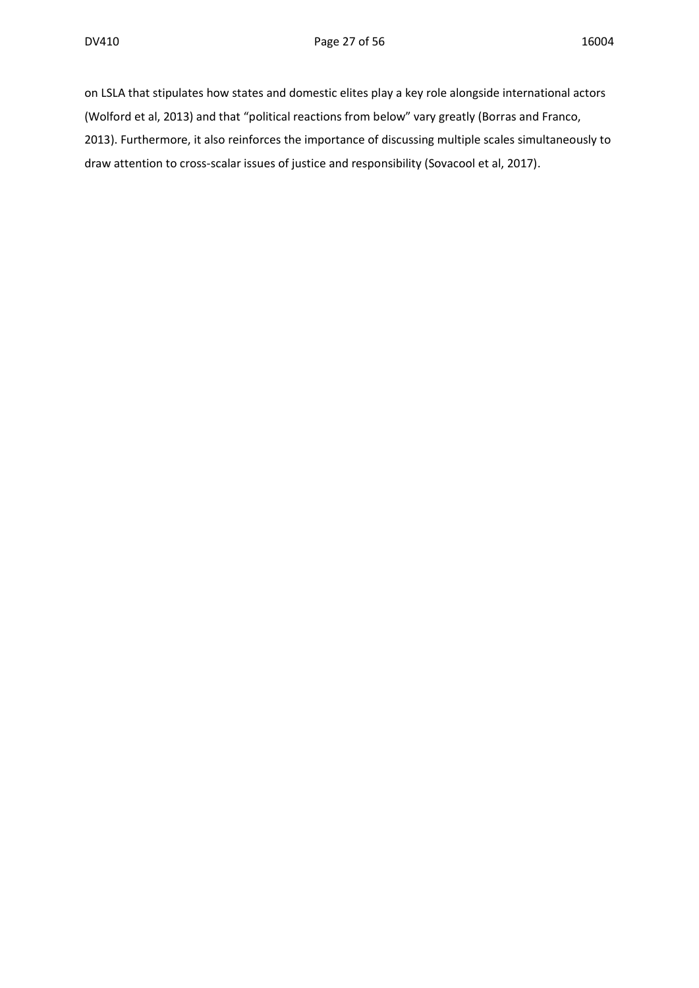on LSLA that stipulates how states and domestic elites play a key role alongside international actors (Wolford et al, 2013) and that "political reactions from below" vary greatly (Borras and Franco, 2013). Furthermore, it also reinforces the importance of discussing multiple scales simultaneously to draw attention to cross-scalar issues of justice and responsibility (Sovacool et al, 2017).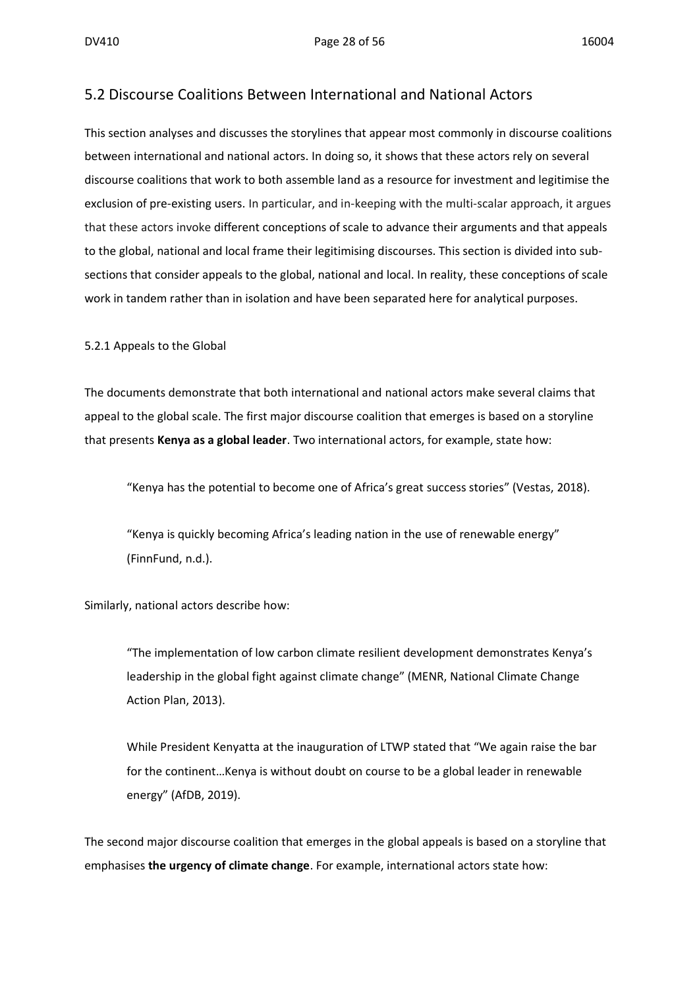#### 5.2 Discourse Coalitions Between International and National Actors

This section analyses and discusses the storylines that appear most commonly in discourse coalitions between international and national actors. In doing so, it shows that these actors rely on several discourse coalitions that work to both assemble land as a resource for investment and legitimise the exclusion of pre-existing users. In particular, and in-keeping with the multi-scalar approach, it argues that these actors invoke different conceptions of scale to advance their arguments and that appeals to the global, national and local frame their legitimising discourses. This section is divided into subsections that consider appeals to the global, national and local. In reality, these conceptions of scale work in tandem rather than in isolation and have been separated here for analytical purposes.

5.2.1 Appeals to the Global

The documents demonstrate that both international and national actors make several claims that appeal to the global scale. The first major discourse coalition that emerges is based on a storyline that presents **Kenya as a global leader**. Two international actors, for example, state how:

"Kenya has the potential to become one of Africa's great success stories" (Vestas, 2018).

"Kenya is quickly becoming Africa's leading nation in the use of renewable energy" (FinnFund, n.d.).

Similarly, national actors describe how:

"The implementation of low carbon climate resilient development demonstrates Kenya's leadership in the global fight against climate change" (MENR, National Climate Change Action Plan, 2013).

While President Kenyatta at the inauguration of LTWP stated that "We again raise the bar for the continent…Kenya is without doubt on course to be a global leader in renewable energy" (AfDB, 2019).

The second major discourse coalition that emerges in the global appeals is based on a storyline that emphasises **the urgency of climate change**. For example, international actors state how: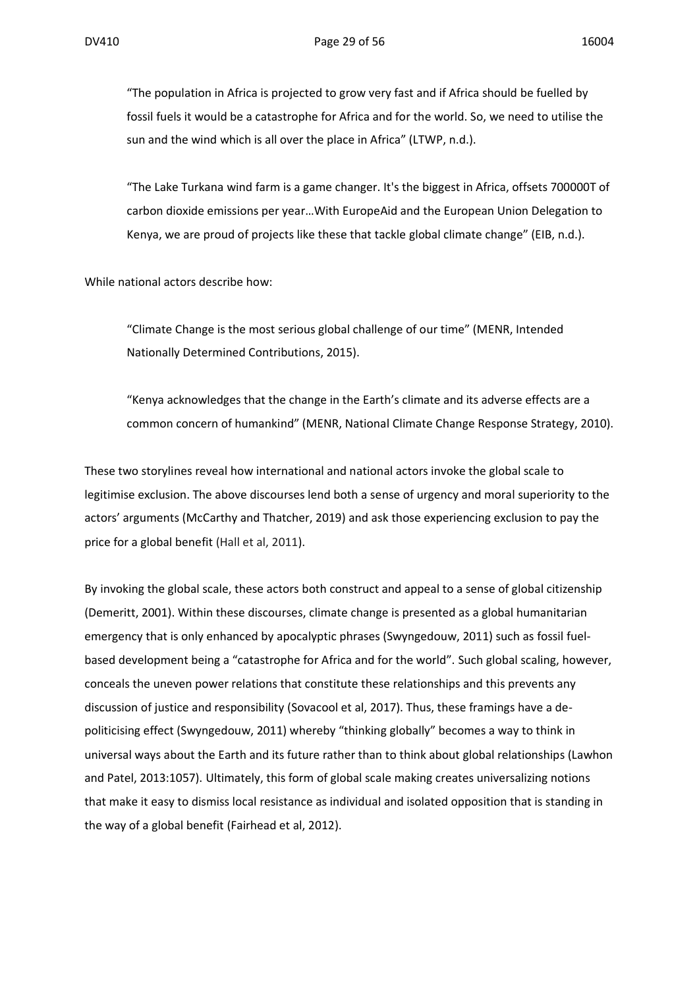"The population in Africa is projected to grow very fast and if Africa should be fuelled by fossil fuels it would be a catastrophe for Africa and for the world. So, we need to utilise the sun and the wind which is all over the place in Africa" (LTWP, n.d.).

"The Lake Turkana wind farm is a game changer. It's the biggest in Africa, offsets 700000T of carbon dioxide emissions per year…With EuropeAid and the European Union Delegation to Kenya, we are proud of projects like these that tackle global climate change" (EIB, n.d.).

While national actors describe how:

"Climate Change is the most serious global challenge of our time" (MENR, Intended Nationally Determined Contributions, 2015).

"Kenya acknowledges that the change in the Earth's climate and its adverse effects are a common concern of humankind" (MENR, National Climate Change Response Strategy, 2010).

These two storylines reveal how international and national actors invoke the global scale to legitimise exclusion. The above discourses lend both a sense of urgency and moral superiority to the actors' arguments (McCarthy and Thatcher, 2019) and ask those experiencing exclusion to pay the price for a global benefit (Hall et al, 2011).

By invoking the global scale, these actors both construct and appeal to a sense of global citizenship (Demeritt, 2001). Within these discourses, climate change is presented as a global humanitarian emergency that is only enhanced by apocalyptic phrases (Swyngedouw, 2011) such as fossil fuelbased development being a "catastrophe for Africa and for the world". Such global scaling, however, conceals the uneven power relations that constitute these relationships and this prevents any discussion of justice and responsibility (Sovacool et al, 2017). Thus, these framings have a depoliticising effect (Swyngedouw, 2011) whereby "thinking globally" becomes a way to think in universal ways about the Earth and its future rather than to think about global relationships (Lawhon and Patel, 2013:1057). Ultimately, this form of global scale making creates universalizing notions that make it easy to dismiss local resistance as individual and isolated opposition that is standing in the way of a global benefit (Fairhead et al, 2012).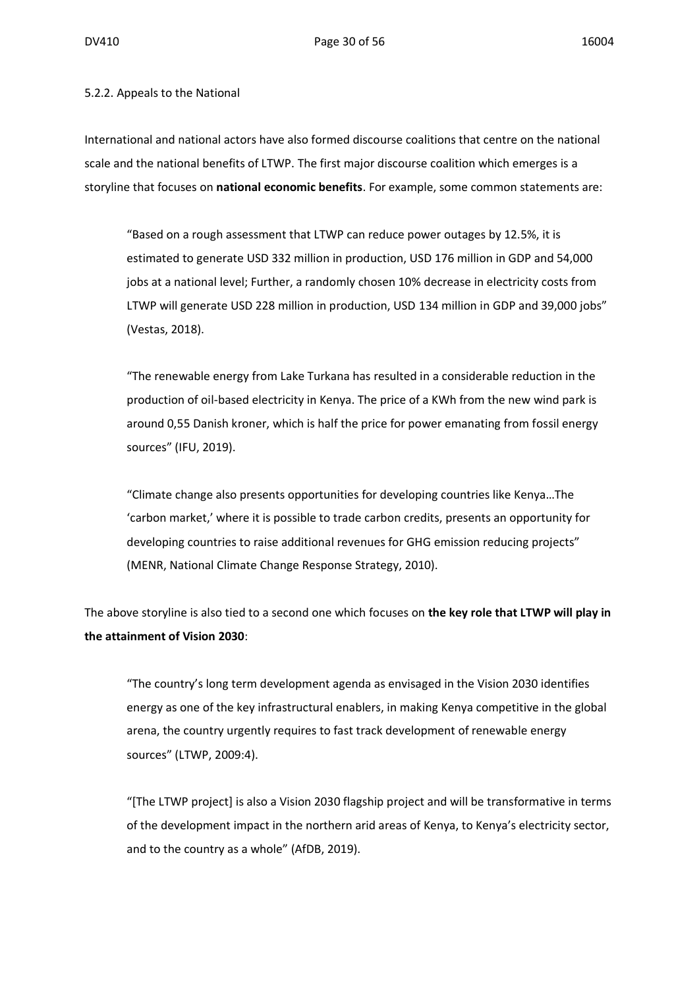#### 5.2.2. Appeals to the National

International and national actors have also formed discourse coalitions that centre on the national scale and the national benefits of LTWP. The first major discourse coalition which emerges is a storyline that focuses on **national economic benefits**. For example, some common statements are:

"Based on a rough assessment that LTWP can reduce power outages by 12.5%, it is estimated to generate USD 332 million in production, USD 176 million in GDP and 54,000 jobs at a national level; Further, a randomly chosen 10% decrease in electricity costs from LTWP will generate USD 228 million in production, USD 134 million in GDP and 39,000 jobs" (Vestas, 2018).

"The renewable energy from Lake Turkana has resulted in a considerable reduction in the production of oil-based electricity in Kenya. The price of a KWh from the new wind park is around 0,55 Danish kroner, which is half the price for power emanating from fossil energy sources" (IFU, 2019).

"Climate change also presents opportunities for developing countries like Kenya…The 'carbon market,' where it is possible to trade carbon credits, presents an opportunity for developing countries to raise additional revenues for GHG emission reducing projects" (MENR, National Climate Change Response Strategy, 2010).

The above storyline is also tied to a second one which focuses on **the key role that LTWP will play in the attainment of Vision 2030**:

"The country's long term development agenda as envisaged in the Vision 2030 identifies energy as one of the key infrastructural enablers, in making Kenya competitive in the global arena, the country urgently requires to fast track development of renewable energy sources" (LTWP, 2009:4).

"[The LTWP project] is also a Vision 2030 flagship project and will be transformative in terms of the development impact in the northern arid areas of Kenya, to Kenya's electricity sector, and to the country as a whole" (AfDB, 2019).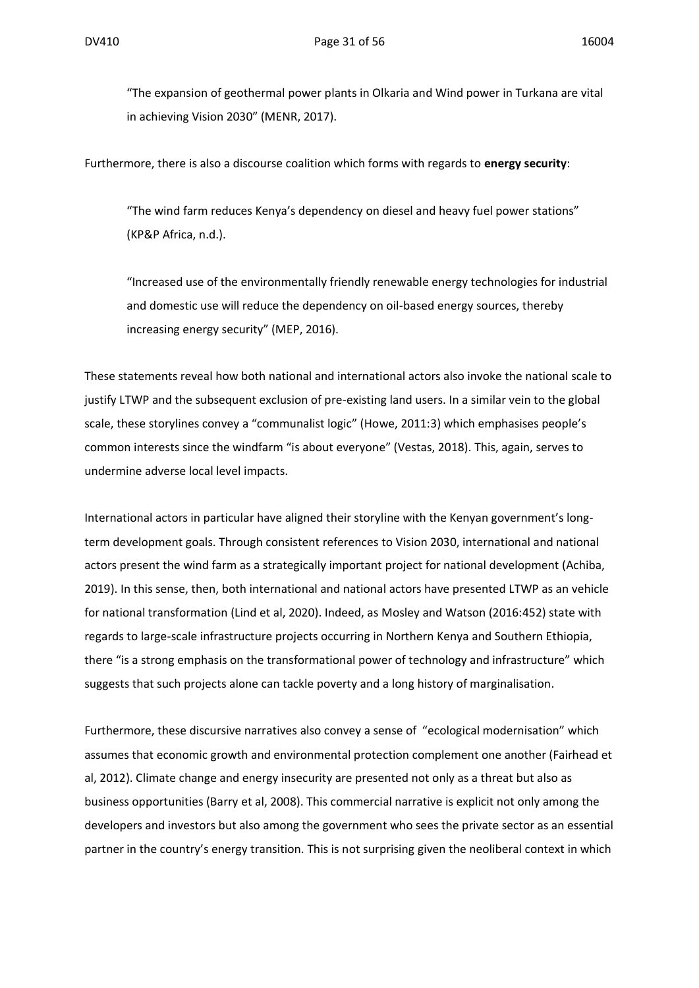"The expansion of geothermal power plants in Olkaria and Wind power in Turkana are vital in achieving Vision 2030" (MENR, 2017).

Furthermore, there is also a discourse coalition which forms with regards to **energy security**:

"The wind farm reduces Kenya's dependency on diesel and heavy fuel power stations" (KP&P Africa, n.d.).

"Increased use of the environmentally friendly renewable energy technologies for industrial and domestic use will reduce the dependency on oil-based energy sources, thereby increasing energy security" (MEP, 2016).

These statements reveal how both national and international actors also invoke the national scale to justify LTWP and the subsequent exclusion of pre-existing land users. In a similar vein to the global scale, these storylines convey a "communalist logic" (Howe, 2011:3) which emphasises people's common interests since the windfarm "is about everyone" (Vestas, 2018). This, again, serves to undermine adverse local level impacts.

International actors in particular have aligned their storyline with the Kenyan government's longterm development goals. Through consistent references to Vision 2030, international and national actors present the wind farm as a strategically important project for national development (Achiba, 2019). In this sense, then, both international and national actors have presented LTWP as an vehicle for national transformation (Lind et al, 2020). Indeed, as Mosley and Watson (2016:452) state with regards to large-scale infrastructure projects occurring in Northern Kenya and Southern Ethiopia, there "is a strong emphasis on the transformational power of technology and infrastructure" which suggests that such projects alone can tackle poverty and a long history of marginalisation.

Furthermore, these discursive narratives also convey a sense of "ecological modernisation" which assumes that economic growth and environmental protection complement one another (Fairhead et al, 2012). Climate change and energy insecurity are presented not only as a threat but also as business opportunities (Barry et al, 2008). This commercial narrative is explicit not only among the developers and investors but also among the government who sees the private sector as an essential partner in the country's energy transition. This is not surprising given the neoliberal context in which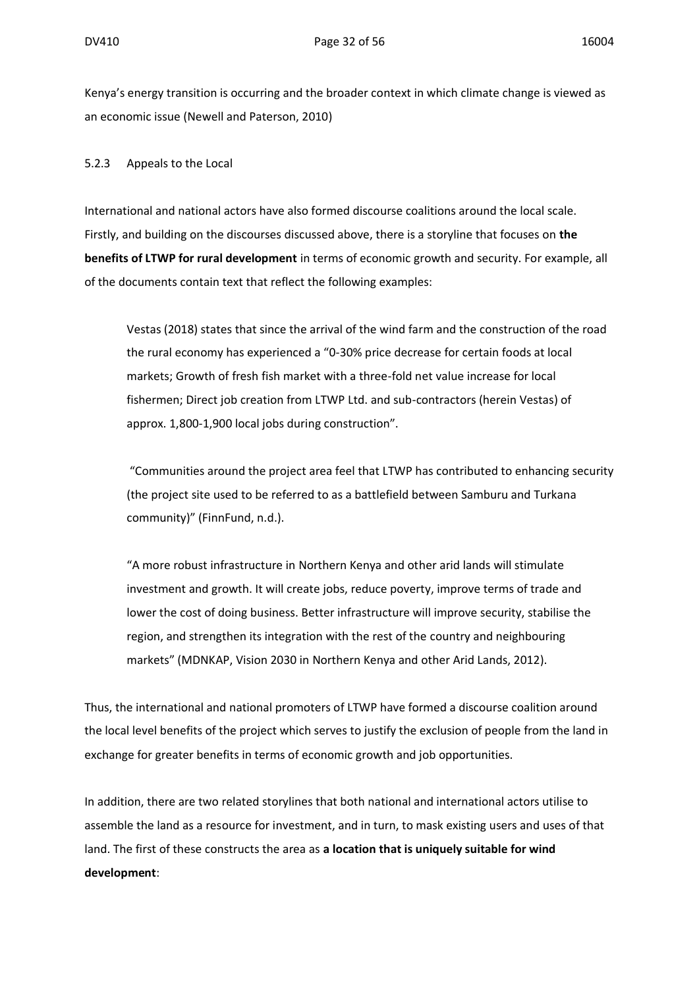Kenya's energy transition is occurring and the broader context in which climate change is viewed as an economic issue (Newell and Paterson, 2010)

#### 5.2.3 Appeals to the Local

International and national actors have also formed discourse coalitions around the local scale. Firstly, and building on the discourses discussed above, there is a storyline that focuses on **the benefits of LTWP for rural development** in terms of economic growth and security. For example, all of the documents contain text that reflect the following examples:

Vestas (2018) states that since the arrival of the wind farm and the construction of the road the rural economy has experienced a "0-30% price decrease for certain foods at local markets; Growth of fresh fish market with a three-fold net value increase for local fishermen; Direct job creation from LTWP Ltd. and sub-contractors (herein Vestas) of approx. 1,800-1,900 local jobs during construction".

"Communities around the project area feel that LTWP has contributed to enhancing security (the project site used to be referred to as a battlefield between Samburu and Turkana community)" (FinnFund, n.d.).

"A more robust infrastructure in Northern Kenya and other arid lands will stimulate investment and growth. It will create jobs, reduce poverty, improve terms of trade and lower the cost of doing business. Better infrastructure will improve security, stabilise the region, and strengthen its integration with the rest of the country and neighbouring markets" (MDNKAP, Vision 2030 in Northern Kenya and other Arid Lands, 2012).

Thus, the international and national promoters of LTWP have formed a discourse coalition around the local level benefits of the project which serves to justify the exclusion of people from the land in exchange for greater benefits in terms of economic growth and job opportunities.

In addition, there are two related storylines that both national and international actors utilise to assemble the land as a resource for investment, and in turn, to mask existing users and uses of that land. The first of these constructs the area as **a location that is uniquely suitable for wind development**: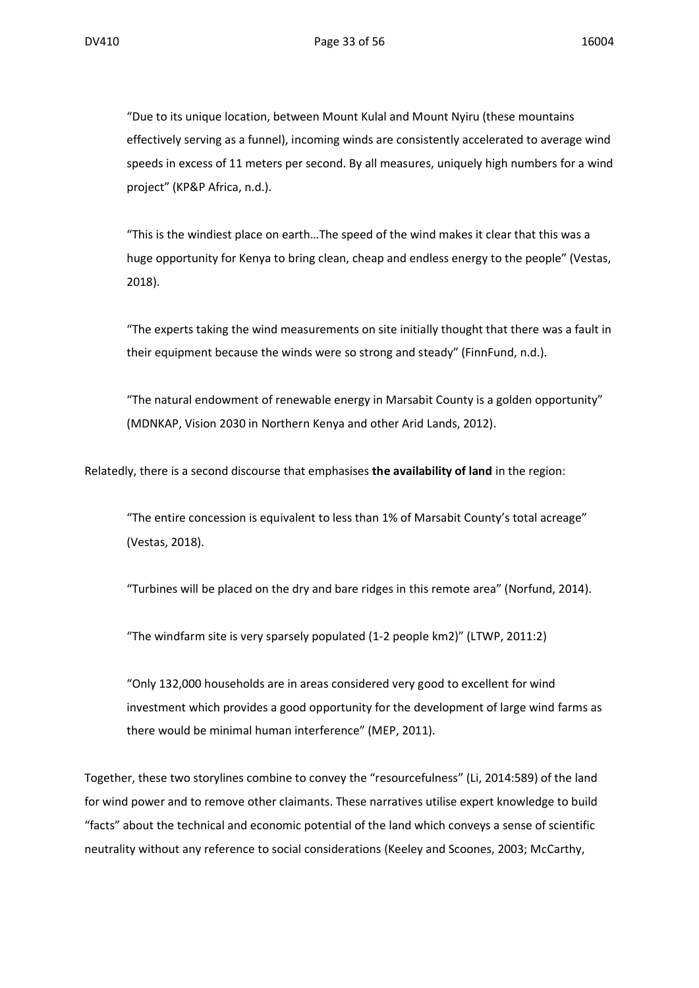"Due to its unique location, between Mount Kulal and Mount Nyiru (these mountains effectively serving as a funnel), incoming winds are consistently accelerated to average wind speeds in excess of 11 meters per second. By all measures, uniquely high numbers for a wind project" (KP&P Africa, n.d.).

"This is the windiest place on earth…The speed of the wind makes it clear that this was a huge opportunity for Kenya to bring clean, cheap and endless energy to the people" (Vestas, 2018).

"The experts taking the wind measurements on site initially thought that there was a fault in their equipment because the winds were so strong and steady" (FinnFund, n.d.).

"The natural endowment of renewable energy in Marsabit County is a golden opportunity" (MDNKAP, Vision 2030 in Northern Kenya and other Arid Lands, 2012).

Relatedly, there is a second discourse that emphasises **the availability of land** in the region:

"The entire concession is equivalent to less than 1% of Marsabit County's total acreage" (Vestas, 2018).

"Turbines will be placed on the dry and bare ridges in this remote area" (Norfund, 2014).

"The windfarm site is very sparsely populated (1-2 people km2)" (LTWP, 2011:2)

"Only 132,000 households are in areas considered very good to excellent for wind investment which provides a good opportunity for the development of large wind farms as there would be minimal human interference" (MEP, 2011).

Together, these two storylines combine to convey the "resourcefulness" (Li, 2014:589) of the land for wind power and to remove other claimants. These narratives utilise expert knowledge to build "facts" about the technical and economic potential of the land which conveys a sense of scientific neutrality without any reference to social considerations (Keeley and Scoones, 2003; McCarthy,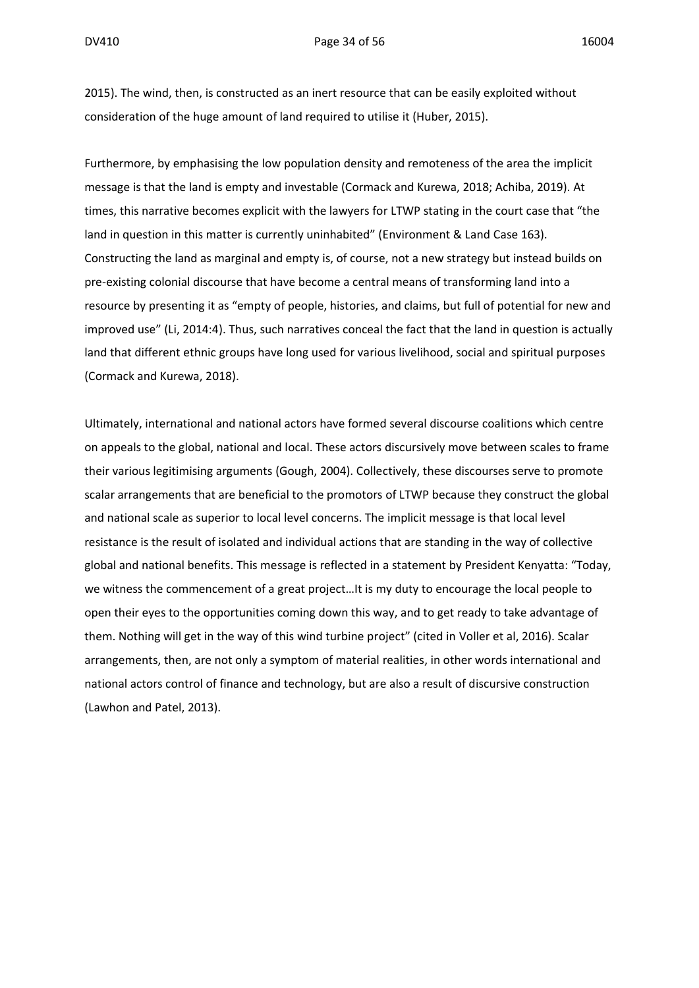2015). The wind, then, is constructed as an inert resource that can be easily exploited without consideration of the huge amount of land required to utilise it (Huber, 2015).

Furthermore, by emphasising the low population density and remoteness of the area the implicit message is that the land is empty and investable (Cormack and Kurewa, 2018; Achiba, 2019). At times, this narrative becomes explicit with the lawyers for LTWP stating in the court case that "the land in question in this matter is currently uninhabited" (Environment & Land Case 163). Constructing the land as marginal and empty is, of course, not a new strategy but instead builds on pre-existing colonial discourse that have become a central means of transforming land into a resource by presenting it as "empty of people, histories, and claims, but full of potential for new and improved use" (Li, 2014:4). Thus, such narratives conceal the fact that the land in question is actually land that different ethnic groups have long used for various livelihood, social and spiritual purposes (Cormack and Kurewa, 2018).

Ultimately, international and national actors have formed several discourse coalitions which centre on appeals to the global, national and local. These actors discursively move between scales to frame their various legitimising arguments (Gough, 2004). Collectively, these discourses serve to promote scalar arrangements that are beneficial to the promotors of LTWP because they construct the global and national scale as superior to local level concerns. The implicit message is that local level resistance is the result of isolated and individual actions that are standing in the way of collective global and national benefits. This message is reflected in a statement by President Kenyatta: "Today, we witness the commencement of a great project…It is my duty to encourage the local people to open their eyes to the opportunities coming down this way, and to get ready to take advantage of them. Nothing will get in the way of this wind turbine project" (cited in Voller et al, 2016). Scalar arrangements, then, are not only a symptom of material realities, in other words international and national actors control of finance and technology, but are also a result of discursive construction (Lawhon and Patel, 2013).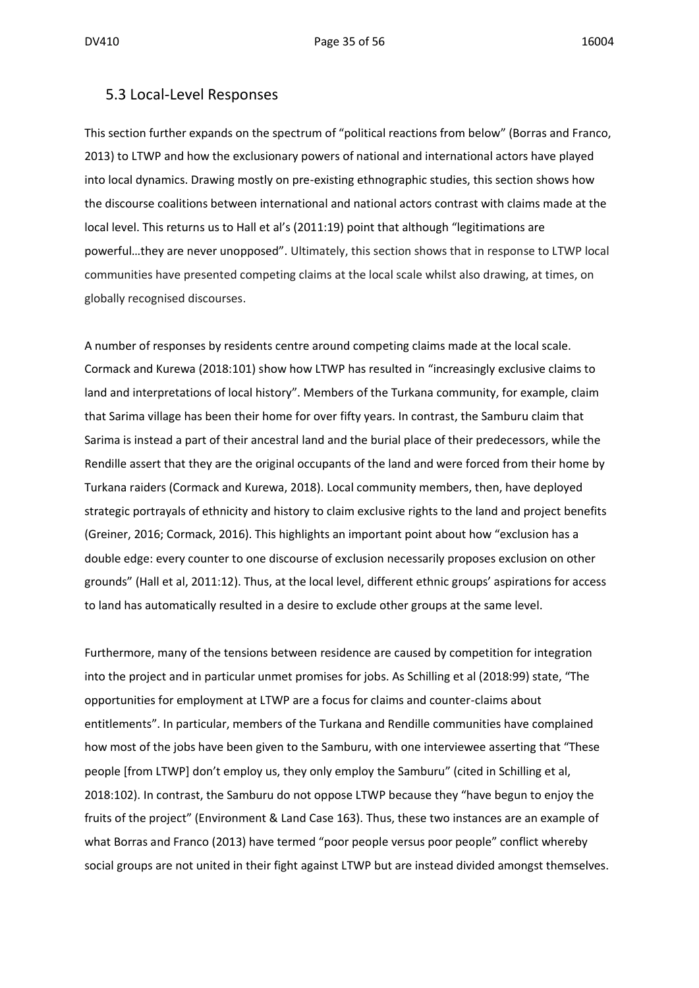#### 5.3 Local-Level Responses

This section further expands on the spectrum of "political reactions from below" (Borras and Franco, 2013) to LTWP and how the exclusionary powers of national and international actors have played into local dynamics. Drawing mostly on pre-existing ethnographic studies, this section shows how the discourse coalitions between international and national actors contrast with claims made at the local level. This returns us to Hall et al's (2011:19) point that although "legitimations are powerful…they are never unopposed". Ultimately, this section shows that in response to LTWP local communities have presented competing claims at the local scale whilst also drawing, at times, on globally recognised discourses.

A number of responses by residents centre around competing claims made at the local scale. Cormack and Kurewa (2018:101) show how LTWP has resulted in "increasingly exclusive claims to land and interpretations of local history". Members of the Turkana community, for example, claim that Sarima village has been their home for over fifty years. In contrast, the Samburu claim that Sarima is instead a part of their ancestral land and the burial place of their predecessors, while the Rendille assert that they are the original occupants of the land and were forced from their home by Turkana raiders (Cormack and Kurewa, 2018). Local community members, then, have deployed strategic portrayals of ethnicity and history to claim exclusive rights to the land and project benefits (Greiner, 2016; Cormack, 2016). This highlights an important point about how "exclusion has a double edge: every counter to one discourse of exclusion necessarily proposes exclusion on other grounds" (Hall et al, 2011:12). Thus, at the local level, different ethnic groups' aspirations for access to land has automatically resulted in a desire to exclude other groups at the same level.

Furthermore, many of the tensions between residence are caused by competition for integration into the project and in particular unmet promises for jobs. As Schilling et al (2018:99) state, "The opportunities for employment at LTWP are a focus for claims and counter-claims about entitlements". In particular, members of the Turkana and Rendille communities have complained how most of the jobs have been given to the Samburu, with one interviewee asserting that "These people [from LTWP] don't employ us, they only employ the Samburu" (cited in Schilling et al, 2018:102). In contrast, the Samburu do not oppose LTWP because they "have begun to enjoy the fruits of the project" (Environment & Land Case 163). Thus, these two instances are an example of what Borras and Franco (2013) have termed "poor people versus poor people" conflict whereby social groups are not united in their fight against LTWP but are instead divided amongst themselves.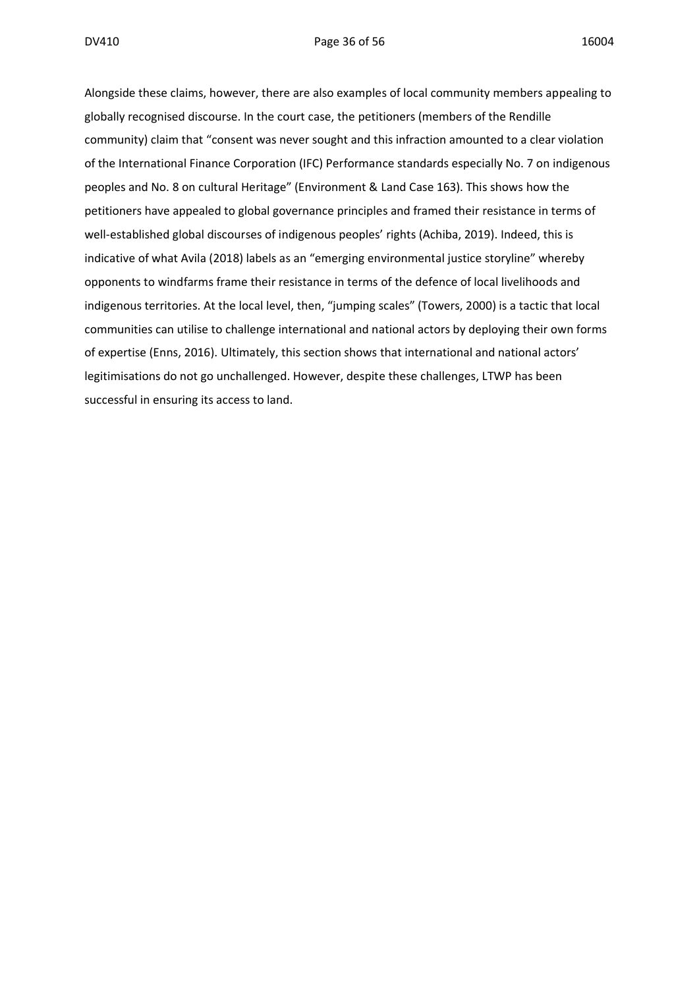Alongside these claims, however, there are also examples of local community members appealing to globally recognised discourse. In the court case, the petitioners (members of the Rendille community) claim that "consent was never sought and this infraction amounted to a clear violation of the International Finance Corporation (IFC) Performance standards especially No. 7 on indigenous peoples and No. 8 on cultural Heritage" (Environment & Land Case 163). This shows how the petitioners have appealed to global governance principles and framed their resistance in terms of well-established global discourses of indigenous peoples' rights (Achiba, 2019). Indeed, this is indicative of what Avila (2018) labels as an "emerging environmental justice storyline" whereby opponents to windfarms frame their resistance in terms of the defence of local livelihoods and indigenous territories. At the local level, then, "jumping scales" (Towers, 2000) is a tactic that local communities can utilise to challenge international and national actors by deploying their own forms of expertise (Enns, 2016). Ultimately, this section shows that international and national actors' legitimisations do not go unchallenged. However, despite these challenges, LTWP has been successful in ensuring its access to land.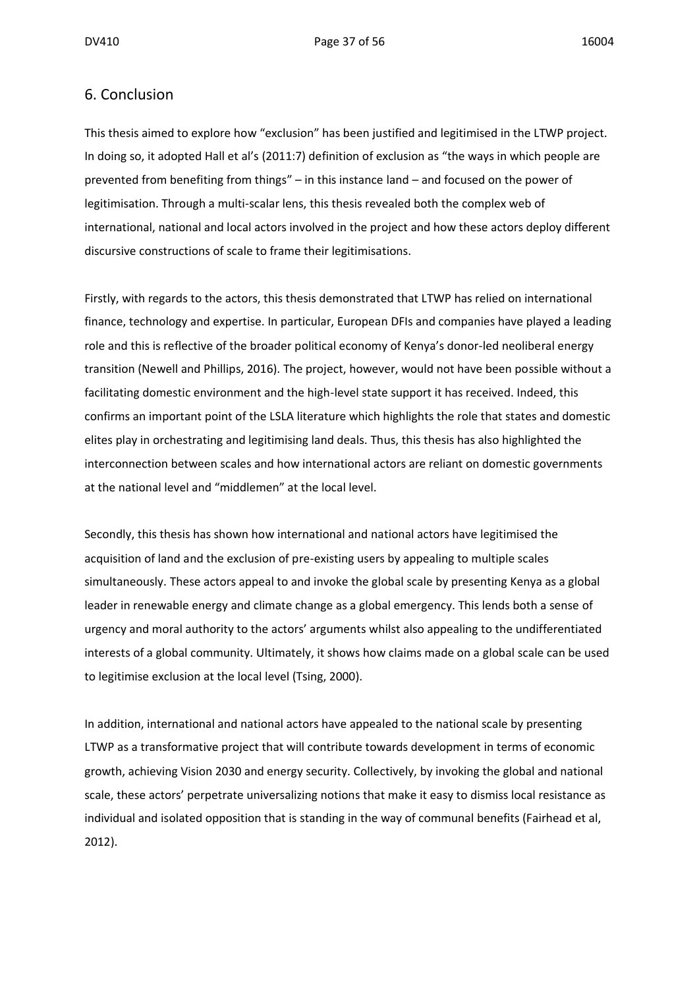#### 6. Conclusion

This thesis aimed to explore how "exclusion" has been justified and legitimised in the LTWP project. In doing so, it adopted Hall et al's (2011:7) definition of exclusion as "the ways in which people are prevented from benefiting from things" – in this instance land – and focused on the power of legitimisation. Through a multi-scalar lens, this thesis revealed both the complex web of international, national and local actors involved in the project and how these actors deploy different discursive constructions of scale to frame their legitimisations.

Firstly, with regards to the actors, this thesis demonstrated that LTWP has relied on international finance, technology and expertise. In particular, European DFIs and companies have played a leading role and this is reflective of the broader political economy of Kenya's donor-led neoliberal energy transition (Newell and Phillips, 2016). The project, however, would not have been possible without a facilitating domestic environment and the high-level state support it has received. Indeed, this confirms an important point of the LSLA literature which highlights the role that states and domestic elites play in orchestrating and legitimising land deals. Thus, this thesis has also highlighted the interconnection between scales and how international actors are reliant on domestic governments at the national level and "middlemen" at the local level.

Secondly, this thesis has shown how international and national actors have legitimised the acquisition of land and the exclusion of pre-existing users by appealing to multiple scales simultaneously. These actors appeal to and invoke the global scale by presenting Kenya as a global leader in renewable energy and climate change as a global emergency. This lends both a sense of urgency and moral authority to the actors' arguments whilst also appealing to the undifferentiated interests of a global community. Ultimately, it shows how claims made on a global scale can be used to legitimise exclusion at the local level (Tsing, 2000).

In addition, international and national actors have appealed to the national scale by presenting LTWP as a transformative project that will contribute towards development in terms of economic growth, achieving Vision 2030 and energy security. Collectively, by invoking the global and national scale, these actors' perpetrate universalizing notions that make it easy to dismiss local resistance as individual and isolated opposition that is standing in the way of communal benefits (Fairhead et al, 2012).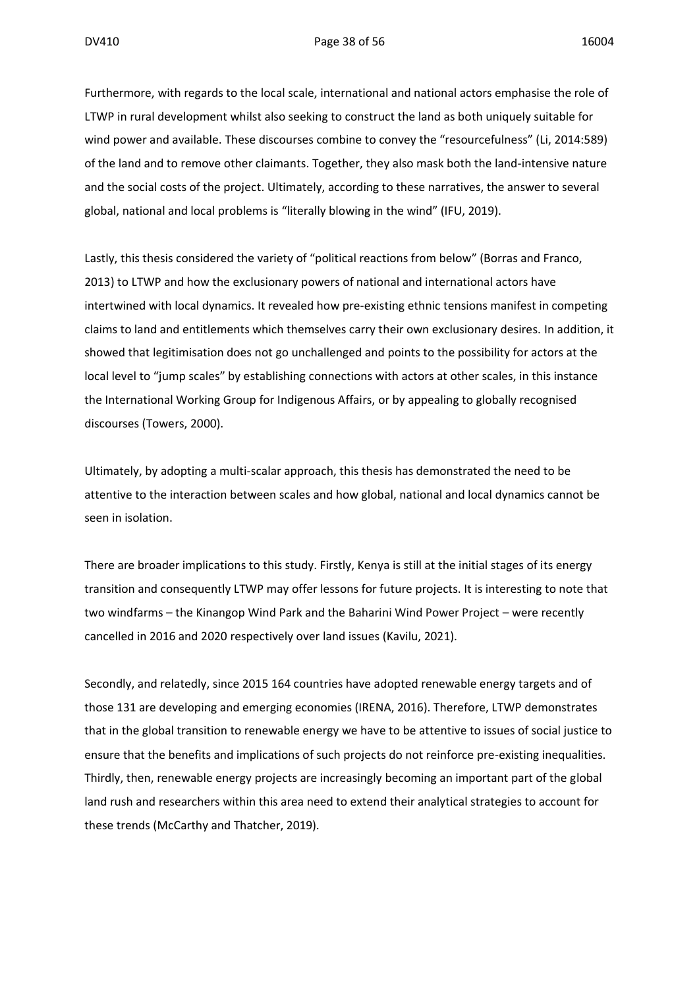Furthermore, with regards to the local scale, international and national actors emphasise the role of LTWP in rural development whilst also seeking to construct the land as both uniquely suitable for wind power and available. These discourses combine to convey the "resourcefulness" (Li, 2014:589) of the land and to remove other claimants. Together, they also mask both the land-intensive nature and the social costs of the project. Ultimately, according to these narratives, the answer to several global, national and local problems is "literally blowing in the wind" (IFU, 2019).

Lastly, this thesis considered the variety of "political reactions from below" (Borras and Franco, 2013) to LTWP and how the exclusionary powers of national and international actors have intertwined with local dynamics. It revealed how pre-existing ethnic tensions manifest in competing claims to land and entitlements which themselves carry their own exclusionary desires. In addition, it showed that legitimisation does not go unchallenged and points to the possibility for actors at the local level to "jump scales" by establishing connections with actors at other scales, in this instance the International Working Group for Indigenous Affairs, or by appealing to globally recognised discourses (Towers, 2000).

Ultimately, by adopting a multi-scalar approach, this thesis has demonstrated the need to be attentive to the interaction between scales and how global, national and local dynamics cannot be seen in isolation.

There are broader implications to this study. Firstly, Kenya is still at the initial stages of its energy transition and consequently LTWP may offer lessons for future projects. It is interesting to note that two windfarms – the Kinangop Wind Park and the Baharini Wind Power Project – were recently cancelled in 2016 and 2020 respectively over land issues (Kavilu, 2021).

Secondly, and relatedly, since 2015 164 countries have adopted renewable energy targets and of those 131 are developing and emerging economies (IRENA, 2016). Therefore, LTWP demonstrates that in the global transition to renewable energy we have to be attentive to issues of social justice to ensure that the benefits and implications of such projects do not reinforce pre-existing inequalities. Thirdly, then, renewable energy projects are increasingly becoming an important part of the global land rush and researchers within this area need to extend their analytical strategies to account for these trends (McCarthy and Thatcher, 2019).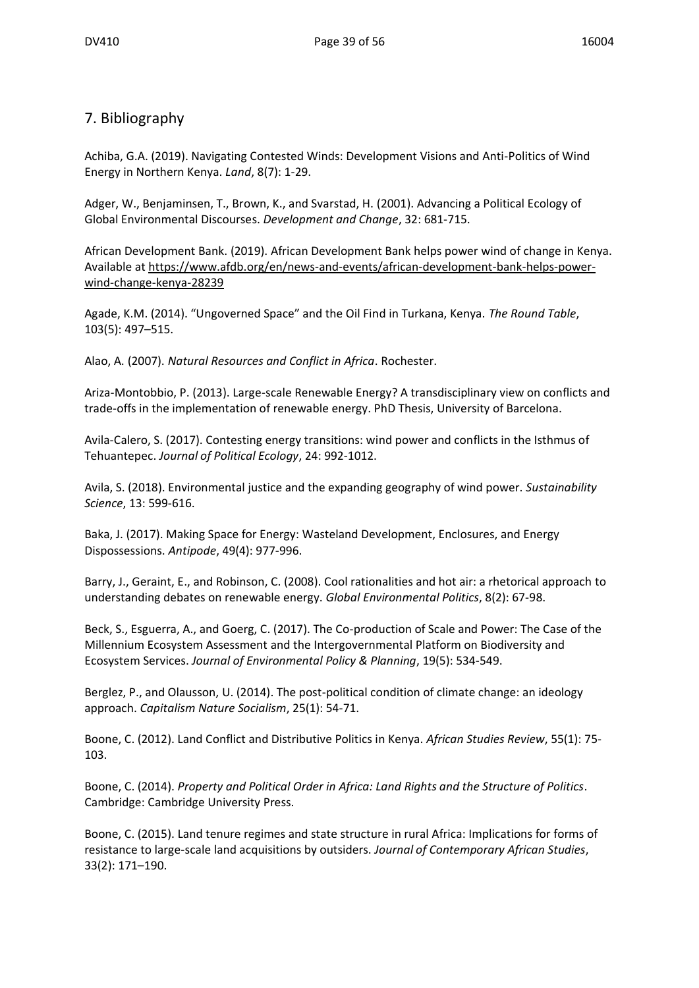### 7. Bibliography

Achiba, G.A. (2019). Navigating Contested Winds: Development Visions and Anti-Politics of Wind Energy in Northern Kenya. *Land*, 8(7): 1-29.

Adger, W., Benjaminsen, T., Brown, K., and Svarstad, H. (2001). Advancing a Political Ecology of Global Environmental Discourses. *Development and Change*, 32: 681-715.

African Development Bank. (2019). African Development Bank helps power wind of change in Kenya. Available at [https://www.afdb.org/en/news-and-events/african-development-bank-helps-power](https://www.afdb.org/en/news-and-events/african-development-bank-helps-power-wind-change-kenya-28239)[wind-change-kenya-28239](https://www.afdb.org/en/news-and-events/african-development-bank-helps-power-wind-change-kenya-28239)

Agade, K.M. (2014). "Ungoverned Space" and the Oil Find in Turkana, Kenya. *The Round Table*, 103(5): 497–515.

Alao, A. (2007). *Natural Resources and Conflict in Africa*. Rochester.

Ariza-Montobbio, P. (2013). Large-scale Renewable Energy? A transdisciplinary view on conflicts and trade-offs in the implementation of renewable energy. PhD Thesis, University of Barcelona.

Avila-Calero, S. (2017). Contesting energy transitions: wind power and conflicts in the Isthmus of Tehuantepec. *Journal of Political Ecology*, 24: 992-1012.

Avila, S. (2018). Environmental justice and the expanding geography of wind power. *Sustainability Science*, 13: 599-616.

Baka, J. (2017). Making Space for Energy: Wasteland Development, Enclosures, and Energy Dispossessions. *Antipode*, 49(4): 977-996.

Barry, J., Geraint, E., and Robinson, C. (2008). Cool rationalities and hot air: a rhetorical approach to understanding debates on renewable energy. *Global Environmental Politics*, 8(2): 67-98.

Beck, S., Esguerra, A., and Goerg, C. (2017). The Co-production of Scale and Power: The Case of the Millennium Ecosystem Assessment and the Intergovernmental Platform on Biodiversity and Ecosystem Services. *Journal of Environmental Policy & Planning*, 19(5): 534-549.

Berglez, P., and Olausson, U. (2014). The post-political condition of climate change: an ideology approach. *Capitalism Nature Socialism*, 25(1): 54-71.

Boone, C. (2012). Land Conflict and Distributive Politics in Kenya. *African Studies Review*, 55(1): 75- 103.

Boone, C. (2014). *Property and Political Order in Africa: Land Rights and the Structure of Politics*. Cambridge: Cambridge University Press.

Boone, C. (2015). Land tenure regimes and state structure in rural Africa: Implications for forms of resistance to large-scale land acquisitions by outsiders. *Journal of Contemporary African Studies*, 33(2): 171–190.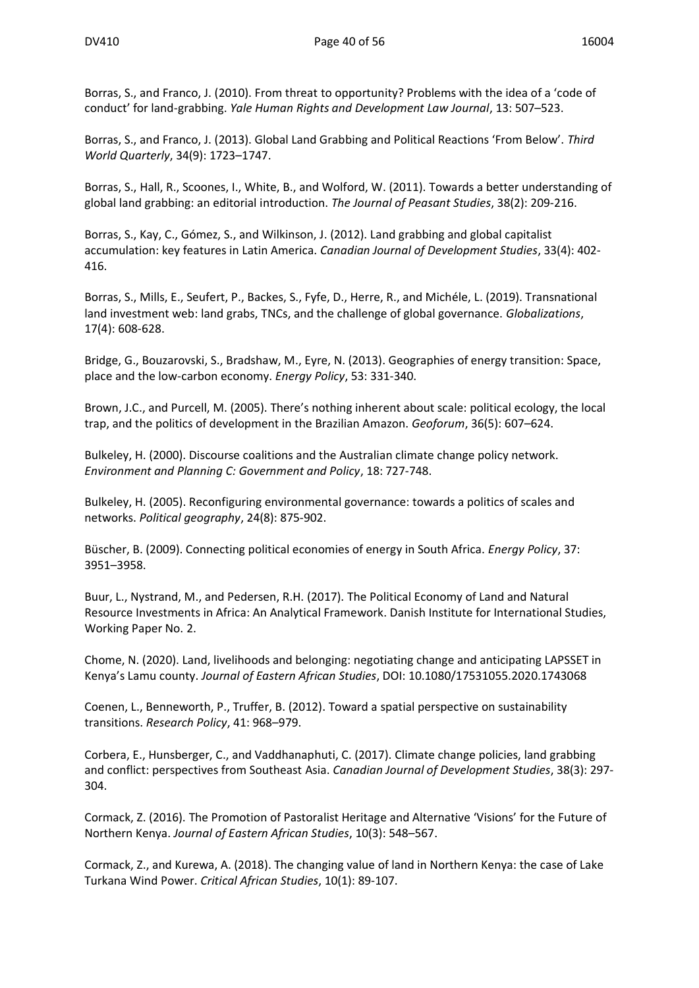Borras, S., and Franco, J. (2010). From threat to opportunity? Problems with the idea of a 'code of conduct' for land-grabbing. *Yale Human Rights and Development Law Journal*, 13: 507–523.

Borras, S., and Franco, J. (2013). Global Land Grabbing and Political Reactions 'From Below'. *Third World Quarterly*, 34(9): 1723–1747.

Borras, S., Hall, R., Scoones, I., White, B., and Wolford, W. (2011). Towards a better understanding of global land grabbing: an editorial introduction. *The Journal of Peasant Studies*, 38(2): 209-216.

Borras, S., Kay, C., Gómez, S., and Wilkinson, J. (2012). Land grabbing and global capitalist accumulation: key features in Latin America. *Canadian Journal of Development Studies*, 33(4): 402- 416.

Borras, S., Mills, E., Seufert, P., Backes, S., Fyfe, D., Herre, R., and Michéle, L. (2019). Transnational land investment web: land grabs, TNCs, and the challenge of global governance. *Globalizations*, 17(4): 608-628.

Bridge, G., Bouzarovski, S., Bradshaw, M., Eyre, N. (2013). Geographies of energy transition: Space, place and the low-carbon economy. *Energy Policy*, 53: 331-340.

Brown, J.C., and Purcell, M. (2005). There's nothing inherent about scale: political ecology, the local trap, and the politics of development in the Brazilian Amazon. *Geoforum*, 36(5): 607–624.

Bulkeley, H. (2000). Discourse coalitions and the Australian climate change policy network. *Environment and Planning C: Government and Policy*, 18: 727-748.

Bulkeley, H. (2005). Reconfiguring environmental governance: towards a politics of scales and networks. *Political geography*, 24(8): 875-902.

Büscher, B. (2009). Connecting political economies of energy in South Africa. *Energy Policy*, 37: 3951–3958.

Buur, L., Nystrand, M., and Pedersen, R.H. (2017). The Political Economy of Land and Natural Resource Investments in Africa: An Analytical Framework. Danish Institute for International Studies, Working Paper No. 2.

Chome, N. (2020). Land, livelihoods and belonging: negotiating change and anticipating LAPSSET in Kenya's Lamu county. *Journal of Eastern African Studies*, DOI: 10.1080/17531055.2020.1743068

Coenen, L., Benneworth, P., Truffer, B. (2012). Toward a spatial perspective on sustainability transitions. *Research Policy*, 41: 968–979.

Corbera, E., Hunsberger, C., and Vaddhanaphuti, C. (2017). Climate change policies, land grabbing and conflict: perspectives from Southeast Asia. *Canadian Journal of Development Studies*, 38(3): 297- 304.

Cormack, Z. (2016). The Promotion of Pastoralist Heritage and Alternative 'Visions' for the Future of Northern Kenya. *Journal of Eastern African Studies*, 10(3): 548–567.

Cormack, Z., and Kurewa, A. (2018). The changing value of land in Northern Kenya: the case of Lake Turkana Wind Power. *Critical African Studies*, 10(1): 89-107.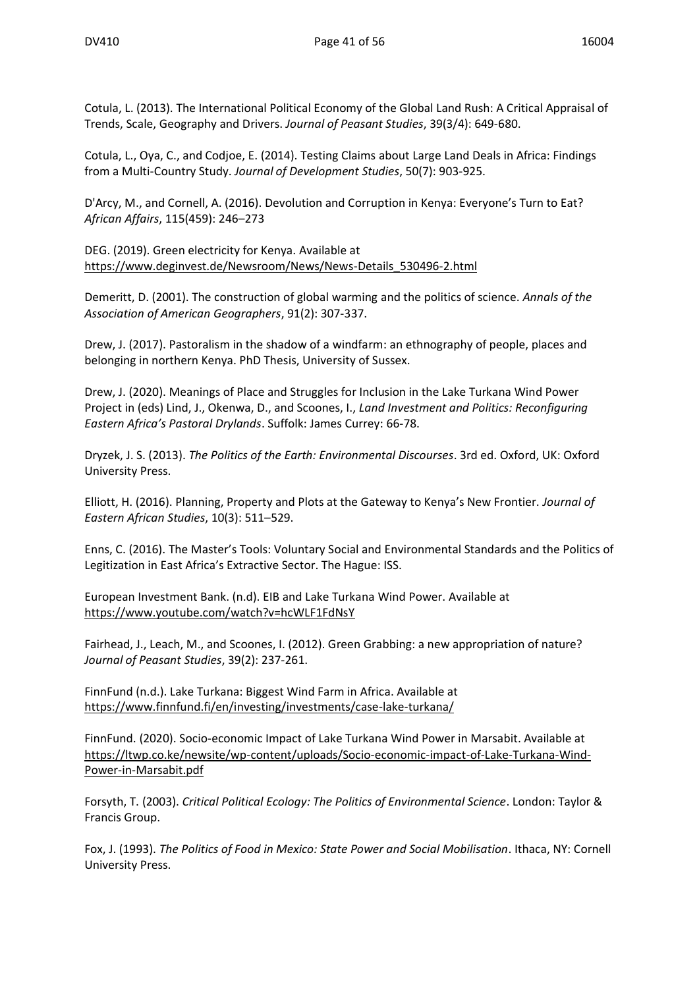Cotula, L. (2013). The International Political Economy of the Global Land Rush: A Critical Appraisal of Trends, Scale, Geography and Drivers. *Journal of Peasant Studies*, 39(3/4): 649-680.

Cotula, L., Oya, C., and Codjoe, E. (2014). Testing Claims about Large Land Deals in Africa: Findings from a Multi-Country Study. *Journal of Development Studies*, 50(7): 903-925.

D'Arcy, M., and Cornell, A. (2016). Devolution and Corruption in Kenya: Everyone's Turn to Eat? *African Affairs*, 115(459): 246–273

DEG. (2019). Green electricity for Kenya. Available at [https://www.deginvest.de/Newsroom/News/News-Details\\_530496-2.html](https://www.deginvest.de/Newsroom/News/News-Details_530496-2.html)

Demeritt, D. (2001). The construction of global warming and the politics of science. *Annals of the Association of American Geographers*, 91(2): 307-337.

Drew, J. (2017). Pastoralism in the shadow of a windfarm: an ethnography of people, places and belonging in northern Kenya. PhD Thesis, University of Sussex.

Drew, J. (2020). Meanings of Place and Struggles for Inclusion in the Lake Turkana Wind Power Project in (eds) Lind, J., Okenwa, D., and Scoones, I., *Land Investment and Politics: Reconfiguring Eastern Africa's Pastoral Drylands*. Suffolk: James Currey: 66-78.

Dryzek, J. S. (2013). *The Politics of the Earth: Environmental Discourses*. 3rd ed. Oxford, UK: Oxford University Press.

Elliott, H. (2016). Planning, Property and Plots at the Gateway to Kenya's New Frontier. *Journal of Eastern African Studies*, 10(3): 511–529.

Enns, C. (2016). The Master's Tools: Voluntary Social and Environmental Standards and the Politics of Legitization in East Africa's Extractive Sector. The Hague: ISS.

European Investment Bank. (n.d). EIB and Lake Turkana Wind Power. Available at <https://www.youtube.com/watch?v=hcWLF1FdNsY>

Fairhead, J., Leach, M., and Scoones, I. (2012). Green Grabbing: a new appropriation of nature? *Journal of Peasant Studies*, 39(2): 237-261.

FinnFund (n.d.). Lake Turkana: Biggest Wind Farm in Africa. Available at <https://www.finnfund.fi/en/investing/investments/case-lake-turkana/>

FinnFund. (2020). Socio-economic Impact of Lake Turkana Wind Power in Marsabit. Available at [https://ltwp.co.ke/newsite/wp-content/uploads/Socio-economic-impact-of-Lake-Turkana-Wind-](https://ltwp.co.ke/newsite/wp-content/uploads/Socio-economic-impact-of-Lake-Turkana-Wind-Power-in-Marsabit.pdf)[Power-in-Marsabit.pdf](https://ltwp.co.ke/newsite/wp-content/uploads/Socio-economic-impact-of-Lake-Turkana-Wind-Power-in-Marsabit.pdf)

Forsyth, T. (2003). *Critical Political Ecology: The Politics of Environmental Science*. London: Taylor & Francis Group.

Fox, J. (1993). *The Politics of Food in Mexico: State Power and Social Mobilisation*. Ithaca, NY: Cornell University Press.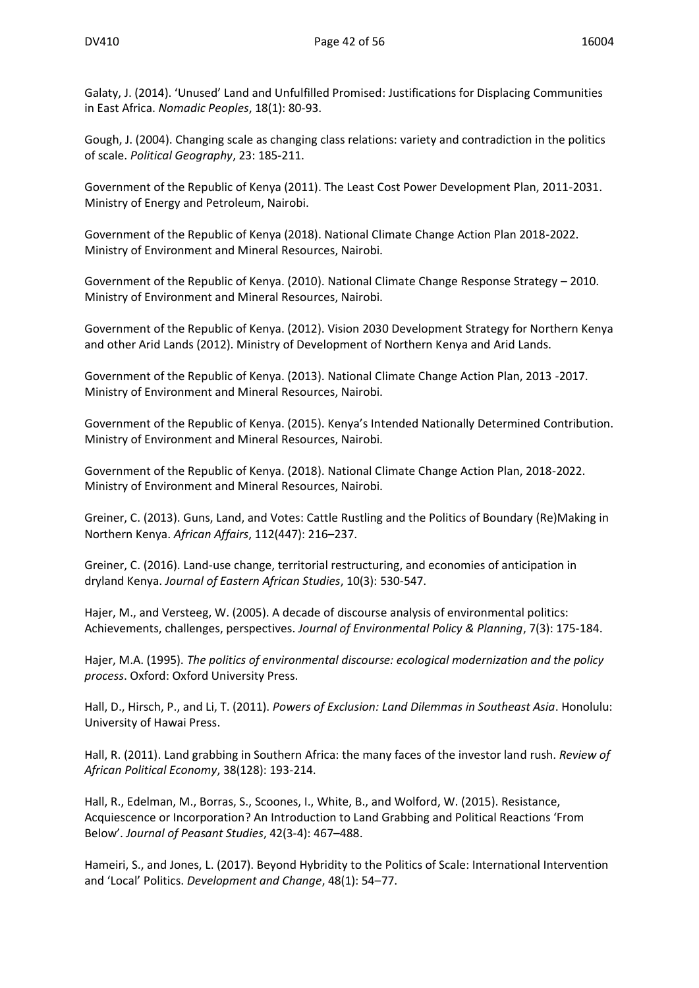Galaty, J. (2014). 'Unused' Land and Unfulfilled Promised: Justifications for Displacing Communities in East Africa. *Nomadic Peoples*, 18(1): 80-93.

Gough, J. (2004). Changing scale as changing class relations: variety and contradiction in the politics of scale. *Political Geography*, 23: 185-211.

Government of the Republic of Kenya (2011). The Least Cost Power Development Plan, 2011-2031. Ministry of Energy and Petroleum, Nairobi.

Government of the Republic of Kenya (2018). National Climate Change Action Plan 2018-2022. Ministry of Environment and Mineral Resources, Nairobi.

Government of the Republic of Kenya. (2010). National Climate Change Response Strategy – 2010. Ministry of Environment and Mineral Resources, Nairobi.

Government of the Republic of Kenya. (2012). Vision 2030 Development Strategy for Northern Kenya and other Arid Lands (2012). Ministry of Development of Northern Kenya and Arid Lands.

Government of the Republic of Kenya. (2013). National Climate Change Action Plan, 2013 -2017. Ministry of Environment and Mineral Resources, Nairobi.

Government of the Republic of Kenya. (2015). Kenya's Intended Nationally Determined Contribution. Ministry of Environment and Mineral Resources, Nairobi.

Government of the Republic of Kenya. (2018). National Climate Change Action Plan, 2018-2022. Ministry of Environment and Mineral Resources, Nairobi.

Greiner, C. (2013). Guns, Land, and Votes: Cattle Rustling and the Politics of Boundary (Re)Making in Northern Kenya. *African Affairs*, 112(447): 216–237.

Greiner, C. (2016). Land-use change, territorial restructuring, and economies of anticipation in dryland Kenya. *Journal of Eastern African Studies*, 10(3): 530-547.

Hajer, M., and Versteeg, W. (2005). A decade of discourse analysis of environmental politics: Achievements, challenges, perspectives. *Journal of Environmental Policy & Planning*, 7(3): 175-184.

Hajer, M.A. (1995). *The politics of environmental discourse: ecological modernization and the policy process*. Oxford: Oxford University Press.

Hall, D., Hirsch, P., and Li, T. (2011). *Powers of Exclusion: Land Dilemmas in Southeast Asia*. Honolulu: University of Hawai Press.

Hall, R. (2011). Land grabbing in Southern Africa: the many faces of the investor land rush. *Review of African Political Economy*, 38(128): 193-214.

Hall, R., Edelman, M., Borras, S., Scoones, I., White, B., and Wolford, W. (2015). Resistance, Acquiescence or Incorporation? An Introduction to Land Grabbing and Political Reactions 'From Below'. *Journal of Peasant Studies*, 42(3-4): 467–488.

Hameiri, S., and Jones, L. (2017). Beyond Hybridity to the Politics of Scale: International Intervention and 'Local' Politics. *Development and Change*, 48(1): 54–77.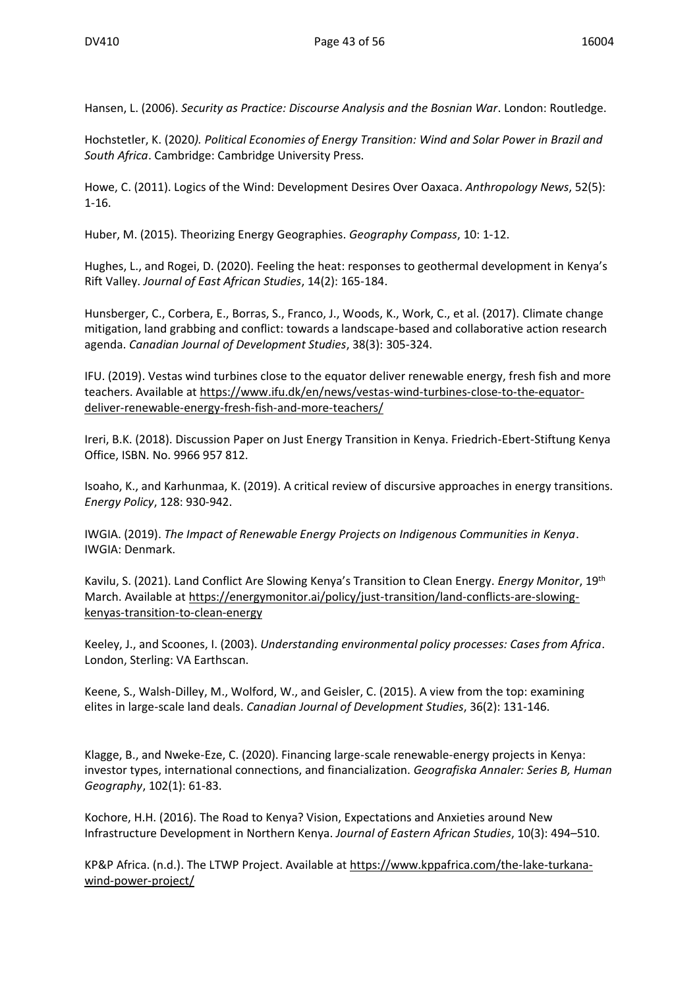Hansen, L. (2006). *Security as Practice: Discourse Analysis and the Bosnian War*. London: Routledge.

Hochstetler, K. (2020*). Political Economies of Energy Transition: Wind and Solar Power in Brazil and South Africa*. Cambridge: Cambridge University Press.

Howe, C. (2011). Logics of the Wind: Development Desires Over Oaxaca. *Anthropology News*, 52(5): 1-16.

Huber, M. (2015). Theorizing Energy Geographies. *Geography Compass*, 10: 1-12.

Hughes, L., and Rogei, D. (2020). Feeling the heat: responses to geothermal development in Kenya's Rift Valley. *Journal of East African Studies*, 14(2): 165-184.

Hunsberger, C., Corbera, E., Borras, S., Franco, J., Woods, K., Work, C., et al. (2017). Climate change mitigation, land grabbing and conflict: towards a landscape-based and collaborative action research agenda. *Canadian Journal of Development Studies*, 38(3): 305-324.

IFU. (2019). Vestas wind turbines close to the equator deliver renewable energy, fresh fish and more teachers. Available at [https://www.ifu.dk/en/news/vestas-wind-turbines-close-to-the-equator](https://www.ifu.dk/en/news/vestas-wind-turbines-close-to-the-equator-deliver-renewable-energy-fresh-fish-and-more-teachers/)[deliver-renewable-energy-fresh-fish-and-more-teachers/](https://www.ifu.dk/en/news/vestas-wind-turbines-close-to-the-equator-deliver-renewable-energy-fresh-fish-and-more-teachers/)

Ireri, B.K. (2018). Discussion Paper on Just Energy Transition in Kenya. Friedrich-Ebert-Stiftung Kenya Office, ISBN. No. 9966 957 812.

Isoaho, K., and Karhunmaa, K. (2019). A critical review of discursive approaches in energy transitions. *Energy Policy*, 128: 930-942.

IWGIA. (2019). *The Impact of Renewable Energy Projects on Indigenous Communities in Kenya*. IWGIA: Denmark.

Kavilu, S. (2021). Land Conflict Are Slowing Kenya's Transition to Clean Energy. *Energy Monitor*, 19th March. Available at [https://energymonitor.ai/policy/just-transition/land-conflicts-are-slowing](https://energymonitor.ai/policy/just-transition/land-conflicts-are-slowing-kenyas-transition-to-clean-energy)[kenyas-transition-to-clean-energy](https://energymonitor.ai/policy/just-transition/land-conflicts-are-slowing-kenyas-transition-to-clean-energy)

Keeley, J., and Scoones, I. (2003). *Understanding environmental policy processes: Cases from Africa*. London, Sterling: VA Earthscan.

Keene, S., Walsh-Dilley, M., Wolford, W., and Geisler, C. (2015). A view from the top: examining elites in large-scale land deals. *Canadian Journal of Development Studies*, 36(2): 131-146.

Klagge, B., and Nweke-Eze, C. (2020). Financing large-scale renewable-energy projects in Kenya: investor types, international connections, and financialization. *Geografiska Annaler: Series B, Human Geography*, 102(1): 61-83.

Kochore, H.H. (2016). The Road to Kenya? Vision, Expectations and Anxieties around New Infrastructure Development in Northern Kenya. *Journal of Eastern African Studies*, 10(3): 494–510.

KP&P Africa. (n.d.). The LTWP Project. Available at [https://www.kppafrica.com/the-lake-turkana](https://www.kppafrica.com/the-lake-turkana-wind-power-project/)[wind-power-project/](https://www.kppafrica.com/the-lake-turkana-wind-power-project/)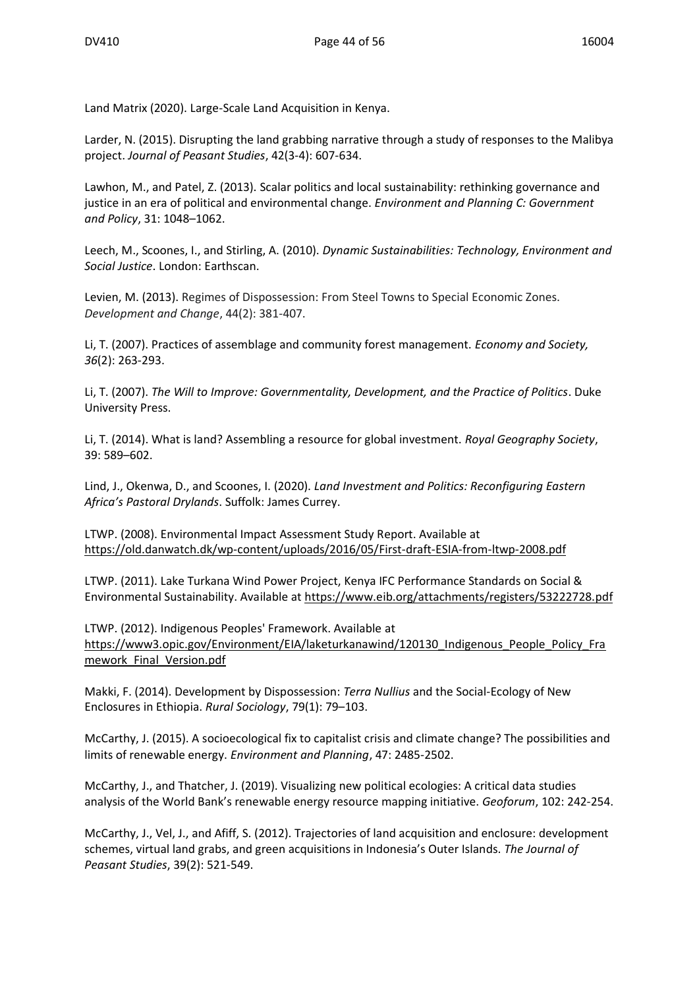Land Matrix (2020). Large-Scale Land Acquisition in Kenya.

Larder, N. (2015). Disrupting the land grabbing narrative through a study of responses to the Malibya project. *Journal of Peasant Studies*, 42(3-4): 607-634.

Lawhon, M., and Patel, Z. (2013). Scalar politics and local sustainability: rethinking governance and justice in an era of political and environmental change. *Environment and Planning C: Government and Policy*, 31: 1048–1062.

Leech, M., Scoones, I., and Stirling, A. (2010). *Dynamic Sustainabilities: Technology, Environment and Social Justice*. London: Earthscan.

Levien, M. (2013). Regimes of Dispossession: From Steel Towns to Special Economic Zones. *Development and Change*, 44(2): 381-407.

Li, T. (2007). Practices of assemblage and community forest management. *Economy and Society, 36*(2): 263-293.

Li, T. (2007). *The Will to Improve: Governmentality, Development, and the Practice of Politics*. Duke University Press.

Li, T. (2014). What is land? Assembling a resource for global investment. *Royal Geography Society*, 39: 589–602.

Lind, J., Okenwa, D., and Scoones, I. (2020). *Land Investment and Politics: Reconfiguring Eastern Africa's Pastoral Drylands*. Suffolk: James Currey.

LTWP. (2008). Environmental Impact Assessment Study Report. Available at <https://old.danwatch.dk/wp-content/uploads/2016/05/First-draft-ESIA-from-ltwp-2008.pdf>

LTWP. (2011). Lake Turkana Wind Power Project, Kenya IFC Performance Standards on Social & Environmental Sustainability. Available at<https://www.eib.org/attachments/registers/53222728.pdf>

LTWP. (2012). Indigenous Peoples' Framework. Available at [https://www3.opic.gov/Environment/EIA/laketurkanawind/120130\\_Indigenous\\_People\\_Policy\\_Fra](https://www3.opic.gov/Environment/EIA/laketurkanawind/120130_Indigenous_People_Policy_Framework_Final_Version.pdf) mework Final Version.pdf

Makki, F. (2014). Development by Dispossession: *Terra Nullius* and the Social-Ecology of New Enclosures in Ethiopia. *Rural Sociology*, 79(1): 79–103.

McCarthy, J. (2015). A socioecological fix to capitalist crisis and climate change? The possibilities and limits of renewable energy. *Environment and Planning*, 47: 2485-2502.

McCarthy, J., and Thatcher, J. (2019). Visualizing new political ecologies: A critical data studies analysis of the World Bank's renewable energy resource mapping initiative. *Geoforum*, 102: 242-254.

McCarthy, J., Vel, J., and Afiff, S. (2012). Trajectories of land acquisition and enclosure: development schemes, virtual land grabs, and green acquisitions in Indonesia's Outer Islands. *The Journal of Peasant Studies*, 39(2): 521-549.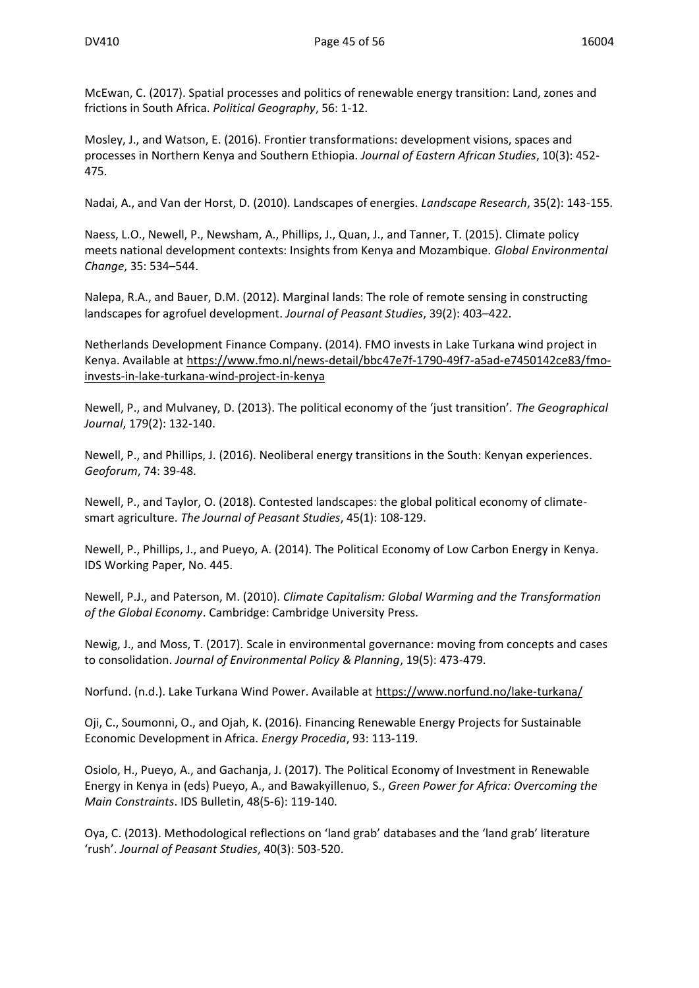McEwan, C. (2017). Spatial processes and politics of renewable energy transition: Land, zones and frictions in South Africa. *Political Geography*, 56: 1-12.

Mosley, J., and Watson, E. (2016). Frontier transformations: development visions, spaces and processes in Northern Kenya and Southern Ethiopia. *Journal of Eastern African Studies*, 10(3): 452- 475.

Nadai, A., and Van der Horst, D. (2010). Landscapes of energies. *Landscape Research*, 35(2): 143-155.

Naess, L.O., Newell, P., Newsham, A., Phillips, J., Quan, J., and Tanner, T. (2015). Climate policy meets national development contexts: Insights from Kenya and Mozambique. *Global Environmental Change*, 35: 534–544.

Nalepa, R.A., and Bauer, D.M. (2012). Marginal lands: The role of remote sensing in constructing landscapes for agrofuel development. *Journal of Peasant Studies*, 39(2): 403–422.

Netherlands Development Finance Company. (2014). FMO invests in Lake Turkana wind project in Kenya. Available at [https://www.fmo.nl/news-detail/bbc47e7f-1790-49f7-a5ad-e7450142ce83/fmo](https://www.fmo.nl/news-detail/bbc47e7f-1790-49f7-a5ad-e7450142ce83/fmo-invests-in-lake-turkana-wind-project-in-kenya)[invests-in-lake-turkana-wind-project-in-kenya](https://www.fmo.nl/news-detail/bbc47e7f-1790-49f7-a5ad-e7450142ce83/fmo-invests-in-lake-turkana-wind-project-in-kenya)

Newell, P., and Mulvaney, D. (2013). The political economy of the 'just transition'. *The Geographical Journal*, 179(2): 132-140.

Newell, P., and Phillips, J. (2016). Neoliberal energy transitions in the South: Kenyan experiences. *Geoforum*, 74: 39-48.

Newell, P., and Taylor, O. (2018). Contested landscapes: the global political economy of climatesmart agriculture. *The Journal of Peasant Studies*, 45(1): 108-129.

Newell, P., Phillips, J., and Pueyo, A. (2014). The Political Economy of Low Carbon Energy in Kenya. IDS Working Paper, No. 445.

Newell, P.J., and Paterson, M. (2010). *Climate Capitalism: Global Warming and the Transformation of the Global Economy*. Cambridge: Cambridge University Press.

Newig, J., and Moss, T. (2017). Scale in environmental governance: moving from concepts and cases to consolidation. *Journal of Environmental Policy & Planning*, 19(5): 473-479.

Norfund. (n.d.). Lake Turkana Wind Power. Available at<https://www.norfund.no/lake-turkana/>

Oji, C., Soumonni, O., and Ojah, K. (2016). Financing Renewable Energy Projects for Sustainable Economic Development in Africa. *Energy Procedia*, 93: 113-119.

Osiolo, H., Pueyo, A., and Gachanja, J. (2017). The Political Economy of Investment in Renewable Energy in Kenya in (eds) Pueyo, A., and Bawakyillenuo, S., *Green Power for Africa: Overcoming the Main Constraints*. IDS Bulletin, 48(5-6): 119-140.

Oya, C. (2013). Methodological reflections on 'land grab' databases and the 'land grab' literature 'rush'. *Journal of Peasant Studies*, 40(3): 503-520.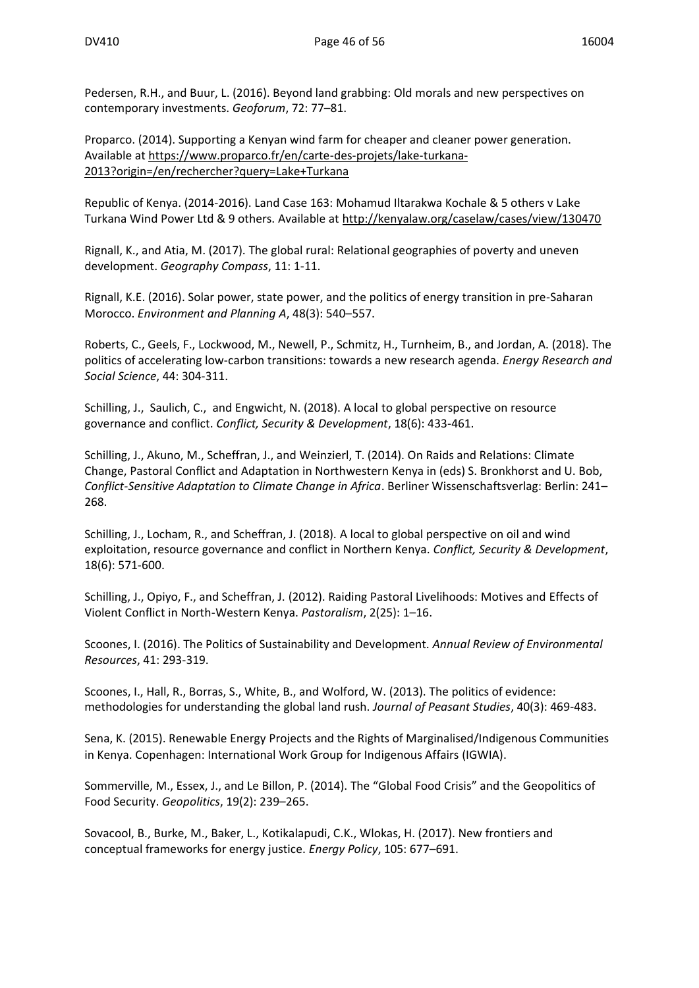Pedersen, R.H., and Buur, L. (2016). Beyond land grabbing: Old morals and new perspectives on contemporary investments. *Geoforum*, 72: 77–81.

Proparco. (2014). Supporting a Kenyan wind farm for cheaper and cleaner power generation. Available at [https://www.proparco.fr/en/carte-des-projets/lake-turkana-](https://www.proparco.fr/en/carte-des-projets/lake-turkana-2013?origin=/en/rechercher?query=Lake+Turkana)[2013?origin=/en/rechercher?query=Lake+Turkana](https://www.proparco.fr/en/carte-des-projets/lake-turkana-2013?origin=/en/rechercher?query=Lake+Turkana)

Republic of Kenya. (2014-2016). Land Case 163: Mohamud Iltarakwa Kochale & 5 others v Lake Turkana Wind Power Ltd & 9 others. Available at<http://kenyalaw.org/caselaw/cases/view/130470>

Rignall, K., and Atia, M. (2017). The global rural: Relational geographies of poverty and uneven development. *Geography Compass*, 11: 1-11.

Rignall, K.E. (2016). Solar power, state power, and the politics of energy transition in pre-Saharan Morocco. *Environment and Planning A*, 48(3): 540–557.

Roberts, C., Geels, F., Lockwood, M., Newell, P., Schmitz, H., Turnheim, B., and Jordan, A. (2018). The politics of accelerating low-carbon transitions: towards a new research agenda. *Energy Research and Social Science*, 44: 304-311.

Schilling, J., Saulich, C., and Engwicht, N. (2018). A local to global perspective on resource governance and conflict. *Conflict, Security & Development*, 18(6): 433-461.

Schilling, J., Akuno, M., Scheffran, J., and Weinzierl, T. (2014). On Raids and Relations: Climate Change, Pastoral Conflict and Adaptation in Northwestern Kenya in (eds) S. Bronkhorst and U. Bob, *Conflict-Sensitive Adaptation to Climate Change in Africa*. Berliner Wissenschaftsverlag: Berlin: 241– 268.

Schilling, J., Locham, R., and Scheffran, J. (2018). A local to global perspective on oil and wind exploitation, resource governance and conflict in Northern Kenya. *Conflict, Security & Development*, 18(6): 571-600.

Schilling, J., Opiyo, F., and Scheffran, J. (2012). Raiding Pastoral Livelihoods: Motives and Effects of Violent Conflict in North-Western Kenya. *Pastoralism*, 2(25): 1–16.

Scoones, I. (2016). The Politics of Sustainability and Development. *Annual Review of Environmental Resources*, 41: 293-319.

Scoones, I., Hall, R., Borras, S., White, B., and Wolford, W. (2013). The politics of evidence: methodologies for understanding the global land rush. *Journal of Peasant Studies*, 40(3): 469-483.

Sena, K. (2015). Renewable Energy Projects and the Rights of Marginalised/Indigenous Communities in Kenya. Copenhagen: International Work Group for Indigenous Affairs (IGWIA).

Sommerville, M., Essex, J., and Le Billon, P. (2014). The "Global Food Crisis" and the Geopolitics of Food Security. *Geopolitics*, 19(2): 239–265.

Sovacool, B., Burke, M., Baker, L., Kotikalapudi, C.K., Wlokas, H. (2017). New frontiers and conceptual frameworks for energy justice. *Energy Policy*, 105: 677–691.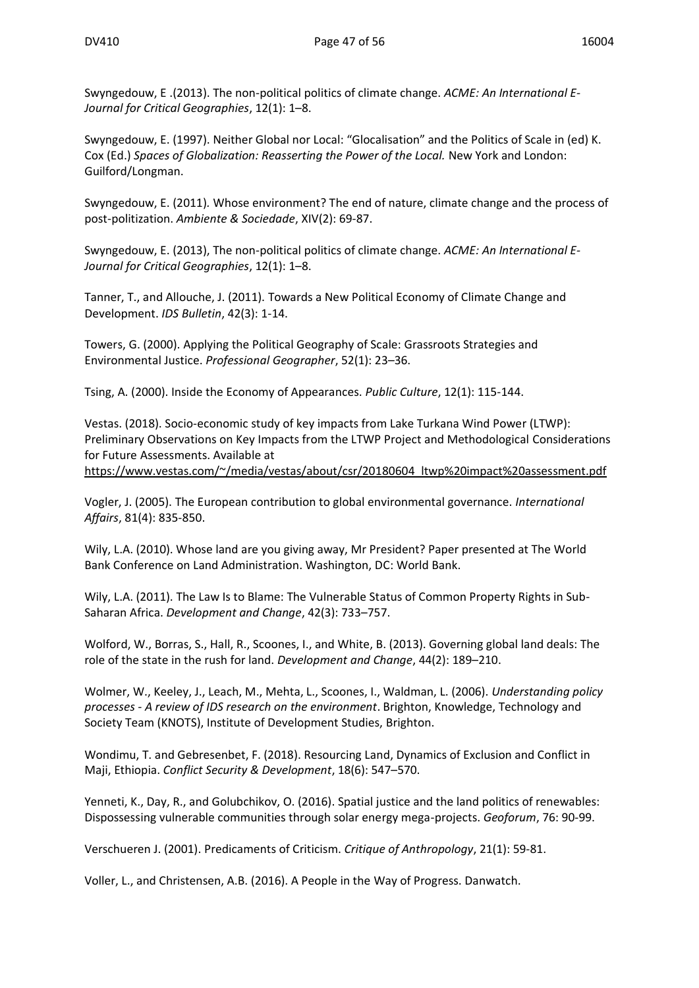Swyngedouw, E .(2013). The non-political politics of climate change. *ACME: An International E-Journal for Critical Geographies*, 12(1): 1–8.

Swyngedouw, E. (1997). Neither Global nor Local: "Glocalisation" and the Politics of Scale in (ed) K. Cox (Ed.) *Spaces of Globalization: Reasserting the Power of the Local.* New York and London: Guilford/Longman.

Swyngedouw, E. (2011)*.* Whose environment? The end of nature, climate change and the process of post-politization. *Ambiente & Sociedade*, XIV(2): 69-87.

Swyngedouw, E. (2013), The non-political politics of climate change. *ACME: An International E-Journal for Critical Geographies*, 12(1): 1–8.

Tanner, T., and Allouche, J. (2011). Towards a New Political Economy of Climate Change and Development. *IDS Bulletin*, 42(3): 1-14.

Towers, G. (2000). Applying the Political Geography of Scale: Grassroots Strategies and Environmental Justice. *Professional Geographer*, 52(1): 23–36.

Tsing, A. (2000). Inside the Economy of Appearances. *Public Culture*, 12(1): 115-144.

Vestas. (2018). Socio-economic study of key impacts from Lake Turkana Wind Power (LTWP): Preliminary Observations on Key Impacts from the LTWP Project and Methodological Considerations for Future Assessments. Available at [https://www.vestas.com/~/media/vestas/about/csr/20180604\\_ltwp%20impact%20assessment.pdf](https://www.vestas.com/~/media/vestas/about/csr/20180604_ltwp%20impact%20assessment.pdf)

Vogler, J. (2005). The European contribution to global environmental governance. *International Affairs*, 81(4): 835-850.

Wily, L.A. (2010). Whose land are you giving away, Mr President? Paper presented at The World Bank Conference on Land Administration. Washington, DC: World Bank.

Wily, L.A. (2011). The Law Is to Blame: The Vulnerable Status of Common Property Rights in Sub-Saharan Africa. *Development and Change*, 42(3): 733–757.

Wolford, W., Borras, S., Hall, R., Scoones, I., and White, B. (2013). Governing global land deals: The role of the state in the rush for land. *Development and Change*, 44(2): 189–210.

Wolmer, W., Keeley, J., Leach, M., Mehta, L., Scoones, I., Waldman, L. (2006). *Understanding policy processes - A review of IDS research on the environment*. Brighton, Knowledge, Technology and Society Team (KNOTS), Institute of Development Studies, Brighton.

Wondimu, T. and Gebresenbet, F. (2018). Resourcing Land, Dynamics of Exclusion and Conflict in Maji, Ethiopia. *Conflict Security & Development*, 18(6): 547–570.

Yenneti, K., Day, R., and Golubchikov, O. (2016). Spatial justice and the land politics of renewables: Dispossessing vulnerable communities through solar energy mega-projects. *Geoforum*, 76: 90-99.

Verschueren J. (2001). Predicaments of Criticism. *Critique of Anthropology*, 21(1): 59-81.

Voller, L., and Christensen, A.B. (2016). A People in the Way of Progress. Danwatch.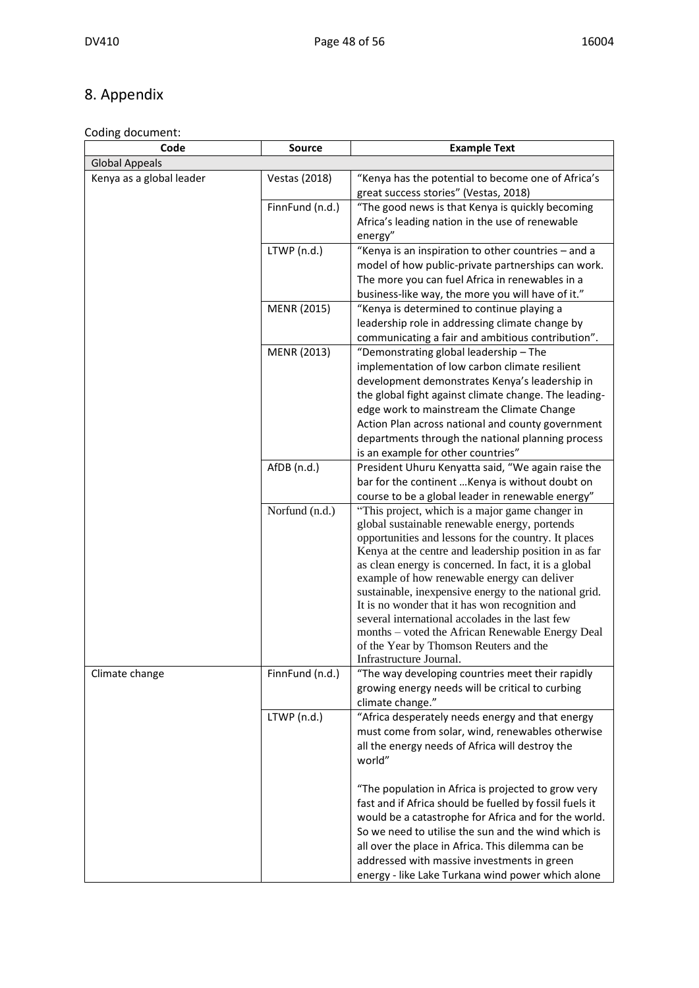## 8. Appendix

#### Coding document:

| Code                     | <b>Source</b>   | <b>Example Text</b>                                                                                                                                                                                                                                                                                                                                                                                                                                                                                                                                                                                               |  |  |
|--------------------------|-----------------|-------------------------------------------------------------------------------------------------------------------------------------------------------------------------------------------------------------------------------------------------------------------------------------------------------------------------------------------------------------------------------------------------------------------------------------------------------------------------------------------------------------------------------------------------------------------------------------------------------------------|--|--|
| Global Appeals           |                 |                                                                                                                                                                                                                                                                                                                                                                                                                                                                                                                                                                                                                   |  |  |
| Kenya as a global leader | Vestas (2018)   | "Kenya has the potential to become one of Africa's<br>great success stories" (Vestas, 2018)                                                                                                                                                                                                                                                                                                                                                                                                                                                                                                                       |  |  |
|                          | FinnFund (n.d.) | "The good news is that Kenya is quickly becoming<br>Africa's leading nation in the use of renewable<br>energy"                                                                                                                                                                                                                                                                                                                                                                                                                                                                                                    |  |  |
|                          | LTWP (n.d.)     | "Kenya is an inspiration to other countries - and a<br>model of how public-private partnerships can work.<br>The more you can fuel Africa in renewables in a<br>business-like way, the more you will have of it."                                                                                                                                                                                                                                                                                                                                                                                                 |  |  |
|                          | MENR (2015)     | "Kenya is determined to continue playing a<br>leadership role in addressing climate change by<br>communicating a fair and ambitious contribution".                                                                                                                                                                                                                                                                                                                                                                                                                                                                |  |  |
|                          | MENR (2013)     | "Demonstrating global leadership - The<br>implementation of low carbon climate resilient<br>development demonstrates Kenya's leadership in<br>the global fight against climate change. The leading-<br>edge work to mainstream the Climate Change<br>Action Plan across national and county government<br>departments through the national planning process<br>is an example for other countries"                                                                                                                                                                                                                 |  |  |
|                          | AfDB (n.d.)     | President Uhuru Kenyatta said, "We again raise the<br>bar for the continent  Kenya is without doubt on<br>course to be a global leader in renewable energy"                                                                                                                                                                                                                                                                                                                                                                                                                                                       |  |  |
|                          | Norfund (n.d.)  | "This project, which is a major game changer in<br>global sustainable renewable energy, portends<br>opportunities and lessons for the country. It places<br>Kenya at the centre and leadership position in as far<br>as clean energy is concerned. In fact, it is a global<br>example of how renewable energy can deliver<br>sustainable, inexpensive energy to the national grid.<br>It is no wonder that it has won recognition and<br>several international accolades in the last few<br>months – voted the African Renewable Energy Deal<br>of the Year by Thomson Reuters and the<br>Infrastructure Journal. |  |  |
| Climate change           | FinnFund (n.d.) | "The way developing countries meet their rapidly<br>growing energy needs will be critical to curbing<br>climate change."                                                                                                                                                                                                                                                                                                                                                                                                                                                                                          |  |  |
|                          | LTWP (n.d.)     | "Africa desperately needs energy and that energy<br>must come from solar, wind, renewables otherwise<br>all the energy needs of Africa will destroy the<br>world"                                                                                                                                                                                                                                                                                                                                                                                                                                                 |  |  |
|                          |                 | "The population in Africa is projected to grow very<br>fast and if Africa should be fuelled by fossil fuels it<br>would be a catastrophe for Africa and for the world.<br>So we need to utilise the sun and the wind which is<br>all over the place in Africa. This dilemma can be<br>addressed with massive investments in green<br>energy - like Lake Turkana wind power which alone                                                                                                                                                                                                                            |  |  |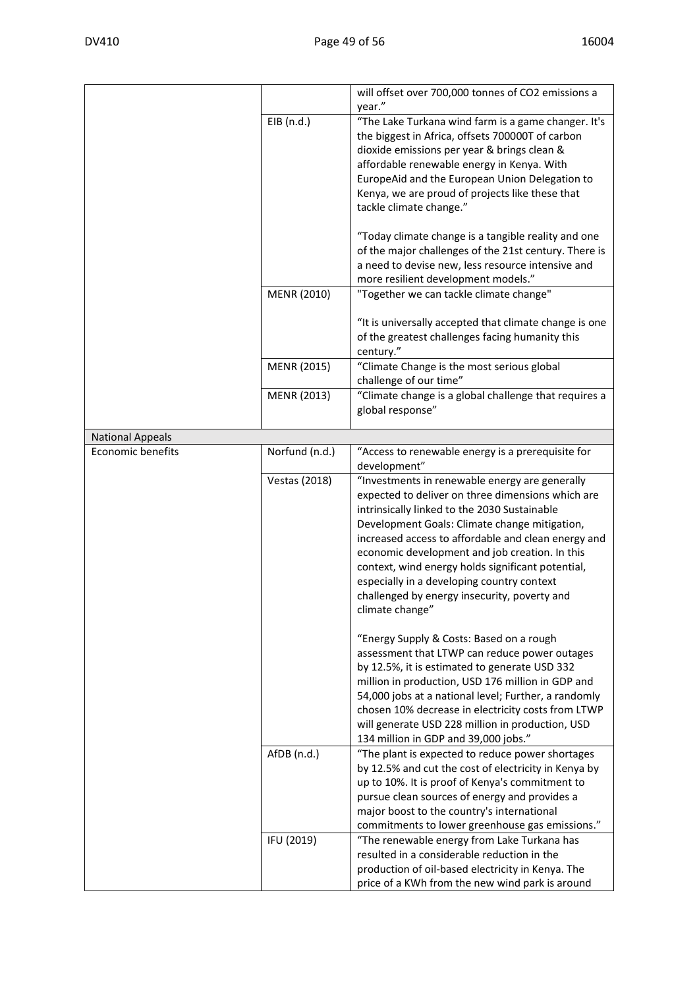|                         |                      | will offset over 700,000 tonnes of CO2 emissions a<br>year."                                                                                                                                                                                                                                                                                                                                                                                                                        |
|-------------------------|----------------------|-------------------------------------------------------------------------------------------------------------------------------------------------------------------------------------------------------------------------------------------------------------------------------------------------------------------------------------------------------------------------------------------------------------------------------------------------------------------------------------|
|                         | EIB (n.d.)           | "The Lake Turkana wind farm is a game changer. It's<br>the biggest in Africa, offsets 700000T of carbon<br>dioxide emissions per year & brings clean &<br>affordable renewable energy in Kenya. With<br>EuropeAid and the European Union Delegation to<br>Kenya, we are proud of projects like these that<br>tackle climate change."                                                                                                                                                |
|                         |                      | "Today climate change is a tangible reality and one<br>of the major challenges of the 21st century. There is<br>a need to devise new, less resource intensive and<br>more resilient development models."                                                                                                                                                                                                                                                                            |
|                         | MENR (2010)          | "Together we can tackle climate change"                                                                                                                                                                                                                                                                                                                                                                                                                                             |
|                         |                      | "It is universally accepted that climate change is one<br>of the greatest challenges facing humanity this<br>century."                                                                                                                                                                                                                                                                                                                                                              |
|                         | MENR (2015)          | "Climate Change is the most serious global<br>challenge of our time"                                                                                                                                                                                                                                                                                                                                                                                                                |
|                         | MENR (2013)          | "Climate change is a global challenge that requires a<br>global response"                                                                                                                                                                                                                                                                                                                                                                                                           |
| <b>National Appeals</b> |                      |                                                                                                                                                                                                                                                                                                                                                                                                                                                                                     |
| Economic benefits       | Norfund (n.d.)       | "Access to renewable energy is a prerequisite for<br>development"                                                                                                                                                                                                                                                                                                                                                                                                                   |
|                         | <b>Vestas (2018)</b> | "Investments in renewable energy are generally<br>expected to deliver on three dimensions which are<br>intrinsically linked to the 2030 Sustainable<br>Development Goals: Climate change mitigation,<br>increased access to affordable and clean energy and<br>economic development and job creation. In this<br>context, wind energy holds significant potential,<br>especially in a developing country context<br>challenged by energy insecurity, poverty and<br>climate change" |
|                         |                      | "Energy Supply & Costs: Based on a rough<br>assessment that LTWP can reduce power outages<br>by 12.5%, it is estimated to generate USD 332<br>million in production, USD 176 million in GDP and<br>54,000 jobs at a national level; Further, a randomly<br>chosen 10% decrease in electricity costs from LTWP<br>will generate USD 228 million in production, USD<br>134 million in GDP and 39,000 jobs."                                                                           |
|                         | AfDB (n.d.)          | "The plant is expected to reduce power shortages<br>by 12.5% and cut the cost of electricity in Kenya by<br>up to 10%. It is proof of Kenya's commitment to<br>pursue clean sources of energy and provides a<br>major boost to the country's international<br>commitments to lower greenhouse gas emissions."                                                                                                                                                                       |
|                         | IFU (2019)           | "The renewable energy from Lake Turkana has<br>resulted in a considerable reduction in the<br>production of oil-based electricity in Kenya. The<br>price of a KWh from the new wind park is around                                                                                                                                                                                                                                                                                  |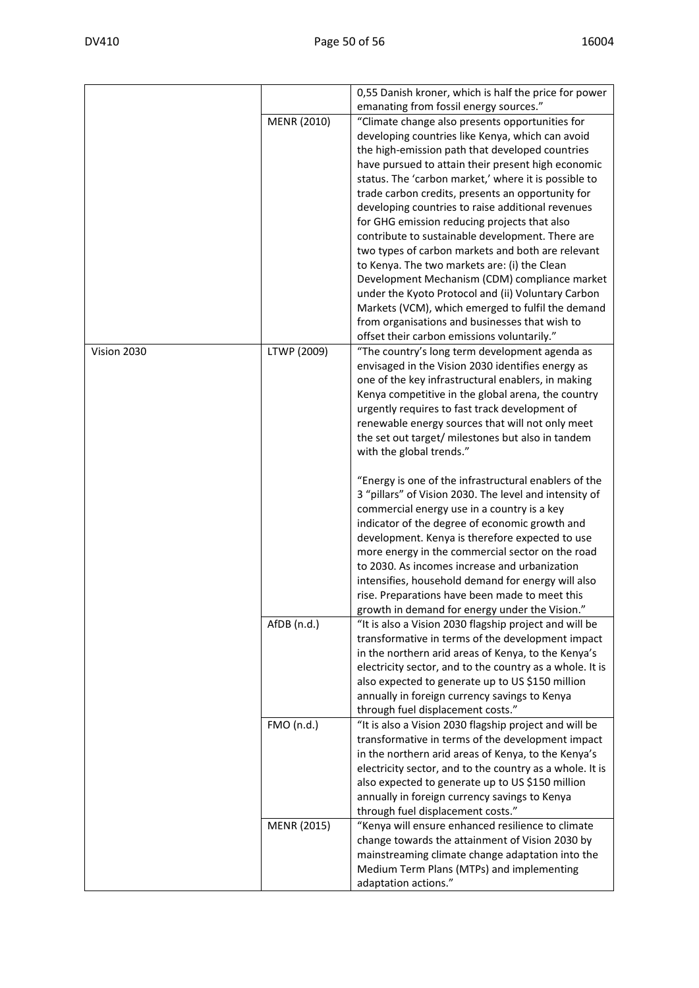|             |             | 0,55 Danish kroner, which is half the price for power                                     |
|-------------|-------------|-------------------------------------------------------------------------------------------|
|             | MENR (2010) | emanating from fossil energy sources."<br>"Climate change also presents opportunities for |
|             |             | developing countries like Kenya, which can avoid                                          |
|             |             | the high-emission path that developed countries                                           |
|             |             | have pursued to attain their present high economic                                        |
|             |             | status. The 'carbon market,' where it is possible to                                      |
|             |             | trade carbon credits, presents an opportunity for                                         |
|             |             | developing countries to raise additional revenues                                         |
|             |             | for GHG emission reducing projects that also                                              |
|             |             | contribute to sustainable development. There are                                          |
|             |             | two types of carbon markets and both are relevant                                         |
|             |             | to Kenya. The two markets are: (i) the Clean                                              |
|             |             | Development Mechanism (CDM) compliance market                                             |
|             |             | under the Kyoto Protocol and (ii) Voluntary Carbon                                        |
|             |             | Markets (VCM), which emerged to fulfil the demand                                         |
|             |             | from organisations and businesses that wish to                                            |
|             |             | offset their carbon emissions voluntarily."                                               |
| Vision 2030 | LTWP (2009) | "The country's long term development agenda as                                            |
|             |             | envisaged in the Vision 2030 identifies energy as                                         |
|             |             | one of the key infrastructural enablers, in making                                        |
|             |             | Kenya competitive in the global arena, the country                                        |
|             |             | urgently requires to fast track development of                                            |
|             |             | renewable energy sources that will not only meet                                          |
|             |             | the set out target/ milestones but also in tandem                                         |
|             |             | with the global trends."                                                                  |
|             |             | "Energy is one of the infrastructural enablers of the                                     |
|             |             | 3 "pillars" of Vision 2030. The level and intensity of                                    |
|             |             | commercial energy use in a country is a key                                               |
|             |             | indicator of the degree of economic growth and                                            |
|             |             | development. Kenya is therefore expected to use                                           |
|             |             | more energy in the commercial sector on the road                                          |
|             |             | to 2030. As incomes increase and urbanization                                             |
|             |             | intensifies, household demand for energy will also                                        |
|             |             | rise. Preparations have been made to meet this                                            |
|             |             | growth in demand for energy under the Vision."                                            |
|             | AfDB (n.d.) | "It is also a Vision 2030 flagship project and will be                                    |
|             |             | transformative in terms of the development impact                                         |
|             |             | in the northern arid areas of Kenya, to the Kenya's                                       |
|             |             | electricity sector, and to the country as a whole. It is                                  |
|             |             | also expected to generate up to US \$150 million                                          |
|             |             | annually in foreign currency savings to Kenya                                             |
|             |             | through fuel displacement costs."                                                         |
|             | FMO (n.d.)  | "It is also a Vision 2030 flagship project and will be                                    |
|             |             | transformative in terms of the development impact                                         |
|             |             | in the northern arid areas of Kenya, to the Kenya's                                       |
|             |             | electricity sector, and to the country as a whole. It is                                  |
|             |             | also expected to generate up to US \$150 million                                          |
|             |             | annually in foreign currency savings to Kenya                                             |
|             |             | through fuel displacement costs."                                                         |
|             | MENR (2015) | "Kenya will ensure enhanced resilience to climate                                         |
|             |             | change towards the attainment of Vision 2030 by                                           |
|             |             | mainstreaming climate change adaptation into the                                          |
|             |             | Medium Term Plans (MTPs) and implementing                                                 |
|             |             | adaptation actions."                                                                      |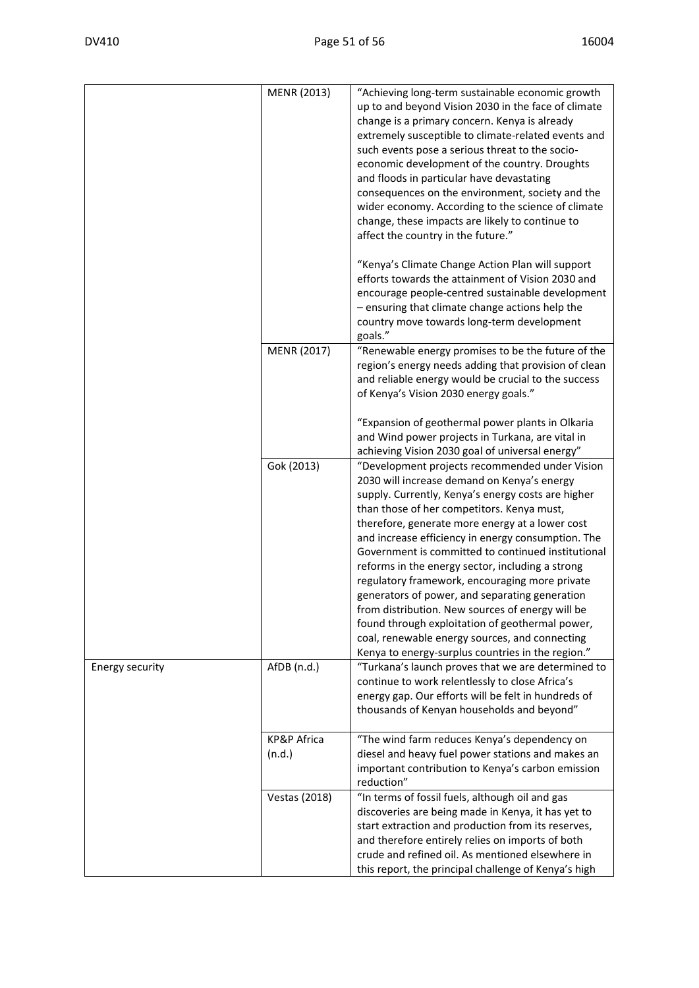|                        | MENR (2013)           | "Achieving long-term sustainable economic growth<br>up to and beyond Vision 2030 in the face of climate<br>change is a primary concern. Kenya is already<br>extremely susceptible to climate-related events and<br>such events pose a serious threat to the socio-<br>economic development of the country. Droughts<br>and floods in particular have devastating<br>consequences on the environment, society and the<br>wider economy. According to the science of climate<br>change, these impacts are likely to continue to<br>affect the country in the future."                                                                                                                                                                    |
|------------------------|-----------------------|----------------------------------------------------------------------------------------------------------------------------------------------------------------------------------------------------------------------------------------------------------------------------------------------------------------------------------------------------------------------------------------------------------------------------------------------------------------------------------------------------------------------------------------------------------------------------------------------------------------------------------------------------------------------------------------------------------------------------------------|
|                        |                       | "Kenya's Climate Change Action Plan will support<br>efforts towards the attainment of Vision 2030 and<br>encourage people-centred sustainable development<br>- ensuring that climate change actions help the<br>country move towards long-term development<br>goals."                                                                                                                                                                                                                                                                                                                                                                                                                                                                  |
|                        | <b>MENR (2017)</b>    | "Renewable energy promises to be the future of the<br>region's energy needs adding that provision of clean<br>and reliable energy would be crucial to the success<br>of Kenya's Vision 2030 energy goals."                                                                                                                                                                                                                                                                                                                                                                                                                                                                                                                             |
|                        |                       | "Expansion of geothermal power plants in Olkaria<br>and Wind power projects in Turkana, are vital in<br>achieving Vision 2030 goal of universal energy"                                                                                                                                                                                                                                                                                                                                                                                                                                                                                                                                                                                |
|                        | Gok (2013)            | "Development projects recommended under Vision<br>2030 will increase demand on Kenya's energy<br>supply. Currently, Kenya's energy costs are higher<br>than those of her competitors. Kenya must,<br>therefore, generate more energy at a lower cost<br>and increase efficiency in energy consumption. The<br>Government is committed to continued institutional<br>reforms in the energy sector, including a strong<br>regulatory framework, encouraging more private<br>generators of power, and separating generation<br>from distribution. New sources of energy will be<br>found through exploitation of geothermal power,<br>coal, renewable energy sources, and connecting<br>Kenya to energy-surplus countries in the region." |
| <b>Energy security</b> | AfDB (n.d.)           | "Turkana's launch proves that we are determined to<br>continue to work relentlessly to close Africa's<br>energy gap. Our efforts will be felt in hundreds of<br>thousands of Kenyan households and beyond"                                                                                                                                                                                                                                                                                                                                                                                                                                                                                                                             |
|                        | KP&P Africa<br>(n.d.) | "The wind farm reduces Kenya's dependency on<br>diesel and heavy fuel power stations and makes an<br>important contribution to Kenya's carbon emission<br>reduction"                                                                                                                                                                                                                                                                                                                                                                                                                                                                                                                                                                   |
|                        | <b>Vestas (2018)</b>  | "In terms of fossil fuels, although oil and gas<br>discoveries are being made in Kenya, it has yet to<br>start extraction and production from its reserves,<br>and therefore entirely relies on imports of both<br>crude and refined oil. As mentioned elsewhere in<br>this report, the principal challenge of Kenya's high                                                                                                                                                                                                                                                                                                                                                                                                            |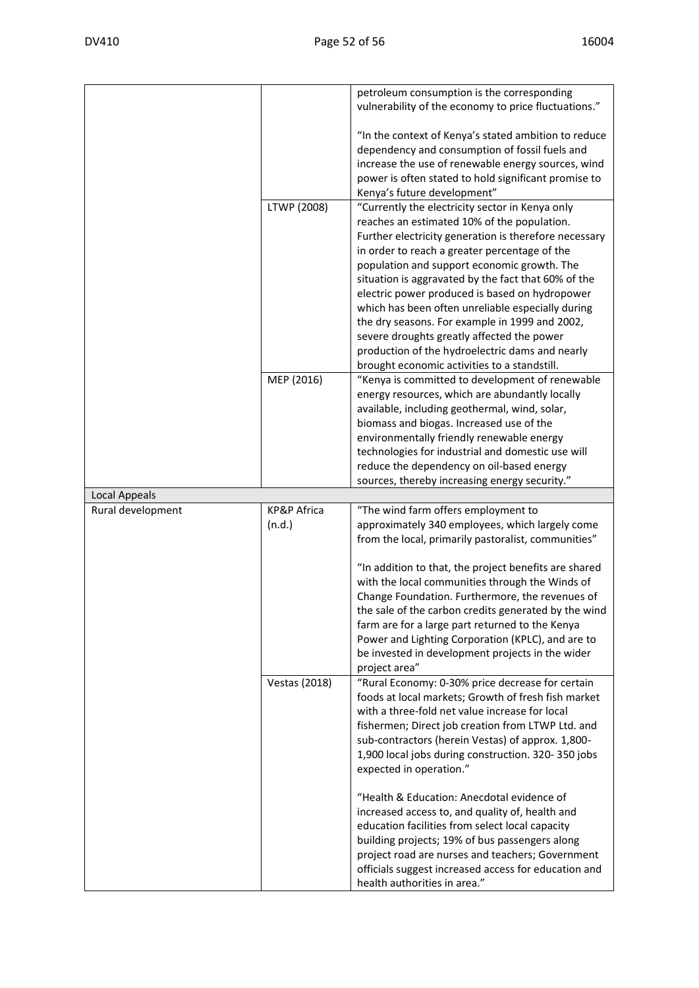|                   |                                  | petroleum consumption is the corresponding<br>vulnerability of the economy to price fluctuations."                                                                                                                                                                                                                                                                                                                   |
|-------------------|----------------------------------|----------------------------------------------------------------------------------------------------------------------------------------------------------------------------------------------------------------------------------------------------------------------------------------------------------------------------------------------------------------------------------------------------------------------|
|                   |                                  | "In the context of Kenya's stated ambition to reduce<br>dependency and consumption of fossil fuels and<br>increase the use of renewable energy sources, wind<br>power is often stated to hold significant promise to<br>Kenya's future development"                                                                                                                                                                  |
|                   | LTWP (2008)                      | "Currently the electricity sector in Kenya only                                                                                                                                                                                                                                                                                                                                                                      |
|                   |                                  | reaches an estimated 10% of the population.<br>Further electricity generation is therefore necessary<br>in order to reach a greater percentage of the<br>population and support economic growth. The<br>situation is aggravated by the fact that 60% of the<br>electric power produced is based on hydropower<br>which has been often unreliable especially during<br>the dry seasons. For example in 1999 and 2002, |
|                   |                                  | severe droughts greatly affected the power                                                                                                                                                                                                                                                                                                                                                                           |
|                   |                                  | production of the hydroelectric dams and nearly<br>brought economic activities to a standstill.                                                                                                                                                                                                                                                                                                                      |
|                   | MEP (2016)                       | "Kenya is committed to development of renewable                                                                                                                                                                                                                                                                                                                                                                      |
|                   |                                  | energy resources, which are abundantly locally<br>available, including geothermal, wind, solar,                                                                                                                                                                                                                                                                                                                      |
|                   |                                  | biomass and biogas. Increased use of the                                                                                                                                                                                                                                                                                                                                                                             |
|                   |                                  | environmentally friendly renewable energy                                                                                                                                                                                                                                                                                                                                                                            |
|                   |                                  | technologies for industrial and domestic use will                                                                                                                                                                                                                                                                                                                                                                    |
|                   |                                  | reduce the dependency on oil-based energy<br>sources, thereby increasing energy security."                                                                                                                                                                                                                                                                                                                           |
| Local Appeals     |                                  |                                                                                                                                                                                                                                                                                                                                                                                                                      |
| Rural development | <b>KP&amp;P Africa</b><br>(n.d.) | "The wind farm offers employment to<br>approximately 340 employees, which largely come<br>from the local, primarily pastoralist, communities"                                                                                                                                                                                                                                                                        |
|                   |                                  | "In addition to that, the project benefits are shared<br>with the local communities through the Winds of                                                                                                                                                                                                                                                                                                             |
|                   |                                  | Change Foundation. Furthermore, the revenues of<br>the sale of the carbon credits generated by the wind<br>farm are for a large part returned to the Kenya<br>Power and Lighting Corporation (KPLC), and are to<br>be invested in development projects in the wider<br>project area"                                                                                                                                 |
|                   | <b>Vestas (2018)</b>             | "Rural Economy: 0-30% price decrease for certain                                                                                                                                                                                                                                                                                                                                                                     |
|                   |                                  |                                                                                                                                                                                                                                                                                                                                                                                                                      |
|                   |                                  | foods at local markets; Growth of fresh fish market<br>with a three-fold net value increase for local<br>fishermen; Direct job creation from LTWP Ltd. and<br>sub-contractors (herein Vestas) of approx. 1,800-<br>1,900 local jobs during construction. 320-350 jobs<br>expected in operation."                                                                                                                     |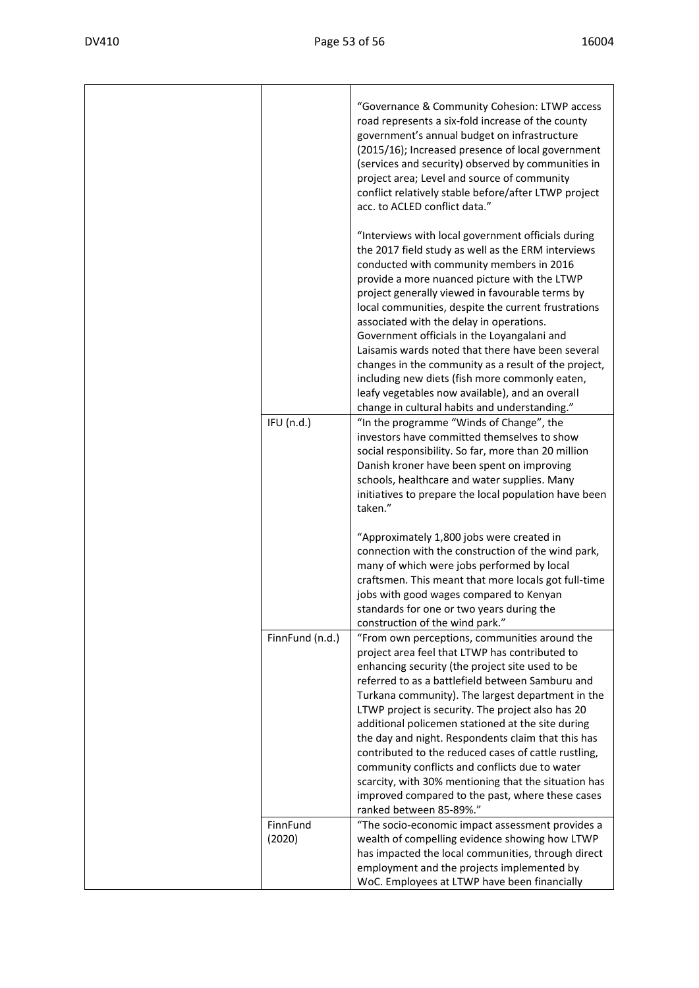|                    | "Governance & Community Cohesion: LTWP access<br>road represents a six-fold increase of the county<br>government's annual budget on infrastructure<br>(2015/16); Increased presence of local government<br>(services and security) observed by communities in<br>project area; Level and source of community<br>conflict relatively stable before/after LTWP project<br>acc. to ACLED conflict data."<br>"Interviews with local government officials during<br>the 2017 field study as well as the ERM interviews<br>conducted with community members in 2016<br>provide a more nuanced picture with the LTWP<br>project generally viewed in favourable terms by<br>local communities, despite the current frustrations<br>associated with the delay in operations.<br>Government officials in the Loyangalani and<br>Laisamis wards noted that there have been several<br>changes in the community as a result of the project,<br>including new diets (fish more commonly eaten,<br>leafy vegetables now available), and an overall |
|--------------------|--------------------------------------------------------------------------------------------------------------------------------------------------------------------------------------------------------------------------------------------------------------------------------------------------------------------------------------------------------------------------------------------------------------------------------------------------------------------------------------------------------------------------------------------------------------------------------------------------------------------------------------------------------------------------------------------------------------------------------------------------------------------------------------------------------------------------------------------------------------------------------------------------------------------------------------------------------------------------------------------------------------------------------------|
|                    | change in cultural habits and understanding."                                                                                                                                                                                                                                                                                                                                                                                                                                                                                                                                                                                                                                                                                                                                                                                                                                                                                                                                                                                        |
| IFU (n.d.)         | "In the programme "Winds of Change", the<br>investors have committed themselves to show<br>social responsibility. So far, more than 20 million<br>Danish kroner have been spent on improving<br>schools, healthcare and water supplies. Many<br>initiatives to prepare the local population have been<br>taken."                                                                                                                                                                                                                                                                                                                                                                                                                                                                                                                                                                                                                                                                                                                     |
|                    | "Approximately 1,800 jobs were created in<br>connection with the construction of the wind park,<br>many of which were jobs performed by local<br>craftsmen. This meant that more locals got full-time<br>jobs with good wages compared to Kenyan<br>standards for one or two years during the<br>construction of the wind park."                                                                                                                                                                                                                                                                                                                                                                                                                                                                                                                                                                                                                                                                                                     |
| FinnFund (n.d.)    | "From own perceptions, communities around the<br>project area feel that LTWP has contributed to<br>enhancing security (the project site used to be<br>referred to as a battlefield between Samburu and<br>Turkana community). The largest department in the<br>LTWP project is security. The project also has 20<br>additional policemen stationed at the site during<br>the day and night. Respondents claim that this has<br>contributed to the reduced cases of cattle rustling,<br>community conflicts and conflicts due to water<br>scarcity, with 30% mentioning that the situation has<br>improved compared to the past, where these cases<br>ranked between 85-89%."                                                                                                                                                                                                                                                                                                                                                         |
| FinnFund<br>(2020) | "The socio-economic impact assessment provides a<br>wealth of compelling evidence showing how LTWP<br>has impacted the local communities, through direct<br>employment and the projects implemented by<br>WoC. Employees at LTWP have been financially                                                                                                                                                                                                                                                                                                                                                                                                                                                                                                                                                                                                                                                                                                                                                                               |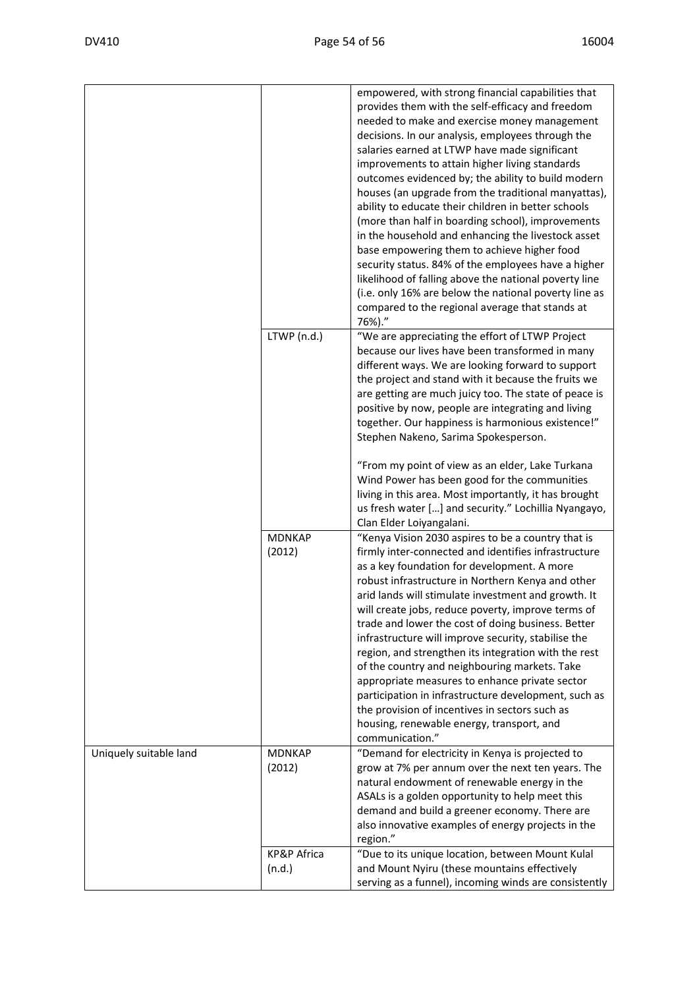|                        |                                  | empowered, with strong financial capabilities that<br>provides them with the self-efficacy and freedom<br>needed to make and exercise money management<br>decisions. In our analysis, employees through the<br>salaries earned at LTWP have made significant<br>improvements to attain higher living standards<br>outcomes evidenced by; the ability to build modern<br>houses (an upgrade from the traditional manyattas),<br>ability to educate their children in better schools<br>(more than half in boarding school), improvements<br>in the household and enhancing the livestock asset<br>base empowering them to achieve higher food<br>security status. 84% of the employees have a higher<br>likelihood of falling above the national poverty line<br>(i.e. only 16% are below the national poverty line as<br>compared to the regional average that stands at<br>76%)." |
|------------------------|----------------------------------|------------------------------------------------------------------------------------------------------------------------------------------------------------------------------------------------------------------------------------------------------------------------------------------------------------------------------------------------------------------------------------------------------------------------------------------------------------------------------------------------------------------------------------------------------------------------------------------------------------------------------------------------------------------------------------------------------------------------------------------------------------------------------------------------------------------------------------------------------------------------------------|
|                        | LTWP (n.d.)                      | "We are appreciating the effort of LTWP Project<br>because our lives have been transformed in many<br>different ways. We are looking forward to support<br>the project and stand with it because the fruits we<br>are getting are much juicy too. The state of peace is<br>positive by now, people are integrating and living<br>together. Our happiness is harmonious existence!"<br>Stephen Nakeno, Sarima Spokesperson.                                                                                                                                                                                                                                                                                                                                                                                                                                                         |
|                        |                                  | "From my point of view as an elder, Lake Turkana<br>Wind Power has been good for the communities<br>living in this area. Most importantly, it has brought<br>us fresh water [] and security." Lochillia Nyangayo,<br>Clan Elder Loiyangalani.                                                                                                                                                                                                                                                                                                                                                                                                                                                                                                                                                                                                                                      |
|                        | <b>MDNKAP</b><br>(2012)          | "Kenya Vision 2030 aspires to be a country that is<br>firmly inter-connected and identifies infrastructure<br>as a key foundation for development. A more<br>robust infrastructure in Northern Kenya and other<br>arid lands will stimulate investment and growth. It<br>will create jobs, reduce poverty, improve terms of<br>trade and lower the cost of doing business. Better<br>infrastructure will improve security, stabilise the<br>region, and strengthen its integration with the rest<br>of the country and neighbouring markets. Take<br>appropriate measures to enhance private sector<br>participation in infrastructure development, such as<br>the provision of incentives in sectors such as<br>housing, renewable energy, transport, and<br>communication."                                                                                                      |
| Uniquely suitable land | <b>MDNKAP</b><br>(2012)          | "Demand for electricity in Kenya is projected to<br>grow at 7% per annum over the next ten years. The<br>natural endowment of renewable energy in the<br>ASALs is a golden opportunity to help meet this<br>demand and build a greener economy. There are<br>also innovative examples of energy projects in the<br>region."                                                                                                                                                                                                                                                                                                                                                                                                                                                                                                                                                        |
|                        | <b>KP&amp;P Africa</b><br>(n.d.) | "Due to its unique location, between Mount Kulal<br>and Mount Nyiru (these mountains effectively<br>serving as a funnel), incoming winds are consistently                                                                                                                                                                                                                                                                                                                                                                                                                                                                                                                                                                                                                                                                                                                          |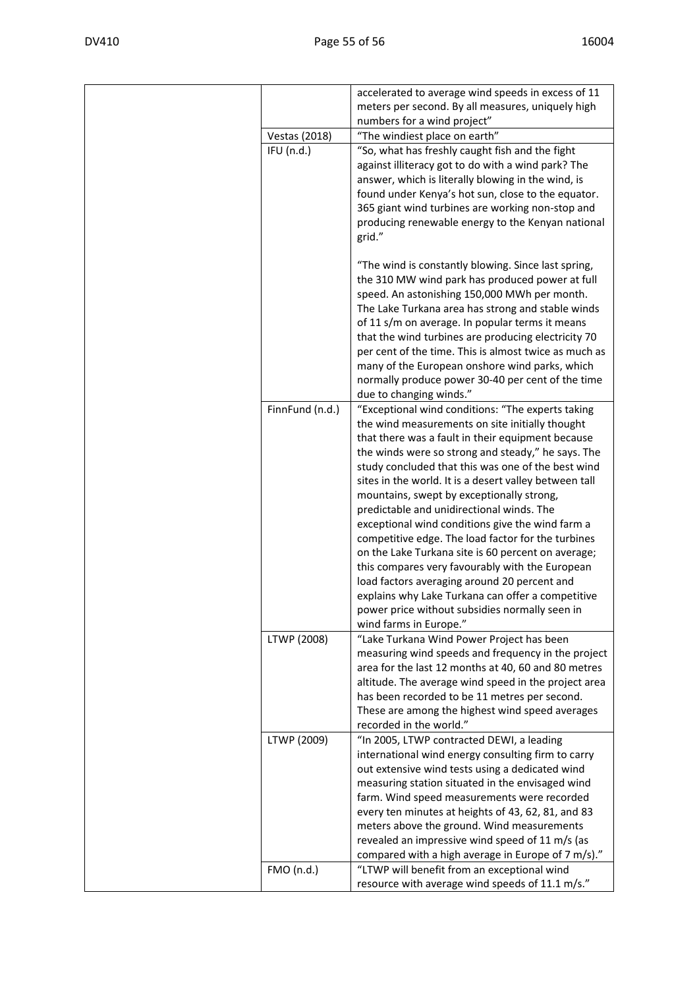|                      | accelerated to average wind speeds in excess of 11                                                           |
|----------------------|--------------------------------------------------------------------------------------------------------------|
|                      | meters per second. By all measures, uniquely high                                                            |
|                      | numbers for a wind project"                                                                                  |
| <b>Vestas (2018)</b> | "The windiest place on earth"                                                                                |
| IFU(n.d.)            | "So, what has freshly caught fish and the fight<br>against illiteracy got to do with a wind park? The        |
|                      | answer, which is literally blowing in the wind, is                                                           |
|                      | found under Kenya's hot sun, close to the equator.                                                           |
|                      | 365 giant wind turbines are working non-stop and                                                             |
|                      | producing renewable energy to the Kenyan national                                                            |
|                      | grid."                                                                                                       |
|                      |                                                                                                              |
|                      | "The wind is constantly blowing. Since last spring,                                                          |
|                      | the 310 MW wind park has produced power at full                                                              |
|                      | speed. An astonishing 150,000 MWh per month.                                                                 |
|                      | The Lake Turkana area has strong and stable winds<br>of 11 s/m on average. In popular terms it means         |
|                      | that the wind turbines are producing electricity 70                                                          |
|                      | per cent of the time. This is almost twice as much as                                                        |
|                      | many of the European onshore wind parks, which                                                               |
|                      | normally produce power 30-40 per cent of the time                                                            |
|                      | due to changing winds."                                                                                      |
| FinnFund (n.d.)      | "Exceptional wind conditions: "The experts taking                                                            |
|                      | the wind measurements on site initially thought                                                              |
|                      | that there was a fault in their equipment because                                                            |
|                      | the winds were so strong and steady," he says. The                                                           |
|                      | study concluded that this was one of the best wind<br>sites in the world. It is a desert valley between tall |
|                      | mountains, swept by exceptionally strong,                                                                    |
|                      | predictable and unidirectional winds. The                                                                    |
|                      | exceptional wind conditions give the wind farm a                                                             |
|                      | competitive edge. The load factor for the turbines                                                           |
|                      | on the Lake Turkana site is 60 percent on average;                                                           |
|                      | this compares very favourably with the European                                                              |
|                      | load factors averaging around 20 percent and                                                                 |
|                      | explains why Lake Turkana can offer a competitive                                                            |
|                      | power price without subsidies normally seen in<br>wind farms in Europe."                                     |
| LTWP (2008)          | "Lake Turkana Wind Power Project has been                                                                    |
|                      | measuring wind speeds and frequency in the project                                                           |
|                      | area for the last 12 months at 40, 60 and 80 metres                                                          |
|                      | altitude. The average wind speed in the project area                                                         |
|                      | has been recorded to be 11 metres per second.                                                                |
|                      | These are among the highest wind speed averages                                                              |
|                      | recorded in the world."                                                                                      |
| LTWP (2009)          | "In 2005, LTWP contracted DEWI, a leading                                                                    |
|                      | international wind energy consulting firm to carry<br>out extensive wind tests using a dedicated wind        |
|                      | measuring station situated in the envisaged wind                                                             |
|                      | farm. Wind speed measurements were recorded                                                                  |
|                      | every ten minutes at heights of 43, 62, 81, and 83                                                           |
|                      | meters above the ground. Wind measurements                                                                   |
|                      | revealed an impressive wind speed of 11 m/s (as                                                              |
|                      | compared with a high average in Europe of 7 m/s)."                                                           |
| FMO (n.d.)           | "LTWP will benefit from an exceptional wind                                                                  |
|                      | resource with average wind speeds of 11.1 m/s."                                                              |